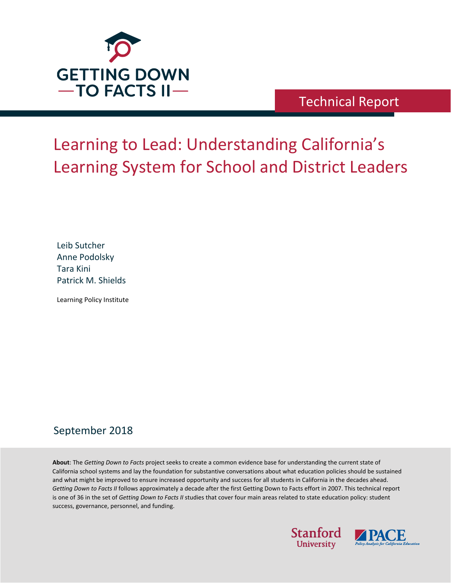

# Technical Report

# Learning to Lead: Understanding California's Learning System for School and District Leaders

Leib Sutcher Anne Podolsky Tara Kini Patrick M. Shields

Learning Policy Institute

## September 2018

**About**: The *Getting Down to Facts* project seeks to create a common evidence base for understanding the current state of California school systems and lay the foundation for substantive conversations about what education policies should be sustained and what might be improved to ensure increased opportunity and success for all students in California in the decades ahead. *Getting Down to Facts II* follows approximately a decade after the first Getting Down to Facts effort in 2007. This technical report is one of 36 in the set of *Getting Down to Facts II* studies that cover four main areas related to state education policy: student success, governance, personnel, and funding.



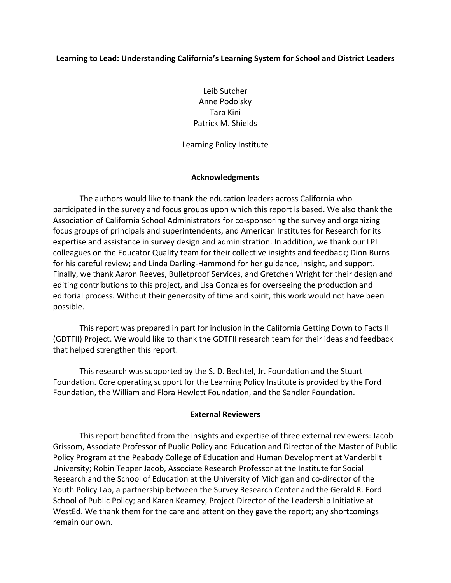#### **Learning to Lead: Understanding California's Learning System for School and District Leaders**

Leib Sutcher Anne Podolsky Tara Kini Patrick M. Shields

Learning Policy Institute

#### **Acknowledgments**

The authors would like to thank the education leaders across California who participated in the survey and focus groups upon which this report is based. We also thank the Association of California School Administrators for co-sponsoring the survey and organizing focus groups of principals and superintendents, and American Institutes for Research for its expertise and assistance in survey design and administration. In addition, we thank our LPI colleagues on the Educator Quality team for their collective insights and feedback; Dion Burns for his careful review; and Linda Darling-Hammond for her guidance, insight, and support. Finally, we thank Aaron Reeves, Bulletproof Services, and Gretchen Wright for their design and editing contributions to this project, and Lisa Gonzales for overseeing the production and editorial process. Without their generosity of time and spirit, this work would not have been possible.

This report was prepared in part for inclusion in the California Getting Down to Facts II (GDTFII) Project. We would like to thank the GDTFII research team for their ideas and feedback that helped strengthen this report.

This research was supported by the S. D. Bechtel, Jr. Foundation and the Stuart Foundation. Core operating support for the Learning Policy Institute is provided by the Ford Foundation, the William and Flora Hewlett Foundation, and the Sandler Foundation.

#### **External Reviewers**

This report benefited from the insights and expertise of three external reviewers: Jacob Grissom, Associate Professor of Public Policy and Education and Director of the Master of Public Policy Program at the Peabody College of Education and Human Development at Vanderbilt University; Robin Tepper Jacob, Associate Research Professor at the Institute for Social Research and the School of Education at the University of Michigan and co-director of the Youth Policy Lab, a partnership between the Survey Research Center and the Gerald R. Ford School of Public Policy; and Karen Kearney, Project Director of the Leadership Initiative at WestEd. We thank them for the care and attention they gave the report; any shortcomings remain our own.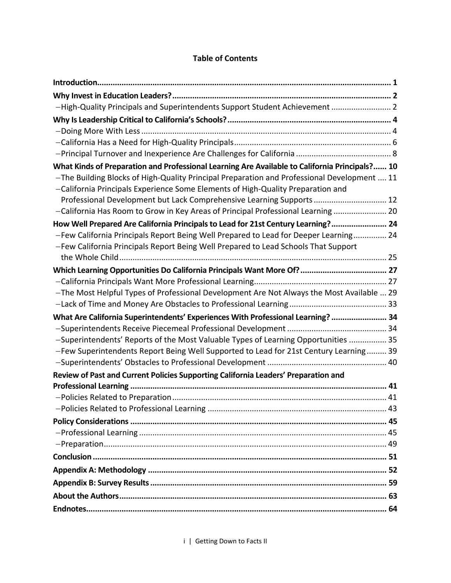| -High-Quality Principals and Superintendents Support Student Achievement  2                                                                                                    |  |
|--------------------------------------------------------------------------------------------------------------------------------------------------------------------------------|--|
|                                                                                                                                                                                |  |
|                                                                                                                                                                                |  |
|                                                                                                                                                                                |  |
|                                                                                                                                                                                |  |
| What Kinds of Preparation and Professional Learning Are Available to California Principals? 10                                                                                 |  |
| -The Building Blocks of High-Quality Principal Preparation and Professional Development  11<br>-California Principals Experience Some Elements of High-Quality Preparation and |  |
| Professional Development but Lack Comprehensive Learning Supports  12<br>-California Has Room to Grow in Key Areas of Principal Professional Learning  20                      |  |
| How Well Prepared Are California Principals to Lead for 21st Century Learning? 24                                                                                              |  |
| -Few California Principals Report Being Well Prepared to Lead for Deeper Learning 24                                                                                           |  |
| -Few California Principals Report Being Well Prepared to Lead Schools That Support                                                                                             |  |
|                                                                                                                                                                                |  |
|                                                                                                                                                                                |  |
|                                                                                                                                                                                |  |
| -The Most Helpful Types of Professional Development Are Not Always the Most Available  29                                                                                      |  |
|                                                                                                                                                                                |  |
| What Are California Superintendents' Experiences With Professional Learning?  34                                                                                               |  |
|                                                                                                                                                                                |  |
| -Superintendents' Reports of the Most Valuable Types of Learning Opportunities  35                                                                                             |  |
| -Few Superintendents Report Being Well Supported to Lead for 21st Century Learning 39                                                                                          |  |
|                                                                                                                                                                                |  |
| Review of Past and Current Policies Supporting California Leaders' Preparation and                                                                                             |  |
|                                                                                                                                                                                |  |
|                                                                                                                                                                                |  |
|                                                                                                                                                                                |  |
|                                                                                                                                                                                |  |
|                                                                                                                                                                                |  |
|                                                                                                                                                                                |  |
|                                                                                                                                                                                |  |
|                                                                                                                                                                                |  |
|                                                                                                                                                                                |  |
|                                                                                                                                                                                |  |
|                                                                                                                                                                                |  |

#### **Table of Contents**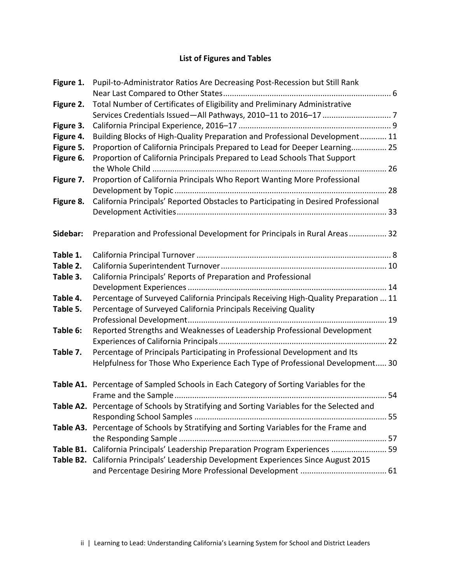### **List of Figures and Tables**

| Figure 1. | Pupil-to-Administrator Ratios Are Decreasing Post-Recession but Still Rank                |  |
|-----------|-------------------------------------------------------------------------------------------|--|
| Figure 2. | Total Number of Certificates of Eligibility and Preliminary Administrative                |  |
| Figure 3. |                                                                                           |  |
| Figure 4. | Building Blocks of High-Quality Preparation and Professional Development 11               |  |
| Figure 5. | Proportion of California Principals Prepared to Lead for Deeper Learning 25               |  |
| Figure 6. | Proportion of California Principals Prepared to Lead Schools That Support                 |  |
|           |                                                                                           |  |
| Figure 7. | Proportion of California Principals Who Report Wanting More Professional                  |  |
|           |                                                                                           |  |
| Figure 8. | California Principals' Reported Obstacles to Participating in Desired Professional        |  |
|           |                                                                                           |  |
| Sidebar:  | Preparation and Professional Development for Principals in Rural Areas 32                 |  |
|           |                                                                                           |  |
| Table 1.  |                                                                                           |  |
| Table 2.  |                                                                                           |  |
| Table 3.  | California Principals' Reports of Preparation and Professional                            |  |
|           |                                                                                           |  |
| Table 4.  | Percentage of Surveyed California Principals Receiving High-Quality Preparation  11       |  |
| Table 5.  | Percentage of Surveyed California Principals Receiving Quality                            |  |
|           |                                                                                           |  |
| Table 6:  | Reported Strengths and Weaknesses of Leadership Professional Development                  |  |
|           |                                                                                           |  |
| Table 7.  | Percentage of Principals Participating in Professional Development and Its                |  |
|           | Helpfulness for Those Who Experience Each Type of Professional Development 30             |  |
|           | Table A1. Percentage of Sampled Schools in Each Category of Sorting Variables for the     |  |
|           |                                                                                           |  |
|           | Table A2. Percentage of Schools by Stratifying and Sorting Variables for the Selected and |  |
|           |                                                                                           |  |
|           | Table A3. Percentage of Schools by Stratifying and Sorting Variables for the Frame and    |  |
|           |                                                                                           |  |
| Table B1. | California Principals' Leadership Preparation Program Experiences  59                     |  |
|           | Table B2. California Principals' Leadership Development Experiences Since August 2015     |  |
|           |                                                                                           |  |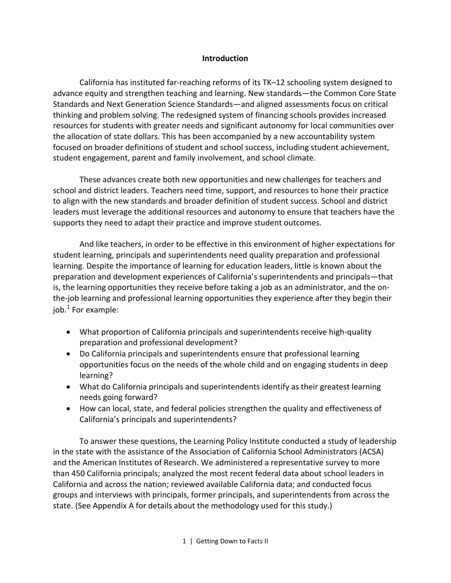#### **Introduction**

California has instituted far-reaching reforms of its TK–12 schooling system designed to advance equity and strengthen teaching and learning. New standards—the Common Core State Standards and Next Generation Science Standards—and aligned assessments focus on critical thinking and problem solving. The redesigned system of financing schools provides increased resources for students with greater needs and significant autonomy for local communities over the allocation of state dollars. This has been accompanied by a new accountability system focused on broader definitions of student and school success, including student achievement, student engagement, parent and family involvement, and school climate.

These advances create both new opportunities and new challenges for teachers and school and district leaders. Teachers need time, support, and resources to hone their practice to align with the new standards and broader definition of student success. School and district leaders must leverage the additional resources and autonomy to ensure that teachers have the supports they need to adapt their practice and improve student outcomes.

And like teachers, in order to be effective in this environment of higher expectations for student learning, principals and superintendents need quality preparation and professional learning. Despite the importance of learning for education leaders, little is known about the preparation and development experiences of California's superintendents and principals—that is, the learning opportunities they receive before taking a job as an administrator, and the onthe-job learning and professional learning opportunities they experience after they begin their job. $<sup>1</sup>$  $<sup>1</sup>$  $<sup>1</sup>$  For example:</sup>

- What proportion of California principals and superintendents receive high-quality preparation and professional development?
- Do California principals and superintendents ensure that professional learning opportunities focus on the needs of the whole child and on engaging students in deep learning?
- What do California principals and superintendents identify as their greatest learning needs going forward?
- How can local, state, and federal policies strengthen the quality and effectiveness of California's principals and superintendents?

To answer these questions, the Learning Policy Institute conducted a study of leadership in the state with the assistance of the Association of California School Administrators (ACSA) and the American Institutes of Research. We administered a representative survey to more than 450 California principals; analyzed the most recent federal data about school leaders in California and across the nation; reviewed available California data; and conducted focus groups and interviews with principals, former principals, and superintendents from across the state. (See Appendix A for details about the methodology used for this study.)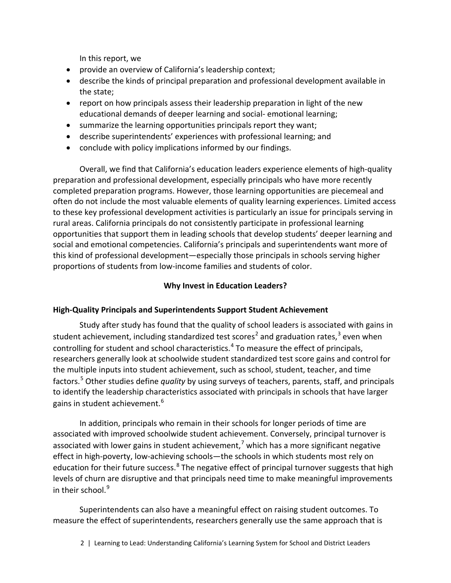In this report, we

- provide an overview of California's leadership context;
- describe the kinds of principal preparation and professional development available in the state;
- report on how principals assess their leadership preparation in light of the new educational demands of deeper learning and social- emotional learning;
- summarize the learning opportunities principals report they want;
- describe superintendents' experiences with professional learning; and
- conclude with policy implications informed by our findings.

Overall, we find that California's education leaders experience elements of high-quality preparation and professional development, especially principals who have more recently completed preparation programs. However, those learning opportunities are piecemeal and often do not include the most valuable elements of quality learning experiences. Limited access to these key professional development activities is particularly an issue for principals serving in rural areas. California principals do not consistently participate in professional learning opportunities that support them in leading schools that develop students' deeper learning and social and emotional competencies. California's principals and superintendents want more of this kind of professional development—especially those principals in schools serving higher proportions of students from low-income families and students of color.

#### **Why Invest in Education Leaders?**

#### **High-Quality Principals and Superintendents Support Student Achievement**

Study after study has found that the quality of school leaders is associated with gains in student achievement, including standardized test scores<sup>[2](#page-67-1)</sup> and graduation rates,<sup>[3](#page-67-2)</sup> even when controlling for student and school characteristics.<sup>[4](#page-67-3)</sup> To measure the effect of principals, researchers generally look at schoolwide student standardized test score gains and control for the multiple inputs into student achievement, such as school, student, teacher, and time factors.[5](#page-67-4) Other studies define *quality* by using surveys of teachers, parents, staff, and principals to identify the leadership characteristics associated with principals in schools that have larger gains in student achievement.<sup>[6](#page-68-0)</sup>

In addition, principals who remain in their schools for longer periods of time are associated with improved schoolwide student achievement. Conversely, principal turnover is associated with lower gains in student achievement,<sup>[7](#page-68-1)</sup> which has a more significant negative effect in high-poverty, low-achieving schools—the schools in which students most rely on education for their future success.<sup>[8](#page-68-2)</sup> The negative effect of principal turnover suggests that high levels of churn are disruptive and that principals need time to make meaningful improvements in their school. $9$ 

Superintendents can also have a meaningful effect on raising student outcomes. To measure the effect of superintendents, researchers generally use the same approach that is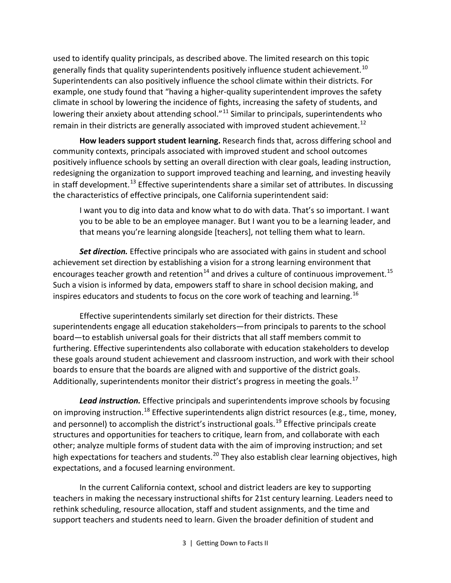used to identify quality principals, as described above. The limited research on this topic generally finds that quality superintendents positively influence student achievement.<sup>[10](#page-68-4)</sup> Superintendents can also positively influence the school climate within their districts. For example, one study found that "having a higher-quality superintendent improves the safety climate in school by lowering the incidence of fights, increasing the safety of students, and lowering their anxiety about attending school." $11$  Similar to principals, superintendents who remain in their districts are generally associated with improved student achievement.<sup>[12](#page-68-6)</sup>

**How leaders support student learning.** Research finds that, across differing school and community contexts, principals associated with improved student and school outcomes positively influence schools by setting an overall direction with clear goals, leading instruction, redesigning the organization to support improved teaching and learning, and investing heavily in staff development.<sup>[13](#page-68-7)</sup> Effective superintendents share a similar set of attributes. In discussing the characteristics of effective principals, one California superintendent said:

I want you to dig into data and know what to do with data. That's so important. I want you to be able to be an employee manager. But I want you to be a learning leader, and that means you're learning alongside [teachers], not telling them what to learn.

*Set direction.* Effective principals who are associated with gains in student and school achievement set direction by establishing a vision for a strong learning environment that encourages teacher growth and retention<sup>[14](#page-68-8)</sup> and drives a culture of continuous improvement.<sup>[15](#page-69-0)</sup> Such a vision is informed by data, empowers staff to share in school decision making, and inspires educators and students to focus on the core work of teaching and learning.<sup>[16](#page-69-1)</sup>

Effective superintendents similarly set direction for their districts. These superintendents engage all education stakeholders—from principals to parents to the school board—to establish universal goals for their districts that all staff members commit to furthering. Effective superintendents also collaborate with education stakeholders to develop these goals around student achievement and classroom instruction, and work with their school boards to ensure that the boards are aligned with and supportive of the district goals. Additionally, superintendents monitor their district's progress in meeting the goals.<sup>[17](#page-69-2)</sup>

*Lead instruction.* Effective principals and superintendents improve schools by focusing on improving instruction.<sup>[18](#page-69-3)</sup> Effective superintendents align district resources (e.g., time, money, and personnel) to accomplish the district's instructional goals.<sup>[19](#page-69-4)</sup> Effective principals create structures and opportunities for teachers to critique, learn from, and collaborate with each other; analyze multiple forms of student data with the aim of improving instruction; and set high expectations for teachers and students.<sup>[20](#page-69-5)</sup> They also establish clear learning objectives, high expectations, and a focused learning environment.

In the current California context, school and district leaders are key to supporting teachers in making the necessary instructional shifts for 21st century learning. Leaders need to rethink scheduling, resource allocation, staff and student assignments, and the time and support teachers and students need to learn. Given the broader definition of student and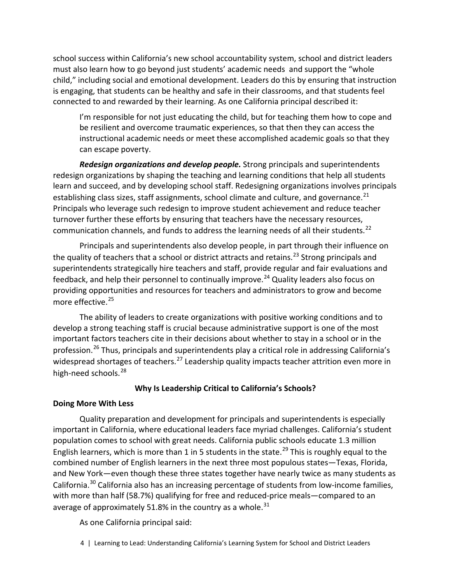school success within California's new school accountability system, school and district leaders must also learn how to go beyond just students' academic needs and support the "whole child," including social and emotional development. Leaders do this by ensuring that instruction is engaging, that students can be healthy and safe in their classrooms, and that students feel connected to and rewarded by their learning. As one California principal described it:

I'm responsible for not just educating the child, but for teaching them how to cope and be resilient and overcome traumatic experiences, so that then they can access the instructional academic needs or meet these accomplished academic goals so that they can escape poverty.

*Redesign organizations and develop people.* Strong principals and superintendents redesign organizations by shaping the teaching and learning conditions that help all students learn and succeed, and by developing school staff. Redesigning organizations involves principals establishing class sizes, staff assignments, school climate and culture, and governance. $^{21}$  $^{21}$  $^{21}$ Principals who leverage such redesign to improve student achievement and reduce teacher turnover further these efforts by ensuring that teachers have the necessary resources, communication channels, and funds to address the learning needs of all their students.<sup>[22](#page-69-7)</sup>

Principals and superintendents also develop people, in part through their influence on the quality of teachers that a school or district attracts and retains.<sup>[23](#page-69-8)</sup> Strong principals and superintendents strategically hire teachers and staff, provide regular and fair evaluations and feedback, and help their personnel to continually improve.<sup>[24](#page-69-9)</sup> Quality leaders also focus on providing opportunities and resources for teachers and administrators to grow and become more effective.<sup>[25](#page-69-10)</sup>

The ability of leaders to create organizations with positive working conditions and to develop a strong teaching staff is crucial because administrative support is one of the most important factors teachers cite in their decisions about whether to stay in a school or in the profession.<sup>[26](#page-70-0)</sup> Thus, principals and superintendents play a critical role in addressing California's widespread shortages of teachers.<sup>[27](#page-70-1)</sup> Leadership quality impacts teacher attrition even more in high-need schools.<sup>[28](#page-70-2)</sup>

#### **Why Is Leadership Critical to California's Schools?**

#### **Doing More With Less**

Quality preparation and development for principals and superintendents is especially important in California, where educational leaders face myriad challenges. California's student population comes to school with great needs. California public schools educate 1.3 million English learners, which is more than 1 in 5 students in the state.<sup>[29](#page-70-3)</sup> This is roughly equal to the combined number of English learners in the next three most populous states—Texas, Florida, and New York—even though these three states together have nearly twice as many students as California.[30](#page-70-4) California also has an increasing percentage of students from low-income families, with more than half (58.7%) qualifying for free and reduced-price meals—compared to an average of approximately 51.8% in the country as a whole.<sup>[31](#page-70-5)</sup>

As one California principal said:

<sup>4 |</sup> Learning to Lead: Understanding California's Learning System for School and District Leaders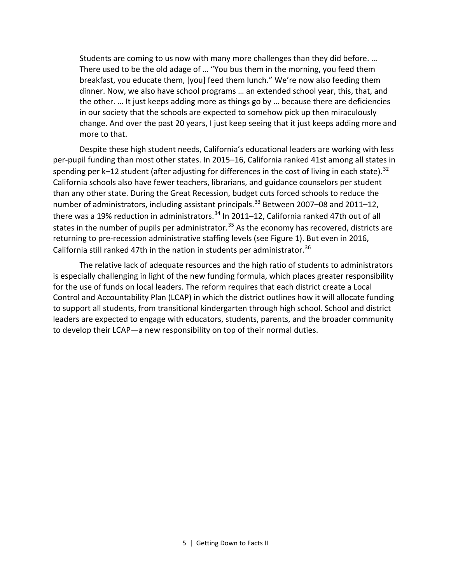Students are coming to us now with many more challenges than they did before. … There used to be the old adage of … "You bus them in the morning, you feed them breakfast, you educate them, [you] feed them lunch." We're now also feeding them dinner. Now, we also have school programs … an extended school year, this, that, and the other. … It just keeps adding more as things go by … because there are deficiencies in our society that the schools are expected to somehow pick up then miraculously change. And over the past 20 years, I just keep seeing that it just keeps adding more and more to that.

Despite these high student needs, California's educational leaders are working with less per-pupil funding than most other states. In 2015–16, California ranked 41st among all states in spending per k–12 student (after adjusting for differences in the cost of living in each state).  $^{32}$  $^{32}$  $^{32}$ California schools also have fewer teachers, librarians, and guidance counselors per student than any other state. During the Great Recession, budget cuts forced schools to reduce the number of administrators, including assistant principals.<sup>[33](#page-70-7)</sup> Between 2007–08 and 2011–12, there was a 19% reduction in administrators.<sup>[34](#page-70-8)</sup> In 2011–12, California ranked 47th out of all states in the number of pupils per administrator.<sup>[35](#page-71-0)</sup> As the economy has recovered, districts are returning to pre-recession administrative staffing levels (see Figure 1). But even in 2016, California still ranked 47th in the nation in students per administrator.<sup>[36](#page-71-1)</sup>

The relative lack of adequate resources and the high ratio of students to administrators is especially challenging in light of the new funding formula, which places greater responsibility for the use of funds on local leaders. The reform requires that each district create a Local Control and Accountability Plan (LCAP) in which the district outlines how it will allocate funding to support all students, from transitional kindergarten through high school. School and district leaders are expected to engage with educators, students, parents, and the broader community to develop their LCAP—a new responsibility on top of their normal duties.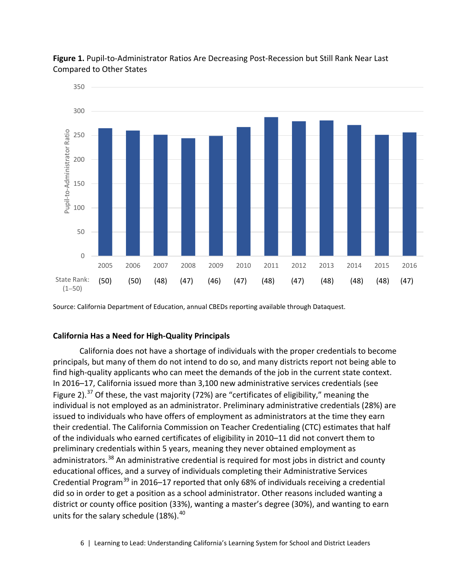



Source: California Department of Education, annual CBEDs reporting available through Dataquest.

#### **California Has a Need for High-Quality Principals**

California does not have a shortage of individuals with the proper credentials to become principals, but many of them do not intend to do so, and many districts report not being able to find high-quality applicants who can meet the demands of the job in the current state context. In 2016–17, California issued more than 3,100 new administrative services credentials (see Figure 2).<sup>[37](#page-71-2)</sup> Of these, the vast majority (72%) are "certificates of eligibility," meaning the individual is not employed as an administrator. Preliminary administrative credentials (28%) are issued to individuals who have offers of employment as administrators at the time they earn their credential. The California Commission on Teacher Credentialing (CTC) estimates that half of the individuals who earned certificates of eligibility in 2010–11 did not convert them to preliminary credentials within 5 years, meaning they never obtained employment as administrators.<sup>[38](#page-71-3)</sup> An administrative credential is required for most jobs in district and county educational offices, and a survey of individuals completing their Administrative Services Credential Program<sup>[39](#page-71-4)</sup> in 2016–17 reported that only 68% of individuals receiving a credential did so in order to get a position as a school administrator. Other reasons included wanting a district or county office position (33%), wanting a master's degree (30%), and wanting to earn units for the salary schedule  $(18\%)$ .<sup>[40](#page-71-5)</sup>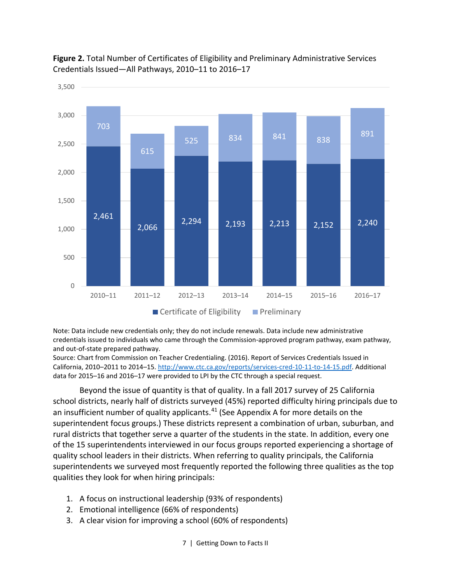

**Figure 2.** Total Number of Certificates of Eligibility and Preliminary Administrative Services Credentials Issued—All Pathways, 2010–11 to 2016–17

Note: Data include new credentials only; they do not include renewals. Data include new administrative credentials issued to individuals who came through the Commission-approved program pathway, exam pathway, and out-of-state prepared pathway.

Source: Chart from Commission on Teacher Credentialing. (2016). Report of Services Credentials Issued in California, 2010–2011 to 2014–15. [http://www.ctc.ca.gov/reports/services-cred-10-11-to-14-15.pdf.](http://www.ctc.ca.gov/reports/services-cred-10-11-to-14-15.pdf) Additional data for 2015–16 and 2016–17 were provided to LPI by the CTC through a special request.

Beyond the issue of quantity is that of quality. In a fall 2017 survey of 25 California school districts, nearly half of districts surveyed (45%) reported difficulty hiring principals due to an insufficient number of quality applicants. $41$  (See Appendix A for more details on the superintendent focus groups.) These districts represent a combination of urban, suburban, and rural districts that together serve a quarter of the students in the state. In addition, every one of the 15 superintendents interviewed in our focus groups reported experiencing a shortage of quality school leaders in their districts. When referring to quality principals, the California superintendents we surveyed most frequently reported the following three qualities as the top qualities they look for when hiring principals:

- 1. A focus on instructional leadership (93% of respondents)
- 2. Emotional intelligence (66% of respondents)
- 3. A clear vision for improving a school (60% of respondents)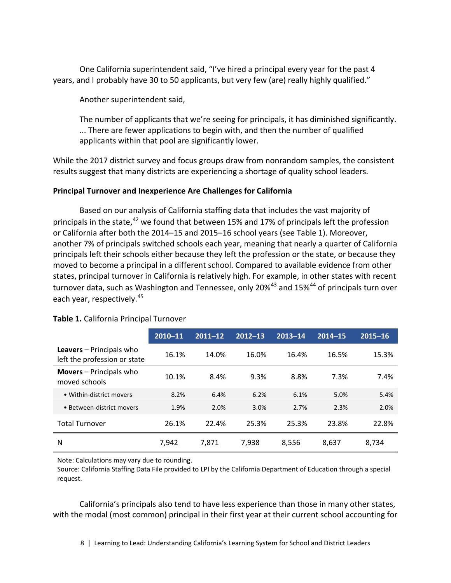One California superintendent said, "I've hired a principal every year for the past 4 years, and I probably have 30 to 50 applicants, but very few (are) really highly qualified."

Another superintendent said,

The number of applicants that we're seeing for principals, it has diminished significantly. ... There are fewer applications to begin with, and then the number of qualified applicants within that pool are significantly lower.

While the 2017 district survey and focus groups draw from nonrandom samples, the consistent results suggest that many districts are experiencing a shortage of quality school leaders.

#### **Principal Turnover and Inexperience Are Challenges for California**

Based on our analysis of California staffing data that includes the vast majority of principals in the state, $^{42}$  $^{42}$  $^{42}$  we found that between 15% and 17% of principals left the profession or California after both the 2014–15 and 2015–16 school years (see Table 1). Moreover, another 7% of principals switched schools each year, meaning that nearly a quarter of California principals left their schools either because they left the profession or the state, or because they moved to become a principal in a different school. Compared to available evidence from other states, principal turnover in California is relatively high. For example, in other states with recent turnover data, such as Washington and Tennessee, only 20%<sup>[43](#page-71-8)</sup> and 15%<sup>[44](#page-71-9)</sup> of principals turn over each year, respectively.<sup>[45](#page-72-0)</sup>

|                                                                 | 2010-11 | $2011 - 12$ | $2012 - 13$ | $2013 - 14$ | $2014 - 15$ | $2015 - 16$ |
|-----------------------------------------------------------------|---------|-------------|-------------|-------------|-------------|-------------|
| <b>Leavers</b> – Principals who<br>left the profession or state | 16.1%   | 14.0%       | 16.0%       | 16.4%       | 16.5%       | 15.3%       |
| <b>Movers</b> – Principals who<br>moved schools                 | 10.1%   | 8.4%        | 9.3%        | 8.8%        | 7.3%        | 7.4%        |
| • Within-district movers                                        | 8.2%    | 6.4%        | 6.2%        | 6.1%        | 5.0%        | 5.4%        |
| • Between-district movers                                       | 1.9%    | 2.0%        | 3.0%        | 2.7%        | 2.3%        | 2.0%        |
| <b>Total Turnover</b>                                           | 26.1%   | 22.4%       | 25.3%       | 25.3%       | 23.8%       | 22.8%       |
| N                                                               | 7.942   | 7,871       | 7,938       | 8,556       | 8,637       | 8,734       |

#### **Table 1.** California Principal Turnover

Note: Calculations may vary due to rounding.

Source: California Staffing Data File provided to LPI by the California Department of Education through a special request.

California's principals also tend to have less experience than those in many other states, with the modal (most common) principal in their first year at their current school accounting for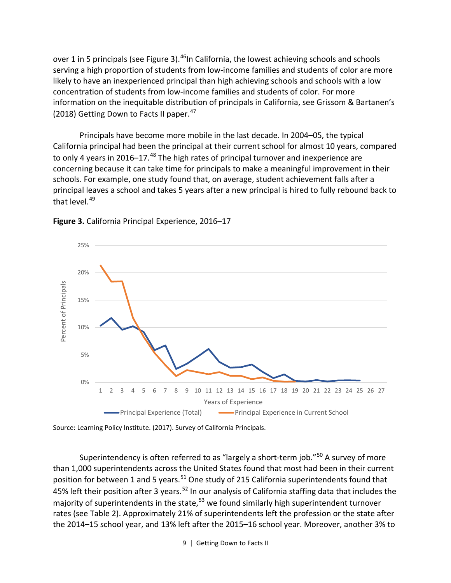over 1 in 5 principals (see Figure 3).<sup>46</sup>In California, the lowest achieving schools and schools serving a high proportion of students from low-income families and students of color are more likely to have an inexperienced principal than high achieving schools and schools with a low concentration of students from low-income families and students of color. For more information on the inequitable distribution of principals in California, see Grissom & Bartanen's (2018) Getting Down to Facts II paper.  $47$ 

Principals have become more mobile in the last decade. In 2004–05, the typical California principal had been the principal at their current school for almost 10 years, compared to only 4 years in 2016–17. $48$  The high rates of principal turnover and inexperience are concerning because it can take time for principals to make a meaningful improvement in their schools. For example, one study found that, on average, student achievement falls after a principal leaves a school and takes 5 years after a new principal is hired to fully rebound back to that level.<sup>[49](#page-72-4)</sup>



**Figure 3.** California Principal Experience, 2016–17

Source: Learning Policy Institute. (2017). Survey of California Principals.

Superintendency is often referred to as "largely a short-term job."<sup>[50](#page-72-5)</sup> A survey of more than 1,000 superintendents across the United States found that most had been in their current position for between 1 and 5 years.<sup>[51](#page-72-6)</sup> One study of 215 California superintendents found that 45% left their position after 3 years.<sup>[52](#page-72-7)</sup> In our analysis of California staffing data that includes the majority of superintendents in the state,  $53$  we found similarly high superintendent turnover rates (see Table 2). Approximately 21% of superintendents left the profession or the state after the 2014–15 school year, and 13% left after the 2015–16 school year. Moreover, another 3% to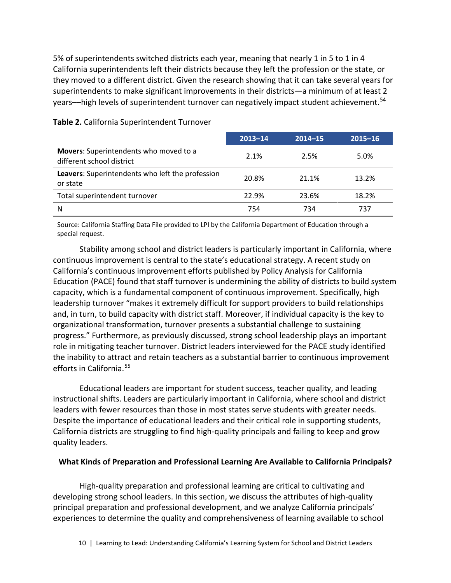5% of superintendents switched districts each year, meaning that nearly 1 in 5 to 1 in 4 California superintendents left their districts because they left the profession or the state, or they moved to a different district. Given the research showing that it can take several years for superintendents to make significant improvements in their districts—a minimum of at least 2 years—high levels of superintendent turnover can negatively impact student achievement.<sup>[54](#page-73-0)</sup>

|                                                                     | $2013 - 14$ | $2014 - 15$ | $2015 - 16$ |
|---------------------------------------------------------------------|-------------|-------------|-------------|
| Movers: Superintendents who moved to a<br>different school district | 2.1%        | 2.5%        | 5.0%        |
| Leavers: Superintendents who left the profession<br>or state        | 20.8%       | 21.1%       | 13.2%       |
| Total superintendent turnover                                       | 22.9%       | 23.6%       | 18.2%       |
| Ν                                                                   | 754         | 734         | 737         |

#### **Table 2.** California Superintendent Turnover

Source: California Staffing Data File provided to LPI by the California Department of Education through a special request.

Stability among school and district leaders is particularly important in California, where continuous improvement is central to the state's educational strategy. A recent study on California's continuous improvement efforts published by Policy Analysis for California Education (PACE) found that staff turnover is undermining the ability of districts to build system capacity, which is a fundamental component of continuous improvement. Specifically, high leadership turnover "makes it extremely difficult for support providers to build relationships and, in turn, to build capacity with district staff. Moreover, if individual capacity is the key to organizational transformation, turnover presents a substantial challenge to sustaining progress." Furthermore, as previously discussed, strong school leadership plays an important role in mitigating teacher turnover. District leaders interviewed for the PACE study identified the inability to attract and retain teachers as a substantial barrier to continuous improvement efforts in California.[55](#page-73-1)

Educational leaders are important for student success, teacher quality, and leading instructional shifts. Leaders are particularly important in California, where school and district leaders with fewer resources than those in most states serve students with greater needs. Despite the importance of educational leaders and their critical role in supporting students, California districts are struggling to find high-quality principals and failing to keep and grow quality leaders.

#### **What Kinds of Preparation and Professional Learning Are Available to California Principals?**

High-quality preparation and professional learning are critical to cultivating and developing strong school leaders. In this section, we discuss the attributes of high-quality principal preparation and professional development, and we analyze California principals' experiences to determine the quality and comprehensiveness of learning available to school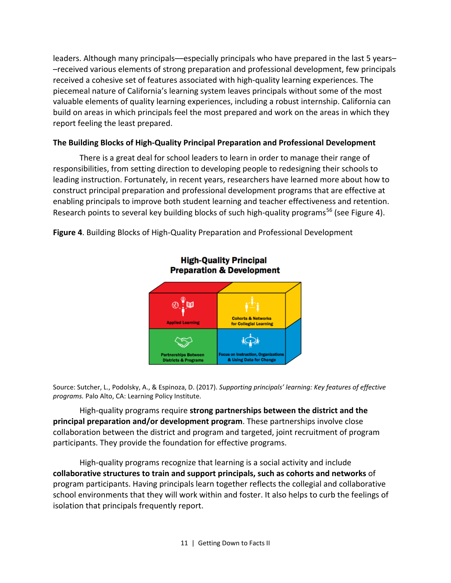leaders. Although many principals––especially principals who have prepared in the last 5 years– –received various elements of strong preparation and professional development, few principals received a cohesive set of features associated with high-quality learning experiences. The piecemeal nature of California's learning system leaves principals without some of the most valuable elements of quality learning experiences, including a robust internship. California can build on areas in which principals feel the most prepared and work on the areas in which they report feeling the least prepared.

#### **The Building Blocks of High-Quality Principal Preparation and Professional Development**

There is a great deal for school leaders to learn in order to manage their range of responsibilities, from setting direction to developing people to redesigning their schools to leading instruction. Fortunately, in recent years, researchers have learned more about how to construct principal preparation and professional development programs that are effective at enabling principals to improve both student learning and teacher effectiveness and retention. Research points to several key building blocks of such high-quality programs<sup>[56](#page-73-2)</sup> (see Figure 4).

**Figure 4**. Building Blocks of High-Quality Preparation and Professional Development

![](_page_14_Figure_4.jpeg)

Source: Sutcher, L., Podolsky, A., & Espinoza, D. (2017). *Supporting principals' learning: Key features of effective programs.* Palo Alto, CA: Learning Policy Institute.

High-quality programs require **strong partnerships between the district and the principal preparation and/or development program**. These partnerships involve close collaboration between the district and program and targeted, joint recruitment of program participants. They provide the foundation for effective programs.

High-quality programs recognize that learning is a social activity and include **collaborative structures to train and support principals, such as cohorts and networks** of program participants. Having principals learn together reflects the collegial and collaborative school environments that they will work within and foster. It also helps to curb the feelings of isolation that principals frequently report.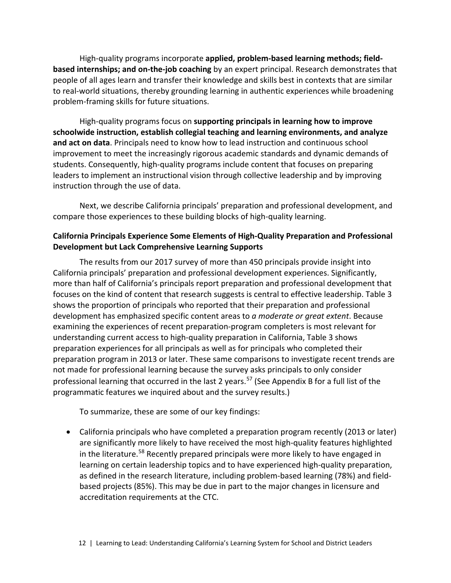High-quality programs incorporate **applied, problem-based learning methods; fieldbased internships; and on-the-job coaching** by an expert principal. Research demonstrates that people of all ages learn and transfer their knowledge and skills best in contexts that are similar to real-world situations, thereby grounding learning in authentic experiences while broadening problem-framing skills for future situations.

High-quality programs focus on **supporting principals in learning how to improve schoolwide instruction, establish collegial teaching and learning environments, and analyze and act on data**. Principals need to know how to lead instruction and continuous school improvement to meet the increasingly rigorous academic standards and dynamic demands of students. Consequently, high-quality programs include content that focuses on preparing leaders to implement an instructional vision through collective leadership and by improving instruction through the use of data.

Next, we describe California principals' preparation and professional development, and compare those experiences to these building blocks of high-quality learning.

#### **California Principals Experience Some Elements of High-Quality Preparation and Professional Development but Lack Comprehensive Learning Supports**

The results from our 2017 survey of more than 450 principals provide insight into California principals' preparation and professional development experiences. Significantly, more than half of California's principals report preparation and professional development that focuses on the kind of content that research suggests is central to effective leadership. Table 3 shows the proportion of principals who reported that their preparation and professional development has emphasized specific content areas to *a moderate or great extent*. Because examining the experiences of recent preparation-program completers is most relevant for understanding current access to high-quality preparation in California, Table 3 shows preparation experiences for all principals as well as for principals who completed their preparation program in 2013 or later. These same comparisons to investigate recent trends are not made for professional learning because the survey asks principals to only consider professional learning that occurred in the last 2 years.<sup>[57](#page-73-3)</sup> (See Appendix B for a full list of the programmatic features we inquired about and the survey results.)

To summarize, these are some of our key findings:

• California principals who have completed a preparation program recently (2013 or later) are significantly more likely to have received the most high-quality features highlighted in the literature.<sup>[58](#page-73-4)</sup> Recently prepared principals were more likely to have engaged in learning on certain leadership topics and to have experienced high-quality preparation, as defined in the research literature, including problem-based learning (78%) and fieldbased projects (85%). This may be due in part to the major changes in licensure and accreditation requirements at the CTC.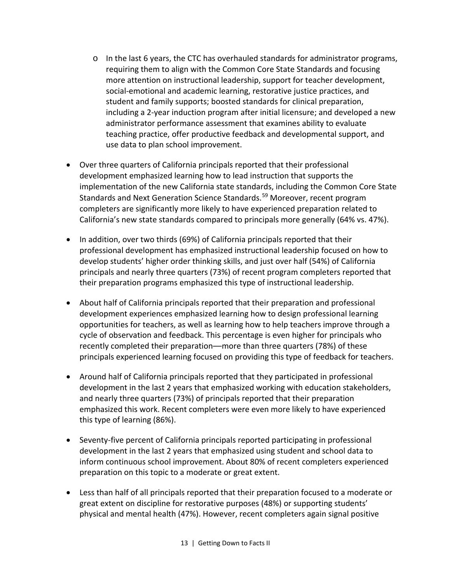- $\circ$  In the last 6 years, the CTC has overhauled standards for administrator programs, requiring them to align with the Common Core State Standards and focusing more attention on instructional leadership, support for teacher development, social-emotional and academic learning, restorative justice practices, and student and family supports; boosted standards for clinical preparation, including a 2-year induction program after initial licensure; and developed a new administrator performance assessment that examines ability to evaluate teaching practice, offer productive feedback and developmental support, and use data to plan school improvement.
- Over three quarters of California principals reported that their professional development emphasized learning how to lead instruction that supports the implementation of the new California state standards, including the Common Core State Standards and Next Generation Science Standards.<sup>[59](#page-73-5)</sup> Moreover, recent program completers are significantly more likely to have experienced preparation related to California's new state standards compared to principals more generally (64% vs. 47%).
- In addition, over two thirds (69%) of California principals reported that their professional development has emphasized instructional leadership focused on how to develop students' higher order thinking skills, and just over half (54%) of California principals and nearly three quarters (73%) of recent program completers reported that their preparation programs emphasized this type of instructional leadership.
- About half of California principals reported that their preparation and professional development experiences emphasized learning how to design professional learning opportunities for teachers, as well as learning how to help teachers improve through a cycle of observation and feedback. This percentage is even higher for principals who recently completed their preparation––more than three quarters (78%) of these principals experienced learning focused on providing this type of feedback for teachers.
- Around half of California principals reported that they participated in professional development in the last 2 years that emphasized working with education stakeholders, and nearly three quarters (73%) of principals reported that their preparation emphasized this work. Recent completers were even more likely to have experienced this type of learning (86%).
- Seventy-five percent of California principals reported participating in professional development in the last 2 years that emphasized using student and school data to inform continuous school improvement. About 80% of recent completers experienced preparation on this topic to a moderate or great extent.
- Less than half of all principals reported that their preparation focused to a moderate or great extent on discipline for restorative purposes (48%) or supporting students' physical and mental health (47%). However, recent completers again signal positive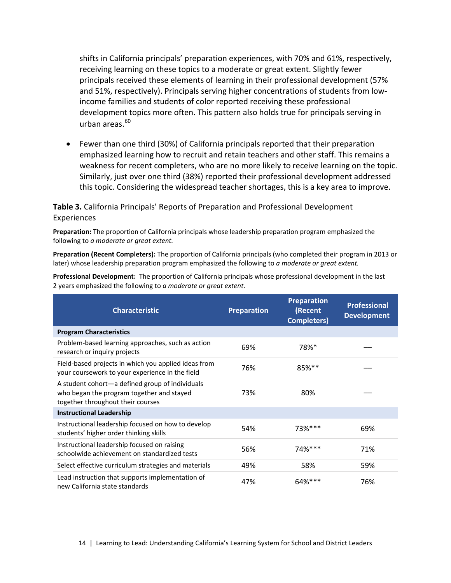shifts in California principals' preparation experiences, with 70% and 61%, respectively, receiving learning on these topics to a moderate or great extent. Slightly fewer principals received these elements of learning in their professional development (57% and 51%, respectively). Principals serving higher concentrations of students from lowincome families and students of color reported receiving these professional development topics more often. This pattern also holds true for principals serving in urban areas. $60$ 

• Fewer than one third (30%) of California principals reported that their preparation emphasized learning how to recruit and retain teachers and other staff. This remains a weakness for recent completers, who are no more likely to receive learning on the topic. Similarly, just over one third (38%) reported their professional development addressed this topic. Considering the widespread teacher shortages, this is a key area to improve.

#### **Table 3.** California Principals' Reports of Preparation and Professional Development Experiences

**Preparation:** The proportion of California principals whose leadership preparation program emphasized the following to *a moderate or great extent.*

**Preparation (Recent Completers):** The proportion of California principals (who completed their program in 2013 or later) whose leadership preparation program emphasized the following to *a moderate or great extent.*

**Professional Development:** The proportion of California principals whose professional development in the last 2 years emphasized the following to *a moderate or great extent.*

| <b>Characteristic</b>                                                                                                             | <b>Preparation</b> | <b>Preparation</b><br>(Recent<br><b>Completers)</b> | <b>Professional</b><br><b>Development</b> |
|-----------------------------------------------------------------------------------------------------------------------------------|--------------------|-----------------------------------------------------|-------------------------------------------|
| <b>Program Characteristics</b>                                                                                                    |                    |                                                     |                                           |
| Problem-based learning approaches, such as action<br>research or inquiry projects                                                 | 69%                | 78%*                                                |                                           |
| Field-based projects in which you applied ideas from<br>your coursework to your experience in the field                           | 76%                | 85%**                                               |                                           |
| A student cohort-a defined group of individuals<br>who began the program together and stayed<br>together throughout their courses | 73%                | 80%                                                 |                                           |
| <b>Instructional Leadership</b>                                                                                                   |                    |                                                     |                                           |
| Instructional leadership focused on how to develop<br>students' higher order thinking skills                                      | 54%                | 73%***                                              | 69%                                       |
| Instructional leadership focused on raising<br>schoolwide achievement on standardized tests                                       | 56%                | 74%***                                              | 71%                                       |
| Select effective curriculum strategies and materials                                                                              | 49%                | 58%                                                 | 59%                                       |
| Lead instruction that supports implementation of<br>new California state standards                                                | 47%                | $64%***$                                            | 76%                                       |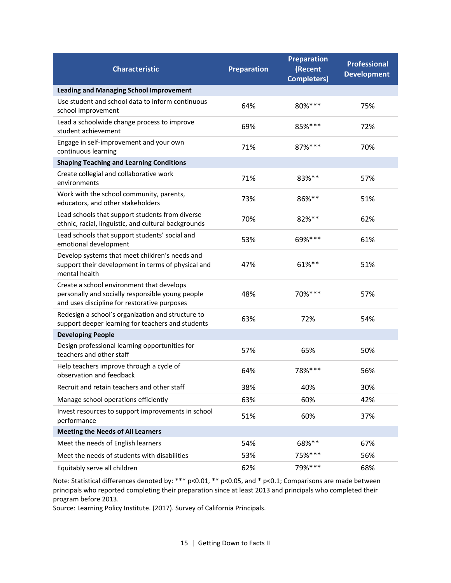| <b>Characteristic</b>                                                                                                                         | <b>Preparation</b> | <b>Preparation</b><br>(Recent<br><b>Completers)</b> | <b>Professional</b><br><b>Development</b> |
|-----------------------------------------------------------------------------------------------------------------------------------------------|--------------------|-----------------------------------------------------|-------------------------------------------|
| <b>Leading and Managing School Improvement</b>                                                                                                |                    |                                                     |                                           |
| Use student and school data to inform continuous<br>school improvement                                                                        | 64%                | 80%***                                              | 75%                                       |
| Lead a schoolwide change process to improve<br>student achievement                                                                            | 69%                | 85% ***                                             | 72%                                       |
| Engage in self-improvement and your own<br>continuous learning                                                                                | 71%                | 87%***                                              | 70%                                       |
| <b>Shaping Teaching and Learning Conditions</b>                                                                                               |                    |                                                     |                                           |
| Create collegial and collaborative work<br>environments                                                                                       | 71%                | 83%**                                               | 57%                                       |
| Work with the school community, parents,<br>educators, and other stakeholders                                                                 | 73%                | 86%**                                               | 51%                                       |
| Lead schools that support students from diverse<br>ethnic, racial, linguistic, and cultural backgrounds                                       | 70%                | 82%**                                               | 62%                                       |
| Lead schools that support students' social and<br>emotional development                                                                       | 53%                | 69%***                                              | 61%                                       |
| Develop systems that meet children's needs and<br>support their development in terms of physical and<br>mental health                         | 47%                | 61%**                                               | 51%                                       |
| Create a school environment that develops<br>personally and socially responsible young people<br>and uses discipline for restorative purposes | 48%                | 70%***                                              | 57%                                       |
| Redesign a school's organization and structure to<br>support deeper learning for teachers and students                                        | 63%                | 72%                                                 | 54%                                       |
| <b>Developing People</b>                                                                                                                      |                    |                                                     |                                           |
| Design professional learning opportunities for<br>teachers and other staff                                                                    | 57%                | 65%                                                 | 50%                                       |
| Help teachers improve through a cycle of<br>observation and feedback                                                                          | 64%                | 78%***                                              | 56%                                       |
| Recruit and retain teachers and other staff                                                                                                   | 38%                | 40%                                                 | 30%                                       |
| Manage school operations efficiently                                                                                                          | 63%                | 60%                                                 | 42%                                       |
| Invest resources to support improvements in school<br>performance                                                                             | 51%                | 60%                                                 | 37%                                       |
| <b>Meeting the Needs of All Learners</b>                                                                                                      |                    |                                                     |                                           |
| Meet the needs of English learners                                                                                                            | 54%                | 68%**                                               | 67%                                       |
| Meet the needs of students with disabilities                                                                                                  | 53%                | 75% ***                                             | 56%                                       |
| Equitably serve all children                                                                                                                  | 62%                | 79%***                                              | 68%                                       |

Note: Statistical differences denoted by: \*\*\* p<0.01, \*\* p<0.05, and \* p<0.1; Comparisons are made between principals who reported completing their preparation since at least 2013 and principals who completed their program before 2013.

Source: Learning Policy Institute. (2017). Survey of California Principals.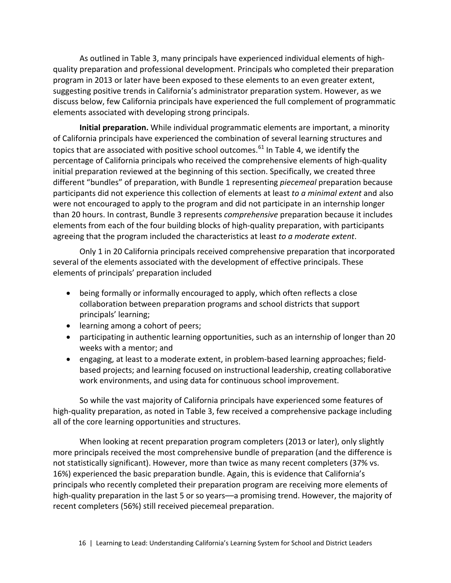As outlined in Table 3, many principals have experienced individual elements of highquality preparation and professional development. Principals who completed their preparation program in 2013 or later have been exposed to these elements to an even greater extent, suggesting positive trends in California's administrator preparation system. However, as we discuss below, few California principals have experienced the full complement of programmatic elements associated with developing strong principals.

**Initial preparation.** While individual programmatic elements are important, a minority of California principals have experienced the combination of several learning structures and topics that are associated with positive school outcomes.<sup>[61](#page-73-7)</sup> In Table 4, we identify the percentage of California principals who received the comprehensive elements of high-quality initial preparation reviewed at the beginning of this section. Specifically, we created three different "bundles" of preparation, with Bundle 1 representing *piecemeal* preparation because participants did not experience this collection of elements at least *to a minimal extent* and also were not encouraged to apply to the program and did not participate in an internship longer than 20 hours. In contrast, Bundle 3 represents *comprehensive* preparation because it includes elements from each of the four building blocks of high-quality preparation, with participants agreeing that the program included the characteristics at least *to a moderate extent*.

Only 1 in 20 California principals received comprehensive preparation that incorporated several of the elements associated with the development of effective principals. These elements of principals' preparation included

- being formally or informally encouraged to apply, which often reflects a close collaboration between preparation programs and school districts that support principals' learning;
- learning among a cohort of peers;
- participating in authentic learning opportunities, such as an internship of longer than 20 weeks with a mentor; and
- engaging, at least to a moderate extent, in problem-based learning approaches; fieldbased projects; and learning focused on instructional leadership, creating collaborative work environments, and using data for continuous school improvement.

So while the vast majority of California principals have experienced some features of high-quality preparation, as noted in Table 3, few received a comprehensive package including all of the core learning opportunities and structures.

When looking at recent preparation program completers (2013 or later), only slightly more principals received the most comprehensive bundle of preparation (and the difference is not statistically significant). However, more than twice as many recent completers (37% vs. 16%) experienced the basic preparation bundle. Again, this is evidence that California's principals who recently completed their preparation program are receiving more elements of high-quality preparation in the last 5 or so years—a promising trend. However, the majority of recent completers (56%) still received piecemeal preparation.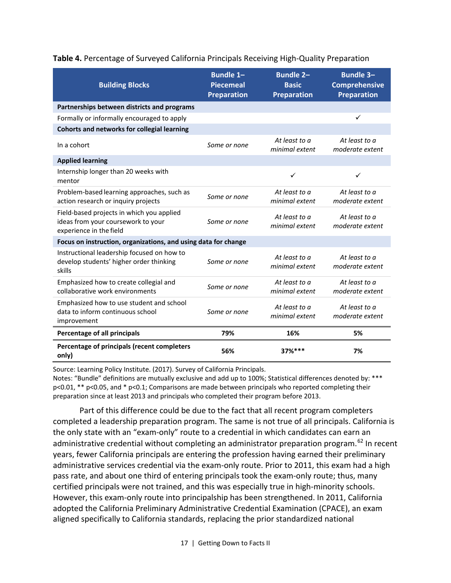| <b>Building Blocks</b>                                                                                     | <b>Bundle 1-</b><br><b>Piecemeal</b><br><b>Preparation</b> | <b>Bundle 2-</b><br><b>Basic</b><br><b>Preparation</b> | <b>Bundle 3-</b><br><b>Comprehensive</b><br><b>Preparation</b> |
|------------------------------------------------------------------------------------------------------------|------------------------------------------------------------|--------------------------------------------------------|----------------------------------------------------------------|
| Partnerships between districts and programs                                                                |                                                            |                                                        |                                                                |
| Formally or informally encouraged to apply                                                                 |                                                            |                                                        | $\checkmark$                                                   |
| <b>Cohorts and networks for collegial learning</b>                                                         |                                                            |                                                        |                                                                |
| In a cohort                                                                                                | Some or none                                               | At least to a<br>minimal extent                        | At least to a<br>moderate extent                               |
| <b>Applied learning</b>                                                                                    |                                                            |                                                        |                                                                |
| Internship longer than 20 weeks with<br>mentor                                                             |                                                            | $\checkmark$                                           | ✓                                                              |
| Problem-based learning approaches, such as<br>action research or inquiry projects                          | Some or none                                               | At least to a<br>minimal extent                        | At least to a<br>moderate extent                               |
| Field-based projects in which you applied<br>ideas from your coursework to your<br>experience in the field | Some or none                                               | At least to a<br>minimal extent                        | At least to a<br>moderate extent                               |
| Focus on instruction, organizations, and using data for change                                             |                                                            |                                                        |                                                                |
| Instructional leadership focused on how to<br>develop students' higher order thinking<br>skills            | Some or none                                               | At least to a<br>minimal extent                        | At least to a<br>moderate extent                               |
| Emphasized how to create collegial and<br>collaborative work environments                                  | Some or none                                               | At least to a<br>minimal extent                        | At least to a<br>moderate extent                               |
| Emphasized how to use student and school<br>data to inform continuous school<br>improvement                | Some or none                                               | At least to a<br>minimal extent                        | At least to a<br>moderate extent                               |
| Percentage of all principals                                                                               | 79%                                                        | 16%                                                    | 5%                                                             |
| Percentage of principals (recent completers<br>only)                                                       | 56%                                                        | 37%***                                                 | 7%                                                             |

#### **Table 4.** Percentage of Surveyed California Principals Receiving High-Quality Preparation

Source: Learning Policy Institute. (2017). Survey of California Principals.

Notes: "Bundle" definitions are mutually exclusive and add up to 100%; Statistical differences denoted by: \*\*\* p<0.01, \*\* p<0.05, and \* p<0.1; Comparisons are made between principals who reported completing their preparation since at least 2013 and principals who completed their program before 2013.

Part of this difference could be due to the fact that all recent program completers completed a leadership preparation program. The same is not true of all principals. California is the only state with an "exam-only" route to a credential in which candidates can earn an administrative credential without completing an administrator preparation program.<sup>[62](#page-74-0)</sup> In recent years, fewer California principals are entering the profession having earned their preliminary administrative services credential via the exam-only route. Prior to 2011, this exam had a high pass rate, and about one third of entering principals took the exam-only route; thus, many certified principals were not trained, and this was especially true in high-minority schools. However, this exam-only route into principalship has been strengthened. In 2011, California adopted the California Preliminary Administrative Credential Examination (CPACE), an exam aligned specifically to California standards, replacing the prior standardized national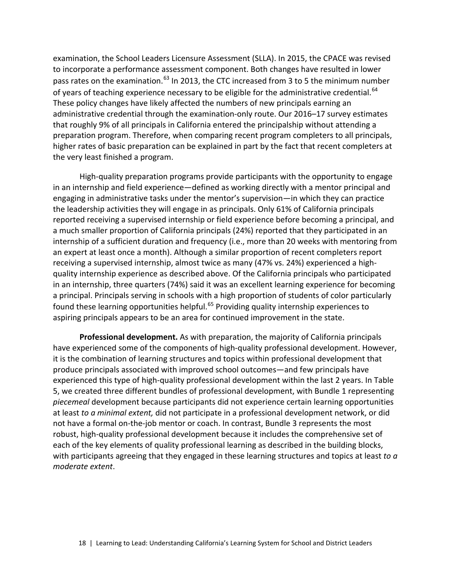examination, the School Leaders Licensure Assessment (SLLA). In 2015, the CPACE was revised to incorporate a performance assessment component. Both changes have resulted in lower pass rates on the examination.<sup>[63](#page-74-1)</sup> In 2013, the CTC increased from 3 to 5 the minimum number of years of teaching experience necessary to be eligible for the administrative credential.<sup>[64](#page-74-2)</sup> These policy changes have likely affected the numbers of new principals earning an administrative credential through the examination-only route. Our 2016–17 survey estimates that roughly 9% of all principals in California entered the principalship without attending a preparation program. Therefore, when comparing recent program completers to all principals, higher rates of basic preparation can be explained in part by the fact that recent completers at the very least finished a program.

High-quality preparation programs provide participants with the opportunity to engage in an internship and field experience—defined as working directly with a mentor principal and engaging in administrative tasks under the mentor's supervision—in which they can practice the leadership activities they will engage in as principals. Only 61% of California principals reported receiving a supervised internship or field experience before becoming a principal, and a much smaller proportion of California principals (24%) reported that they participated in an internship of a sufficient duration and frequency (i.e., more than 20 weeks with mentoring from an expert at least once a month). Although a similar proportion of recent completers report receiving a supervised internship, almost twice as many (47% vs. 24%) experienced a highquality internship experience as described above. Of the California principals who participated in an internship, three quarters (74%) said it was an excellent learning experience for becoming a principal. Principals serving in schools with a high proportion of students of color particularly found these learning opportunities helpful.<sup>[65](#page-74-3)</sup> Providing quality internship experiences to aspiring principals appears to be an area for continued improvement in the state.

**Professional development.** As with preparation, the majority of California principals have experienced some of the components of high-quality professional development. However, it is the combination of learning structures and topics within professional development that produce principals associated with improved school outcomes—and few principals have experienced this type of high-quality professional development within the last 2 years. In Table 5, we created three different bundles of professional development, with Bundle 1 representing *piecemeal* development because participants did not experience certain learning opportunities at least *to a minimal extent,* did not participate in a professional development network, or did not have a formal on-the-job mentor or coach. In contrast, Bundle 3 represents the most robust, high-quality professional development because it includes the comprehensive set of each of the key elements of quality professional learning as described in the building blocks, with participants agreeing that they engaged in these learning structures and topics at least *to a moderate extent*.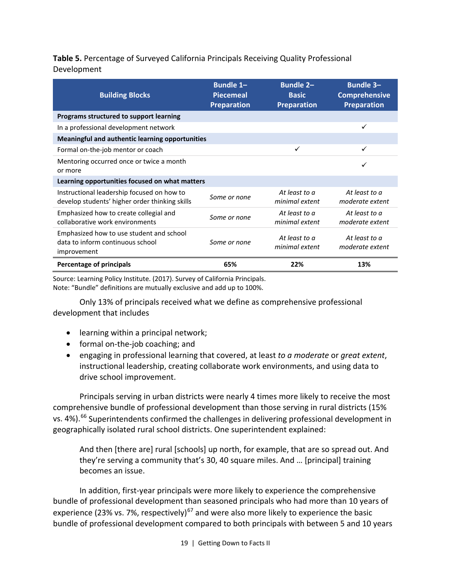#### **Table 5.** Percentage of Surveyed California Principals Receiving Quality Professional Development

| <b>Building Blocks</b>                                                                       | <b>Bundle 1-</b><br><b>Piecemeal</b><br><b>Preparation</b> | <b>Bundle 2-</b><br><b>Basic</b><br><b>Preparation</b> | <b>Bundle 3-</b><br><b>Comprehensive</b><br><b>Preparation</b> |
|----------------------------------------------------------------------------------------------|------------------------------------------------------------|--------------------------------------------------------|----------------------------------------------------------------|
| Programs structured to support learning                                                      |                                                            |                                                        |                                                                |
| In a professional development network                                                        |                                                            |                                                        | ✓                                                              |
| Meaningful and authentic learning opportunities                                              |                                                            |                                                        |                                                                |
| Formal on-the-job mentor or coach                                                            |                                                            | $\checkmark$                                           |                                                                |
| Mentoring occurred once or twice a month<br>or more                                          |                                                            |                                                        | ✓                                                              |
| Learning opportunities focused on what matters                                               |                                                            |                                                        |                                                                |
| Instructional leadership focused on how to<br>develop students' higher order thinking skills | Some or none                                               | At least to a<br>minimal extent                        | At least to a<br>moderate extent                               |
| Emphasized how to create collegial and<br>collaborative work environments                    | Some or none                                               | At least to a<br>minimal extent                        | At least to a<br>moderate extent                               |
| Emphasized how to use student and school<br>data to inform continuous school<br>improvement  | Some or none                                               | At least to a<br>minimal extent                        | At least to a<br>moderate extent                               |
| <b>Percentage of principals</b>                                                              | 65%                                                        | 22%                                                    | 13%                                                            |

Source: Learning Policy Institute. (2017). Survey of California Principals. Note: "Bundle" definitions are mutually exclusive and add up to 100%.

Only 13% of principals received what we define as comprehensive professional development that includes

- learning within a principal network;
- formal on-the-job coaching; and
- engaging in professional learning that covered, at least *to a moderate* or *great extent*, instructional leadership, creating collaborate work environments, and using data to drive school improvement.

Principals serving in urban districts were nearly 4 times more likely to receive the most comprehensive bundle of professional development than those serving in rural districts (15% vs. 4%).<sup>[66](#page-74-4)</sup> Superintendents confirmed the challenges in delivering professional development in geographically isolated rural school districts. One superintendent explained:

And then [there are] rural [schools] up north, for example, that are so spread out. And they're serving a community that's 30, 40 square miles. And … [principal] training becomes an issue.

In addition, first-year principals were more likely to experience the comprehensive bundle of professional development than seasoned principals who had more than 10 years of experience (23% vs. 7%, respectively)<sup>[67](#page-74-5)</sup> and were also more likely to experience the basic bundle of professional development compared to both principals with between 5 and 10 years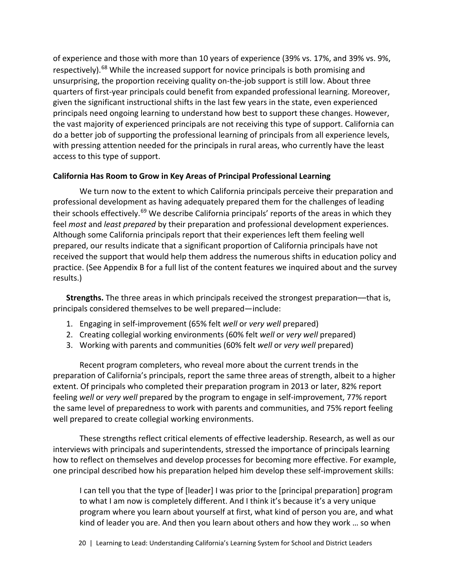of experience and those with more than 10 years of experience (39% vs. 17%, and 39% vs. 9%, respectively).<sup>[68](#page-74-6)</sup> While the increased support for novice principals is both promising and unsurprising, the proportion receiving quality on-the-job support is still low. About three quarters of first-year principals could benefit from expanded professional learning. Moreover, given the significant instructional shifts in the last few years in the state, even experienced principals need ongoing learning to understand how best to support these changes. However, the vast majority of experienced principals are not receiving this type of support. California can do a better job of supporting the professional learning of principals from all experience levels, with pressing attention needed for the principals in rural areas, who currently have the least access to this type of support.

#### **California Has Room to Grow in Key Areas of Principal Professional Learning**

We turn now to the extent to which California principals perceive their preparation and professional development as having adequately prepared them for the challenges of leading their schools effectively.<sup>[69](#page-74-7)</sup> We describe California principals' reports of the areas in which they feel *most* and *least prepared* by their preparation and professional development experiences. Although some California principals report that their experiences left them feeling well prepared, our results indicate that a significant proportion of California principals have not received the support that would help them address the numerous shifts in education policy and practice. (See Appendix B for a full list of the content features we inquired about and the survey results.)

**Strengths.** The three areas in which principals received the strongest preparation––that is, principals considered themselves to be well prepared—include:

- 1. Engaging in self-improvement (65% felt *well* or *very well* prepared)
- 2. Creating collegial working environments (60% felt *well* or *very well* prepared)
- 3. Working with parents and communities (60% felt *well* or *very well* prepared)

Recent program completers, who reveal more about the current trends in the preparation of California's principals, report the same three areas of strength, albeit to a higher extent. Of principals who completed their preparation program in 2013 or later, 82% report feeling *well* or *very well* prepared by the program to engage in self-improvement, 77% report the same level of preparedness to work with parents and communities, and 75% report feeling well prepared to create collegial working environments.

These strengths reflect critical elements of effective leadership. Research, as well as our interviews with principals and superintendents, stressed the importance of principals learning how to reflect on themselves and develop processes for becoming more effective. For example, one principal described how his preparation helped him develop these self-improvement skills:

I can tell you that the type of [leader] I was prior to the [principal preparation] program to what I am now is completely different. And I think it's because it's a very unique program where you learn about yourself at first, what kind of person you are, and what kind of leader you are. And then you learn about others and how they work … so when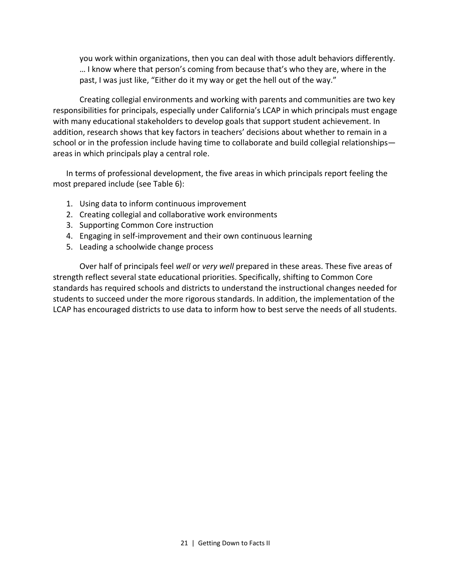you work within organizations, then you can deal with those adult behaviors differently. … I know where that person's coming from because that's who they are, where in the past, I was just like, "Either do it my way or get the hell out of the way."

Creating collegial environments and working with parents and communities are two key responsibilities for principals, especially under California's LCAP in which principals must engage with many educational stakeholders to develop goals that support student achievement. In addition, research shows that key factors in teachers' decisions about whether to remain in a school or in the profession include having time to collaborate and build collegial relationships areas in which principals play a central role.

In terms of professional development, the five areas in which principals report feeling the most prepared include (see Table 6):

- 1. Using data to inform continuous improvement
- 2. Creating collegial and collaborative work environments
- 3. Supporting Common Core instruction
- 4. Engaging in self-improvement and their own continuous learning
- 5. Leading a schoolwide change process

Over half of principals feel *well* or *very well* prepared in these areas. These five areas of strength reflect several state educational priorities. Specifically, shifting to Common Core standards has required schools and districts to understand the instructional changes needed for students to succeed under the more rigorous standards. In addition, the implementation of the LCAP has encouraged districts to use data to inform how to best serve the needs of all students.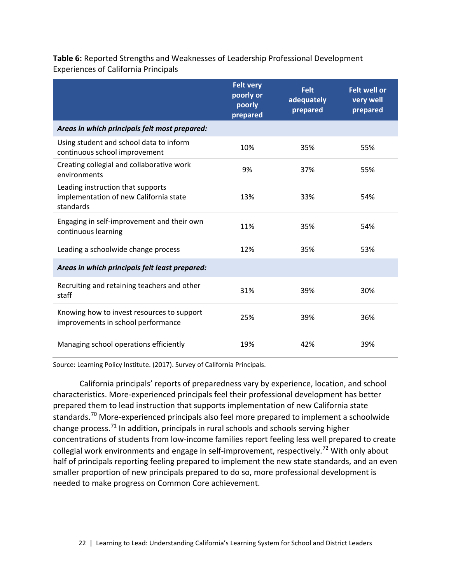**Table 6:** Reported Strengths and Weaknesses of Leadership Professional Development Experiences of California Principals

|                                                                                          | <b>Felt very</b><br>poorly or<br>poorly<br>prepared | <b>Felt</b><br>adequately<br>prepared | <b>Felt well or</b><br>very well<br>prepared |
|------------------------------------------------------------------------------------------|-----------------------------------------------------|---------------------------------------|----------------------------------------------|
| Areas in which principals felt most prepared:                                            |                                                     |                                       |                                              |
| Using student and school data to inform<br>continuous school improvement                 | 10%                                                 | 35%                                   | 55%                                          |
| Creating collegial and collaborative work<br>environments                                | 9%                                                  | 37%                                   | 55%                                          |
| Leading instruction that supports<br>implementation of new California state<br>standards | 13%                                                 | 33%                                   | 54%                                          |
| Engaging in self-improvement and their own<br>continuous learning                        | 11%                                                 | 35%                                   | 54%                                          |
| Leading a schoolwide change process                                                      | 12%                                                 | 35%                                   | 53%                                          |
| Areas in which principals felt least prepared:                                           |                                                     |                                       |                                              |
| Recruiting and retaining teachers and other<br>staff                                     | 31%                                                 | 39%                                   | 30%                                          |
| Knowing how to invest resources to support<br>improvements in school performance         | 25%                                                 | 39%                                   | 36%                                          |
| Managing school operations efficiently                                                   | 19%                                                 | 42%                                   | 39%                                          |

Source: Learning Policy Institute. (2017). Survey of California Principals.

California principals' reports of preparedness vary by experience, location, and school characteristics. More-experienced principals feel their professional development has better prepared them to lead instruction that supports implementation of new California state standards.<sup>[70](#page-74-8)</sup> More-experienced principals also feel more prepared to implement a schoolwide change process. $71$  In addition, principals in rural schools and schools serving higher concentrations of students from low-income families report feeling less well prepared to create collegial work environments and engage in self-improvement, respectively.<sup>[72](#page-75-0)</sup> With only about half of principals reporting feeling prepared to implement the new state standards, and an even smaller proportion of new principals prepared to do so, more professional development is needed to make progress on Common Core achievement.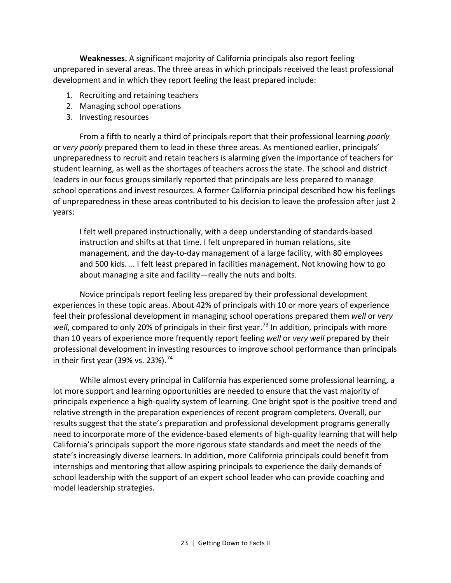**Weaknesses.** A significant majority of California principals also report feeling unprepared in several areas. The three areas in which principals received the least professional development and in which they report feeling the least prepared include:

- 1. Recruiting and retaining teachers
- 2. Managing school operations
- 3. Investing resources

From a fifth to nearly a third of principals report that their professional learning *poorly*  or *very poorly* prepared them to lead in these three areas. As mentioned earlier, principals' unpreparedness to recruit and retain teachers is alarming given the importance of teachers for student learning, as well as the shortages of teachers across the state. The school and district leaders in our focus groups similarly reported that principals are less prepared to manage school operations and invest resources. A former California principal described how his feelings of unpreparedness in these areas contributed to his decision to leave the profession after just 2 years:

I felt well prepared instructionally, with a deep understanding of standards-based instruction and shifts at that time. I felt unprepared in human relations, site management, and the day-to-day management of a large facility, with 80 employees and 500 kids. … I felt least prepared in facilities management. Not knowing how to go about managing a site and facility—really the nuts and bolts.

Novice principals report feeling less prepared by their professional development experiences in these topic areas. About 42% of principals with 10 or more years of experience feel their professional development in managing school operations prepared them *well* or *very well*, compared to only 20% of principals in their first year.<sup>[73](#page-75-1)</sup> In addition, principals with more than 10 years of experience more frequently report feeling *well* or *very well* prepared by their professional development in investing resources to improve school performance than principals in their first year (39% vs. 23%).<sup>[74](#page-75-2)</sup>

While almost every principal in California has experienced some professional learning, a lot more support and learning opportunities are needed to ensure that the vast majority of principals experience a high-quality system of learning. One bright spot is the positive trend and relative strength in the preparation experiences of recent program completers. Overall, our results suggest that the state's preparation and professional development programs generally need to incorporate more of the evidence-based elements of high-quality learning that will help California's principals support the more rigorous state standards and meet the needs of the state's increasingly diverse learners. In addition, more California principals could benefit from internships and mentoring that allow aspiring principals to experience the daily demands of school leadership with the support of an expert school leader who can provide coaching and model leadership strategies.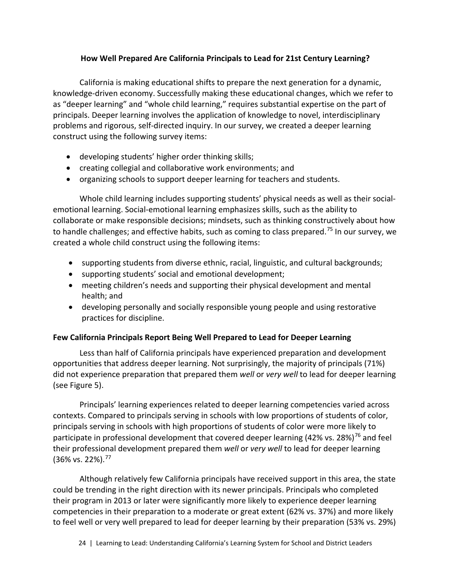#### **How Well Prepared Are California Principals to Lead for 21st Century Learning?**

California is making educational shifts to prepare the next generation for a dynamic, knowledge-driven economy. Successfully making these educational changes, which we refer to as "deeper learning" and "whole child learning," requires substantial expertise on the part of principals. Deeper learning involves the application of knowledge to novel, interdisciplinary problems and rigorous, self-directed inquiry. In our survey, we created a deeper learning construct using the following survey items:

- developing students' higher order thinking skills;
- creating collegial and collaborative work environments; and
- organizing schools to support deeper learning for teachers and students.

Whole child learning includes supporting students' physical needs as well as their socialemotional learning. Social-emotional learning emphasizes skills, such as the ability to collaborate or make responsible decisions; mindsets, such as thinking constructively about how to handle challenges; and effective habits, such as coming to class prepared.<sup>[75](#page-75-3)</sup> In our survey, we created a whole child construct using the following items:

- supporting students from diverse ethnic, racial, linguistic, and cultural backgrounds;
- supporting students' social and emotional development;
- meeting children's needs and supporting their physical development and mental health; and
- developing personally and socially responsible young people and using restorative practices for discipline.

#### **Few California Principals Report Being Well Prepared to Lead for Deeper Learning**

Less than half of California principals have experienced preparation and development opportunities that address deeper learning. Not surprisingly, the majority of principals (71%) did not experience preparation that prepared them *well* or *very well* to lead for deeper learning (see Figure 5).

Principals' learning experiences related to deeper learning competencies varied across contexts. Compared to principals serving in schools with low proportions of students of color, principals serving in schools with high proportions of students of color were more likely to participate in professional development that covered deeper learning (42% vs. 28%)<sup>[76](#page-75-4)</sup> and feel their professional development prepared them *well* or *very well* to lead for deeper learning (36% vs. 22%). [77](#page-75-5)

Although relatively few California principals have received support in this area, the state could be trending in the right direction with its newer principals. Principals who completed their program in 2013 or later were significantly more likely to experience deeper learning competencies in their preparation to a moderate or great extent (62% vs. 37%) and more likely to feel well or very well prepared to lead for deeper learning by their preparation (53% vs. 29%)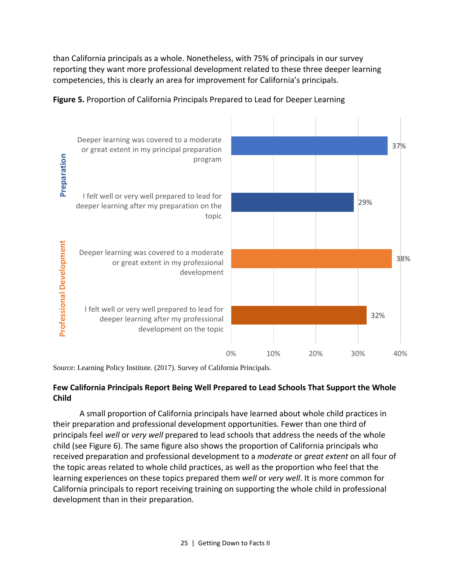than California principals as a whole. Nonetheless, with 75% of principals in our survey reporting they want more professional development related to these three deeper learning competencies, this is clearly an area for improvement for California's principals.

![](_page_28_Figure_1.jpeg)

![](_page_28_Figure_2.jpeg)

Source: Learning Policy Institute. (2017). Survey of California Principals.

#### **Few California Principals Report Being Well Prepared to Lead Schools That Support the Whole Child**

A small proportion of California principals have learned about whole child practices in their preparation and professional development opportunities. Fewer than one third of principals feel *well* or *very well* prepared to lead schools that address the needs of the whole child (see Figure 6). The same figure also shows the proportion of California principals who received preparation and professional development to a *moderate* or *great extent* on all four of the topic areas related to whole child practices, as well as the proportion who feel that the learning experiences on these topics prepared them *well* or *very well*. It is more common for California principals to report receiving training on supporting the whole child in professional development than in their preparation.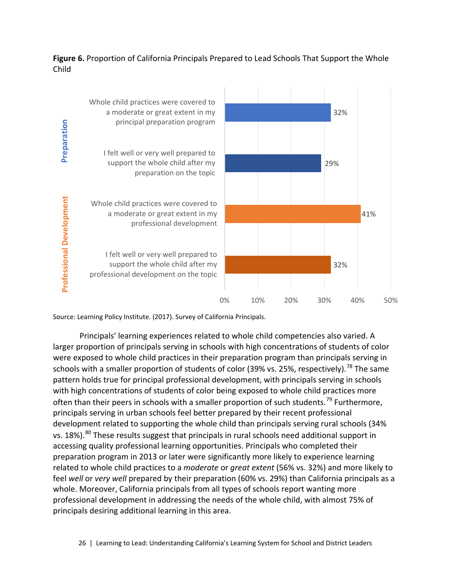#### **Figure 6.** Proportion of California Principals Prepared to Lead Schools That Support the Whole Child

![](_page_29_Figure_1.jpeg)

Principals' learning experiences related to whole child competencies also varied. A larger proportion of principals serving in schools with high concentrations of students of color were exposed to whole child practices in their preparation program than principals serving in schools with a smaller proportion of students of color (39% vs. 25%, respectively).<sup>[78](#page-75-6)</sup> The same pattern holds true for principal professional development, with principals serving in schools with high concentrations of students of color being exposed to whole child practices more often than their peers in schools with a smaller proportion of such students.<sup>[79](#page-75-7)</sup> Furthermore, principals serving in urban schools feel better prepared by their recent professional development related to supporting the whole child than principals serving rural schools (34% vs. 18%).<sup>[80](#page-75-8)</sup> These results suggest that principals in rural schools need additional support in accessing quality professional learning opportunities. Principals who completed their preparation program in 2013 or later were significantly more likely to experience learning related to whole child practices to a *moderate* or *great extent* (56% vs. 32%) and more likely to feel *well* or *very well* prepared by their preparation (60% vs. 29%) than California principals as a whole. Moreover, California principals from all types of schools report wanting more professional development in addressing the needs of the whole child, with almost 75% of principals desiring additional learning in this area.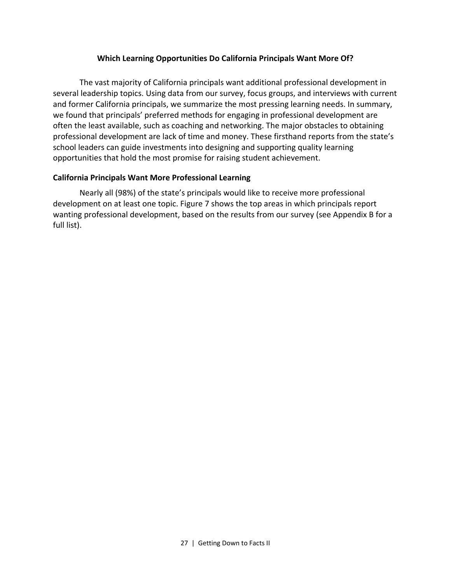#### **Which Learning Opportunities Do California Principals Want More Of?**

The vast majority of California principals want additional professional development in several leadership topics. Using data from our survey, focus groups, and interviews with current and former California principals, we summarize the most pressing learning needs. In summary, we found that principals' preferred methods for engaging in professional development are often the least available, such as coaching and networking. The major obstacles to obtaining professional development are lack of time and money. These firsthand reports from the state's school leaders can guide investments into designing and supporting quality learning opportunities that hold the most promise for raising student achievement.

#### **California Principals Want More Professional Learning**

Nearly all (98%) of the state's principals would like to receive more professional development on at least one topic. Figure 7 shows the top areas in which principals report wanting professional development, based on the results from our survey (see Appendix B for a full list).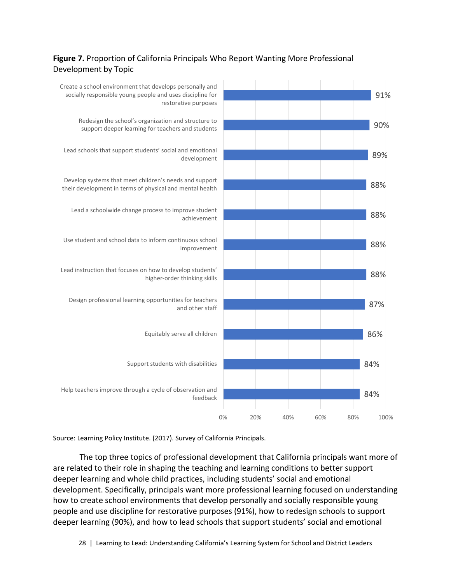#### **Figure 7.** Proportion of California Principals Who Report Wanting More Professional Development by Topic

![](_page_31_Figure_1.jpeg)

Source: Learning Policy Institute. (2017). Survey of California Principals.

The top three topics of professional development that California principals want more of are related to their role in shaping the teaching and learning conditions to better support deeper learning and whole child practices, including students' social and emotional development. Specifically, principals want more professional learning focused on understanding how to create school environments that develop personally and socially responsible young people and use discipline for restorative purposes (91%), how to redesign schools to support deeper learning (90%), and how to lead schools that support students' social and emotional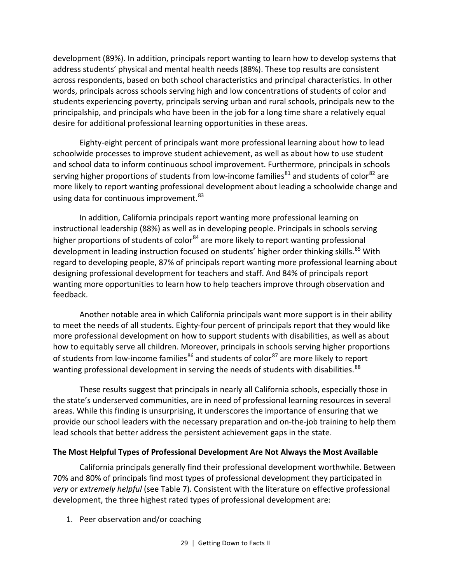development (89%). In addition, principals report wanting to learn how to develop systems that address students' physical and mental health needs (88%). These top results are consistent across respondents, based on both school characteristics and principal characteristics. In other words, principals across schools serving high and low concentrations of students of color and students experiencing poverty, principals serving urban and rural schools, principals new to the principalship, and principals who have been in the job for a long time share a relatively equal desire for additional professional learning opportunities in these areas.

Eighty-eight percent of principals want more professional learning about how to lead schoolwide processes to improve student achievement, as well as about how to use student and school data to inform continuous school improvement. Furthermore, principals in schools serving higher proportions of students from low-income families $^{81}$  $^{81}$  $^{81}$  and students of color $^{82}$  $^{82}$  $^{82}$  are more likely to report wanting professional development about leading a schoolwide change and using data for continuous improvement.<sup>[83](#page-75-11)</sup>

In addition, California principals report wanting more professional learning on instructional leadership (88%) as well as in developing people. Principals in schools serving higher proportions of students of color<sup>[84](#page-75-12)</sup> are more likely to report wanting professional development in leading instruction focused on students' higher order thinking skills.<sup>[85](#page-76-0)</sup> With regard to developing people, 87% of principals report wanting more professional learning about designing professional development for teachers and staff. And 84% of principals report wanting more opportunities to learn how to help teachers improve through observation and feedback.

Another notable area in which California principals want more support is in their ability to meet the needs of all students. Eighty-four percent of principals report that they would like more professional development on how to support students with disabilities, as well as about how to equitably serve all children. Moreover, principals in schools serving higher proportions of students from low-income families<sup>[86](#page-76-1)</sup> and students of color<sup>[87](#page-76-2)</sup> are more likely to report wanting professional development in serving the needs of students with disabilities.<sup>[88](#page-76-3)</sup>

These results suggest that principals in nearly all California schools, especially those in the state's underserved communities, are in need of professional learning resources in several areas. While this finding is unsurprising, it underscores the importance of ensuring that we provide our school leaders with the necessary preparation and on-the-job training to help them lead schools that better address the persistent achievement gaps in the state.

#### **The Most Helpful Types of Professional Development Are Not Always the Most Available**

California principals generally find their professional development worthwhile. Between 70% and 80% of principals find most types of professional development they participated in *very* or *extremely helpful* (see Table 7). Consistent with the literature on effective professional development, the three highest rated types of professional development are:

1. Peer observation and/or coaching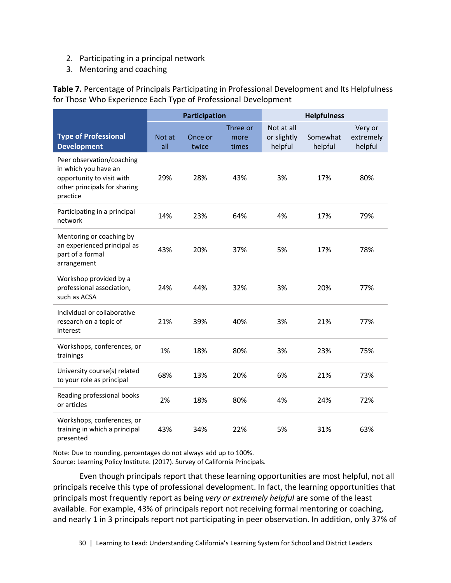- 2. Participating in a principal network
- 3. Mentoring and coaching

**Table 7.** Percentage of Principals Participating in Professional Development and Its Helpfulness for Those Who Experience Each Type of Professional Development

|                                                                                                                            | Participation |                  | <b>Helpfulness</b>        |                                      |                     |                                 |
|----------------------------------------------------------------------------------------------------------------------------|---------------|------------------|---------------------------|--------------------------------------|---------------------|---------------------------------|
| <b>Type of Professional</b><br><b>Development</b>                                                                          | Not at<br>all | Once or<br>twice | Three or<br>more<br>times | Not at all<br>or slightly<br>helpful | Somewhat<br>helpful | Very or<br>extremely<br>helpful |
| Peer observation/coaching<br>in which you have an<br>opportunity to visit with<br>other principals for sharing<br>practice | 29%           | 28%              | 43%                       | 3%                                   | 17%                 | 80%                             |
| Participating in a principal<br>network                                                                                    | 14%           | 23%              | 64%                       | 4%                                   | 17%                 | 79%                             |
| Mentoring or coaching by<br>an experienced principal as<br>part of a formal<br>arrangement                                 | 43%           | 20%              | 37%                       | 5%                                   | 17%                 | 78%                             |
| Workshop provided by a<br>professional association,<br>such as ACSA                                                        | 24%           | 44%              | 32%                       | 3%                                   | 20%                 | 77%                             |
| Individual or collaborative<br>research on a topic of<br>interest                                                          | 21%           | 39%              | 40%                       | 3%                                   | 21%                 | 77%                             |
| Workshops, conferences, or<br>trainings                                                                                    | 1%            | 18%              | 80%                       | 3%                                   | 23%                 | 75%                             |
| University course(s) related<br>to your role as principal                                                                  | 68%           | 13%              | 20%                       | 6%                                   | 21%                 | 73%                             |
| Reading professional books<br>or articles                                                                                  | 2%            | 18%              | 80%                       | 4%                                   | 24%                 | 72%                             |
| Workshops, conferences, or<br>training in which a principal<br>presented                                                   | 43%           | 34%              | 22%                       | 5%                                   | 31%                 | 63%                             |

Note: Due to rounding, percentages do not always add up to 100%.

Source: Learning Policy Institute. (2017). Survey of California Principals.

Even though principals report that these learning opportunities are most helpful, not all principals receive this type of professional development. In fact, the learning opportunities that principals most frequently report as being *very or extremely helpful* are some of the least available. For example, 43% of principals report not receiving formal mentoring or coaching, and nearly 1 in 3 principals report not participating in peer observation. In addition, only 37% of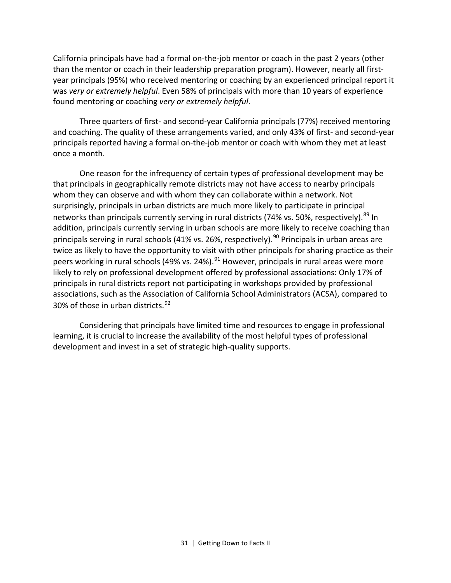California principals have had a formal on-the-job mentor or coach in the past 2 years (other than the mentor or coach in their leadership preparation program). However, nearly all firstyear principals (95%) who received mentoring or coaching by an experienced principal report it was *very or extremely helpful*. Even 58% of principals with more than 10 years of experience found mentoring or coaching *very or extremely helpful*.

Three quarters of first- and second-year California principals (77%) received mentoring and coaching. The quality of these arrangements varied, and only 43% of first- and second-year principals reported having a formal on-the-job mentor or coach with whom they met at least once a month.

One reason for the infrequency of certain types of professional development may be that principals in geographically remote districts may not have access to nearby principals whom they can observe and with whom they can collaborate within a network. Not surprisingly, principals in urban districts are much more likely to participate in principal networks than principals currently serving in rural districts (74% vs. 50%, respectively).<sup>[89](#page-76-4)</sup> In addition, principals currently serving in urban schools are more likely to receive coaching than principals serving in rural schools (41% vs. 26%, respectively).<sup>[90](#page-76-5)</sup> Principals in urban areas are twice as likely to have the opportunity to visit with other principals for sharing practice as their peers working in rural schools (49% vs. 24%). $^{91}$  $^{91}$  $^{91}$  However, principals in rural areas were more likely to rely on professional development offered by professional associations: Only 17% of principals in rural districts report not participating in workshops provided by professional associations, such as the Association of California School Administrators (ACSA), compared to 30% of those in urban districts.<sup>[92](#page-76-7)</sup>

Considering that principals have limited time and resources to engage in professional learning, it is crucial to increase the availability of the most helpful types of professional development and invest in a set of strategic high-quality supports.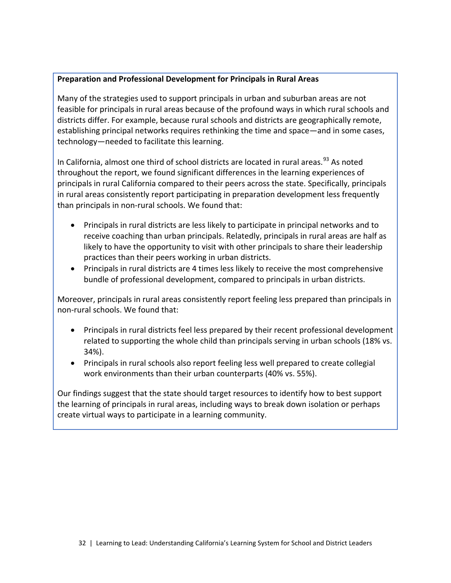#### **Preparation and Professional Development for Principals in Rural Areas**

Many of the strategies used to support principals in urban and suburban areas are not feasible for principals in rural areas because of the profound ways in which rural schools and districts differ. For example, because rural schools and districts are geographically remote, establishing principal networks requires rethinking the time and space—and in some cases, technology—needed to facilitate this learning.

In California, almost one third of school districts are located in rural areas.<sup>[93](#page-76-8)</sup> As noted throughout the report, we found significant differences in the learning experiences of principals in rural California compared to their peers across the state. Specifically, principals in rural areas consistently report participating in preparation development less frequently than principals in non-rural schools. We found that:

- Principals in rural districts are less likely to participate in principal networks and to receive coaching than urban principals. Relatedly, principals in rural areas are half as likely to have the opportunity to visit with other principals to share their leadership practices than their peers working in urban districts.
- Principals in rural districts are 4 times less likely to receive the most comprehensive bundle of professional development, compared to principals in urban districts.

Moreover, principals in rural areas consistently report feeling less prepared than principals in non-rural schools. We found that:

- Principals in rural districts feel less prepared by their recent professional development related to supporting the whole child than principals serving in urban schools (18% vs. 34%).
- Principals in rural schools also report feeling less well prepared to create collegial work environments than their urban counterparts (40% vs. 55%).

Our findings suggest that the state should target resources to identify how to best support the learning of principals in rural areas, including ways to break down isolation or perhaps create virtual ways to participate in a learning community.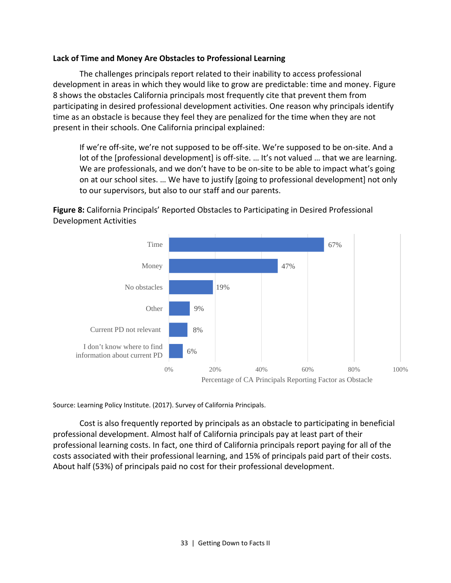#### **Lack of Time and Money Are Obstacles to Professional Learning**

The challenges principals report related to their inability to access professional development in areas in which they would like to grow are predictable: time and money. Figure 8 shows the obstacles California principals most frequently cite that prevent them from participating in desired professional development activities. One reason why principals identify time as an obstacle is because they feel they are penalized for the time when they are not present in their schools. One California principal explained:

If we're off-site, we're not supposed to be off-site. We're supposed to be on-site. And a lot of the [professional development] is off-site. ... It's not valued ... that we are learning. We are professionals, and we don't have to be on-site to be able to impact what's going on at our school sites. … We have to justify [going to professional development] not only to our supervisors, but also to our staff and our parents.





Source: Learning Policy Institute. (2017). Survey of California Principals.

Cost is also frequently reported by principals as an obstacle to participating in beneficial professional development. Almost half of California principals pay at least part of their professional learning costs. In fact, one third of California principals report paying for all of the costs associated with their professional learning, and 15% of principals paid part of their costs. About half (53%) of principals paid no cost for their professional development.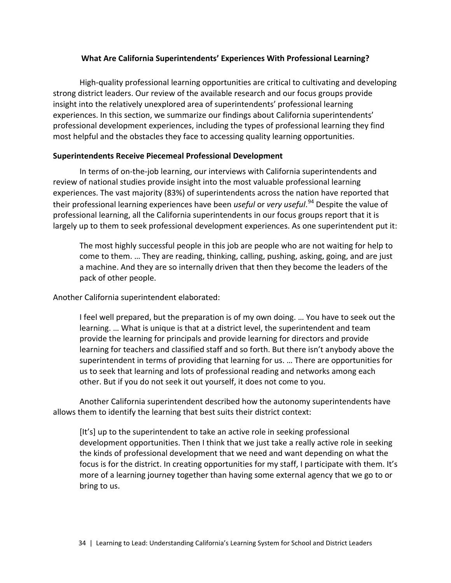## **What Are California Superintendents' Experiences With Professional Learning?**

High-quality professional learning opportunities are critical to cultivating and developing strong district leaders. Our review of the available research and our focus groups provide insight into the relatively unexplored area of superintendents' professional learning experiences. In this section, we summarize our findings about California superintendents' professional development experiences, including the types of professional learning they find most helpful and the obstacles they face to accessing quality learning opportunities.

## **Superintendents Receive Piecemeal Professional Development**

In terms of on-the-job learning, our interviews with California superintendents and review of national studies provide insight into the most valuable professional learning experiences. The vast majority (83%) of superintendents across the nation have reported that their professional learning experiences have been *useful* or *very useful*. [94](#page-76-0) Despite the value of professional learning, all the California superintendents in our focus groups report that it is largely up to them to seek professional development experiences. As one superintendent put it:

The most highly successful people in this job are people who are not waiting for help to come to them. … They are reading, thinking, calling, pushing, asking, going, and are just a machine. And they are so internally driven that then they become the leaders of the pack of other people.

Another California superintendent elaborated:

I feel well prepared, but the preparation is of my own doing. … You have to seek out the learning. … What is unique is that at a district level, the superintendent and team provide the learning for principals and provide learning for directors and provide learning for teachers and classified staff and so forth. But there isn't anybody above the superintendent in terms of providing that learning for us. … There are opportunities for us to seek that learning and lots of professional reading and networks among each other. But if you do not seek it out yourself, it does not come to you.

Another California superintendent described how the autonomy superintendents have allows them to identify the learning that best suits their district context:

[It's] up to the superintendent to take an active role in seeking professional development opportunities. Then I think that we just take a really active role in seeking the kinds of professional development that we need and want depending on what the focus is for the district. In creating opportunities for my staff, I participate with them. It's more of a learning journey together than having some external agency that we go to or bring to us.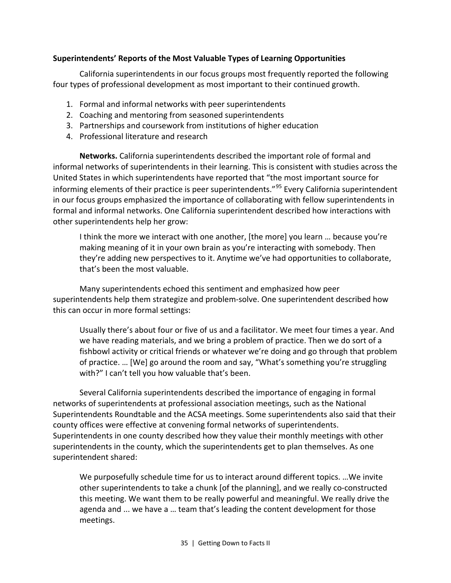## **Superintendents' Reports of the Most Valuable Types of Learning Opportunities**

California superintendents in our focus groups most frequently reported the following four types of professional development as most important to their continued growth.

- 1. Formal and informal networks with peer superintendents
- 2. Coaching and mentoring from seasoned superintendents
- 3. Partnerships and coursework from institutions of higher education
- 4. Professional literature and research

**Networks.** California superintendents described the important role of formal and informal networks of superintendents in their learning. This is consistent with studies across the United States in which superintendents have reported that "the most important source for informing elements of their practice is peer superintendents."<sup>[95](#page-76-1)</sup> Every California superintendent in our focus groups emphasized the importance of collaborating with fellow superintendents in formal and informal networks. One California superintendent described how interactions with other superintendents help her grow:

I think the more we interact with one another, [the more] you learn … because you're making meaning of it in your own brain as you're interacting with somebody. Then they're adding new perspectives to it. Anytime we've had opportunities to collaborate, that's been the most valuable.

Many superintendents echoed this sentiment and emphasized how peer superintendents help them strategize and problem-solve. One superintendent described how this can occur in more formal settings:

Usually there's about four or five of us and a facilitator. We meet four times a year. And we have reading materials, and we bring a problem of practice. Then we do sort of a fishbowl activity or critical friends or whatever we're doing and go through that problem of practice. … [We] go around the room and say, "What's something you're struggling with?" I can't tell you how valuable that's been.

Several California superintendents described the importance of engaging in formal networks of superintendents at professional association meetings, such as the National Superintendents Roundtable and the ACSA meetings. Some superintendents also said that their county offices were effective at convening formal networks of superintendents. Superintendents in one county described how they value their monthly meetings with other superintendents in the county, which the superintendents get to plan themselves. As one superintendent shared:

We purposefully schedule time for us to interact around different topics. …We invite other superintendents to take a chunk [of the planning], and we really co-constructed this meeting. We want them to be really powerful and meaningful. We really drive the agenda and ... we have a … team that's leading the content development for those meetings.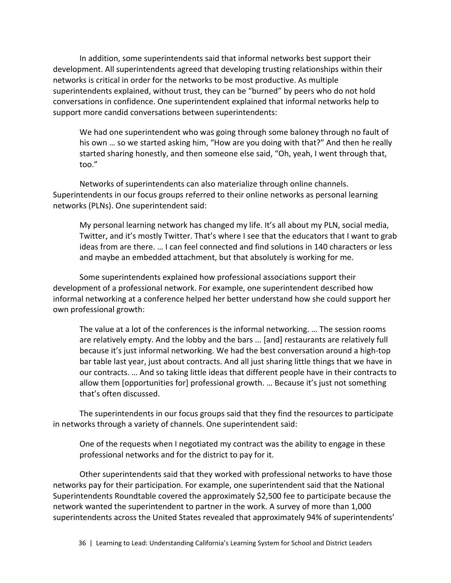In addition, some superintendents said that informal networks best support their development. All superintendents agreed that developing trusting relationships within their networks is critical in order for the networks to be most productive. As multiple superintendents explained, without trust, they can be "burned" by peers who do not hold conversations in confidence. One superintendent explained that informal networks help to support more candid conversations between superintendents:

We had one superintendent who was going through some baloney through no fault of his own … so we started asking him, "How are you doing with that?" And then he really started sharing honestly, and then someone else said, "Oh, yeah, I went through that, too."

Networks of superintendents can also materialize through online channels. Superintendents in our focus groups referred to their online networks as personal learning networks (PLNs). One superintendent said:

My personal learning network has changed my life. It's all about my PLN, social media, Twitter, and it's mostly Twitter. That's where I see that the educators that I want to grab ideas from are there. … I can feel connected and find solutions in 140 characters or less and maybe an embedded attachment, but that absolutely is working for me.

Some superintendents explained how professional associations support their development of a professional network. For example, one superintendent described how informal networking at a conference helped her better understand how she could support her own professional growth:

The value at a lot of the conferences is the informal networking. … The session rooms are relatively empty. And the lobby and the bars ... [and] restaurants are relatively full because it's just informal networking. We had the best conversation around a high-top bar table last year, just about contracts. And all just sharing little things that we have in our contracts. … And so taking little ideas that different people have in their contracts to allow them [opportunities for] professional growth. … Because it's just not something that's often discussed.

The superintendents in our focus groups said that they find the resources to participate in networks through a variety of channels. One superintendent said:

One of the requests when I negotiated my contract was the ability to engage in these professional networks and for the district to pay for it.

Other superintendents said that they worked with professional networks to have those networks pay for their participation. For example, one superintendent said that the National Superintendents Roundtable covered the approximately \$2,500 fee to participate because the network wanted the superintendent to partner in the work. A survey of more than 1,000 superintendents across the United States revealed that approximately 94% of superintendents'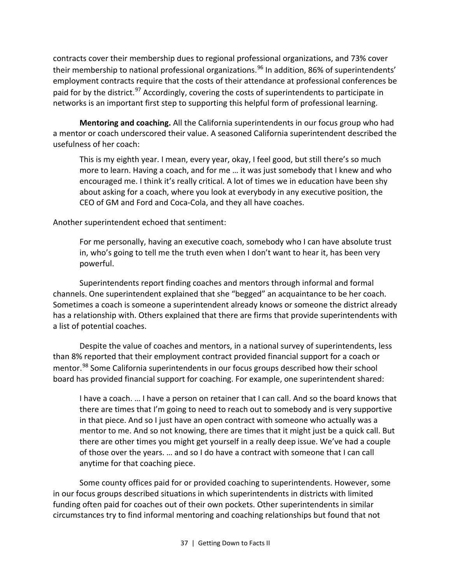contracts cover their membership dues to regional professional organizations, and 73% cover their membership to national professional organizations.<sup>[96](#page-76-2)</sup> In addition, 86% of superintendents' employment contracts require that the costs of their attendance at professional conferences be paid for by the district.<sup>[97](#page-76-3)</sup> Accordingly, covering the costs of superintendents to participate in networks is an important first step to supporting this helpful form of professional learning.

**Mentoring and coaching.** All the California superintendents in our focus group who had a mentor or coach underscored their value. A seasoned California superintendent described the usefulness of her coach:

This is my eighth year. I mean, every year, okay, I feel good, but still there's so much more to learn. Having a coach, and for me … it was just somebody that I knew and who encouraged me. I think it's really critical. A lot of times we in education have been shy about asking for a coach, where you look at everybody in any executive position, the CEO of GM and Ford and Coca-Cola, and they all have coaches.

Another superintendent echoed that sentiment:

For me personally, having an executive coach, somebody who I can have absolute trust in, who's going to tell me the truth even when I don't want to hear it, has been very powerful.

Superintendents report finding coaches and mentors through informal and formal channels. One superintendent explained that she "begged" an acquaintance to be her coach. Sometimes a coach is someone a superintendent already knows or someone the district already has a relationship with. Others explained that there are firms that provide superintendents with a list of potential coaches.

Despite the value of coaches and mentors, in a national survey of superintendents, less than 8% reported that their employment contract provided financial support for a coach or mentor.<sup>[98](#page-76-4)</sup> Some California superintendents in our focus groups described how their school board has provided financial support for coaching. For example, one superintendent shared:

I have a coach. … I have a person on retainer that I can call. And so the board knows that there are times that I'm going to need to reach out to somebody and is very supportive in that piece. And so I just have an open contract with someone who actually was a mentor to me. And so not knowing, there are times that it might just be a quick call. But there are other times you might get yourself in a really deep issue. We've had a couple of those over the years. … and so I do have a contract with someone that I can call anytime for that coaching piece.

Some county offices paid for or provided coaching to superintendents. However, some in our focus groups described situations in which superintendents in districts with limited funding often paid for coaches out of their own pockets. Other superintendents in similar circumstances try to find informal mentoring and coaching relationships but found that not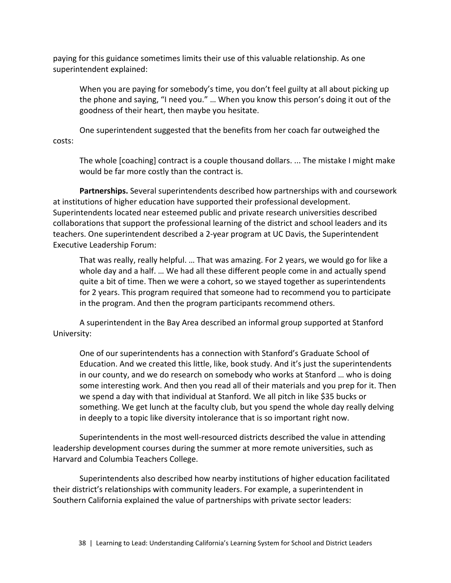paying for this guidance sometimes limits their use of this valuable relationship. As one superintendent explained:

When you are paying for somebody's time, you don't feel guilty at all about picking up the phone and saying, "I need you." … When you know this person's doing it out of the goodness of their heart, then maybe you hesitate.

One superintendent suggested that the benefits from her coach far outweighed the costs:

The whole [coaching] contract is a couple thousand dollars. ... The mistake I might make would be far more costly than the contract is.

**Partnerships.** Several superintendents described how partnerships with and coursework at institutions of higher education have supported their professional development. Superintendents located near esteemed public and private research universities described collaborations that support the professional learning of the district and school leaders and its teachers. One superintendent described a 2-year program at UC Davis, the Superintendent Executive Leadership Forum:

That was really, really helpful. … That was amazing. For 2 years, we would go for like a whole day and a half. … We had all these different people come in and actually spend quite a bit of time. Then we were a cohort, so we stayed together as superintendents for 2 years. This program required that someone had to recommend you to participate in the program. And then the program participants recommend others.

A superintendent in the Bay Area described an informal group supported at Stanford University:

One of our superintendents has a connection with Stanford's Graduate School of Education. And we created this little, like, book study. And it's just the superintendents in our county, and we do research on somebody who works at Stanford … who is doing some interesting work. And then you read all of their materials and you prep for it. Then we spend a day with that individual at Stanford. We all pitch in like \$35 bucks or something. We get lunch at the faculty club, but you spend the whole day really delving in deeply to a topic like diversity intolerance that is so important right now.

Superintendents in the most well-resourced districts described the value in attending leadership development courses during the summer at more remote universities, such as Harvard and Columbia Teachers College.

Superintendents also described how nearby institutions of higher education facilitated their district's relationships with community leaders. For example, a superintendent in Southern California explained the value of partnerships with private sector leaders: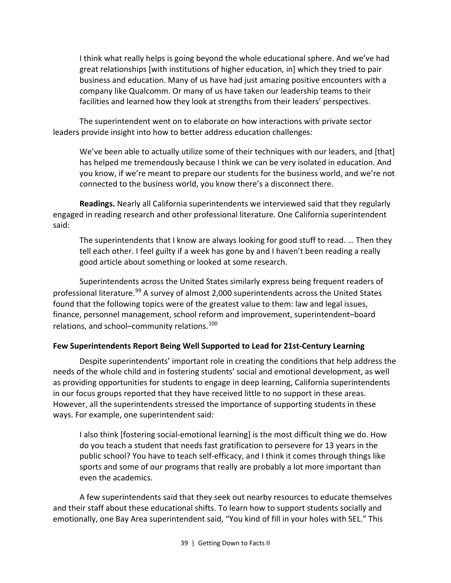I think what really helps is going beyond the whole educational sphere. And we've had great relationships [with institutions of higher education, in] which they tried to pair business and education. Many of us have had just amazing positive encounters with a company like Qualcomm. Or many of us have taken our leadership teams to their facilities and learned how they look at strengths from their leaders' perspectives.

The superintendent went on to elaborate on how interactions with private sector leaders provide insight into how to better address education challenges:

We've been able to actually utilize some of their techniques with our leaders, and [that] has helped me tremendously because I think we can be very isolated in education. And you know, if we're meant to prepare our students for the business world, and we're not connected to the business world, you know there's a disconnect there.

**Readings.** Nearly all California superintendents we interviewed said that they regularly engaged in reading research and other professional literature. One California superintendent said:

The superintendents that I know are always looking for good stuff to read. … Then they tell each other. I feel guilty if a week has gone by and I haven't been reading a really good article about something or looked at some research.

Superintendents across the United States similarly express being frequent readers of professional literature.<sup>[99](#page-76-5)</sup> A survey of almost 2,000 superintendents across the United States found that the following topics were of the greatest value to them: law and legal issues, finance, personnel management, school reform and improvement, superintendent–board relations, and school–community relations.<sup>[100](#page-76-6)</sup>

## **Few Superintendents Report Being Well Supported to Lead for 21st-Century Learning**

Despite superintendents' important role in creating the conditions that help address the needs of the whole child and in fostering students' social and emotional development, as well as providing opportunities for students to engage in deep learning, California superintendents in our focus groups reported that they have received little to no support in these areas. However, all the superintendents stressed the importance of supporting students in these ways. For example, one superintendent said:

I also think [fostering social-emotional learning] is the most difficult thing we do. How do you teach a student that needs fast gratification to persevere for 13 years in the public school? You have to teach self-efficacy, and I think it comes through things like sports and some of our programs that really are probably a lot more important than even the academics.

A few superintendents said that they seek out nearby resources to educate themselves and their staff about these educational shifts. To learn how to support students socially and emotionally, one Bay Area superintendent said, "You kind of fill in your holes with SEL." This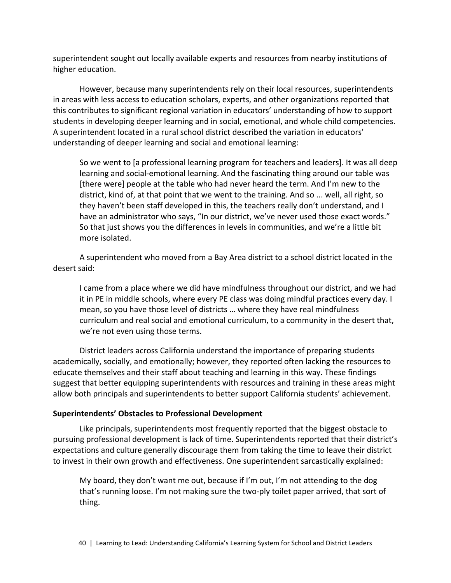superintendent sought out locally available experts and resources from nearby institutions of higher education.

However, because many superintendents rely on their local resources, superintendents in areas with less access to education scholars, experts, and other organizations reported that this contributes to significant regional variation in educators' understanding of how to support students in developing deeper learning and in social, emotional, and whole child competencies. A superintendent located in a rural school district described the variation in educators' understanding of deeper learning and social and emotional learning:

So we went to [a professional learning program for teachers and leaders]. It was all deep learning and social-emotional learning. And the fascinating thing around our table was [there were] people at the table who had never heard the term. And I'm new to the district, kind of, at that point that we went to the training. And so ... well, all right, so they haven't been staff developed in this, the teachers really don't understand, and I have an administrator who says, "In our district, we've never used those exact words." So that just shows you the differences in levels in communities, and we're a little bit more isolated.

A superintendent who moved from a Bay Area district to a school district located in the desert said:

I came from a place where we did have mindfulness throughout our district, and we had it in PE in middle schools, where every PE class was doing mindful practices every day. I mean, so you have those level of districts … where they have real mindfulness curriculum and real social and emotional curriculum, to a community in the desert that, we're not even using those terms.

District leaders across California understand the importance of preparing students academically, socially, and emotionally; however, they reported often lacking the resources to educate themselves and their staff about teaching and learning in this way. These findings suggest that better equipping superintendents with resources and training in these areas might allow both principals and superintendents to better support California students' achievement.

## **Superintendents' Obstacles to Professional Development**

Like principals, superintendents most frequently reported that the biggest obstacle to pursuing professional development is lack of time. Superintendents reported that their district's expectations and culture generally discourage them from taking the time to leave their district to invest in their own growth and effectiveness. One superintendent sarcastically explained:

My board, they don't want me out, because if I'm out, I'm not attending to the dog that's running loose. I'm not making sure the two-ply toilet paper arrived, that sort of thing.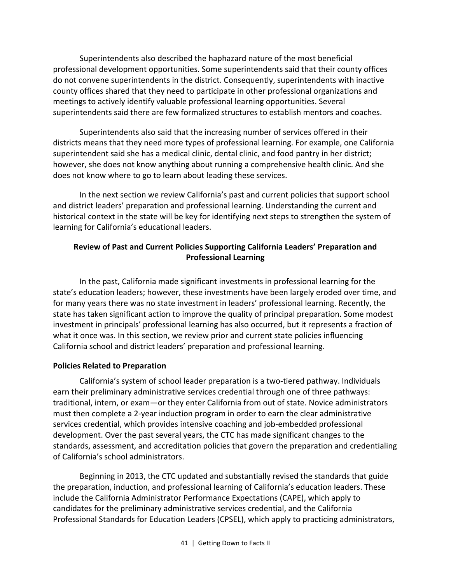Superintendents also described the haphazard nature of the most beneficial professional development opportunities. Some superintendents said that their county offices do not convene superintendents in the district. Consequently, superintendents with inactive county offices shared that they need to participate in other professional organizations and meetings to actively identify valuable professional learning opportunities. Several superintendents said there are few formalized structures to establish mentors and coaches.

Superintendents also said that the increasing number of services offered in their districts means that they need more types of professional learning. For example, one California superintendent said she has a medical clinic, dental clinic, and food pantry in her district; however, she does not know anything about running a comprehensive health clinic. And she does not know where to go to learn about leading these services.

In the next section we review California's past and current policies that support school and district leaders' preparation and professional learning. Understanding the current and historical context in the state will be key for identifying next steps to strengthen the system of learning for California's educational leaders.

# **Review of Past and Current Policies Supporting California Leaders' Preparation and Professional Learning**

In the past, California made significant investments in professional learning for the state's education leaders; however, these investments have been largely eroded over time, and for many years there was no state investment in leaders' professional learning. Recently, the state has taken significant action to improve the quality of principal preparation. Some modest investment in principals' professional learning has also occurred, but it represents a fraction of what it once was. In this section, we review prior and current state policies influencing California school and district leaders' preparation and professional learning.

# **Policies Related to Preparation**

California's system of school leader preparation is a two-tiered pathway. Individuals earn their preliminary administrative services credential through one of three pathways: traditional, intern, or exam—or they enter California from out of state. Novice administrators must then complete a 2-year induction program in order to earn the clear administrative services credential, which provides intensive coaching and job-embedded professional development. Over the past several years, the CTC has made significant changes to the standards, assessment, and accreditation policies that govern the preparation and credentialing of California's school administrators.

Beginning in 2013, the CTC updated and substantially revised the standards that guide the preparation, induction, and professional learning of California's education leaders. These include the California Administrator Performance Expectations (CAPE), which apply to candidates for the preliminary administrative services credential, and the California Professional Standards for Education Leaders (CPSEL), which apply to practicing administrators,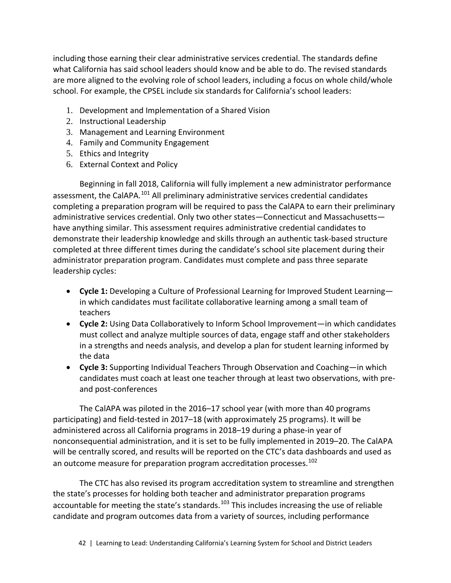including those earning their clear administrative services credential. The standards define what California has said school leaders should know and be able to do. The revised standards are more aligned to the evolving role of school leaders, including a focus on whole child/whole school. For example, the CPSEL include six standards for California's school leaders:

- 1. Development and Implementation of a Shared Vision
- 2. Instructional Leadership
- 3. Management and Learning Environment
- 4. Family and Community Engagement
- 5. Ethics and Integrity
- 6. External Context and Policy

Beginning in fall 2018, California will fully implement a new administrator performance assessment, the CalAPA.<sup>[101](#page-76-7)</sup> All preliminary administrative services credential candidates completing a preparation program will be required to pass the CalAPA to earn their preliminary administrative services credential. Only two other states—Connecticut and Massachusetts have anything similar. This assessment requires administrative credential candidates to demonstrate their leadership knowledge and skills through an authentic task-based structure completed at three different times during the candidate's school site placement during their administrator preparation program. Candidates must complete and pass three separate leadership cycles:

- **Cycle 1:** Developing a Culture of Professional Learning for Improved Student Learning in which candidates must facilitate collaborative learning among a small team of teachers
- **Cycle 2:** Using Data Collaboratively to Inform School Improvement—in which candidates must collect and analyze multiple sources of data, engage staff and other stakeholders in a strengths and needs analysis, and develop a plan for student learning informed by the data
- **Cycle 3:** Supporting Individual Teachers Through Observation and Coaching—in which candidates must coach at least one teacher through at least two observations, with preand post-conferences

The CalAPA was piloted in the 2016–17 school year (with more than 40 programs participating) and field-tested in 2017–18 (with approximately 25 programs). It will be administered across all California programs in 2018–19 during a phase-in year of nonconsequential administration, and it is set to be fully implemented in 2019–20. The CalAPA will be centrally scored, and results will be reported on the CTC's data dashboards and used as an outcome measure for preparation program accreditation processes.<sup>[102](#page-76-8)</sup>

The CTC has also revised its program accreditation system to streamline and strengthen the state's processes for holding both teacher and administrator preparation programs accountable for meeting the state's standards.<sup>[103](#page-76-9)</sup> This includes increasing the use of reliable candidate and program outcomes data from a variety of sources, including performance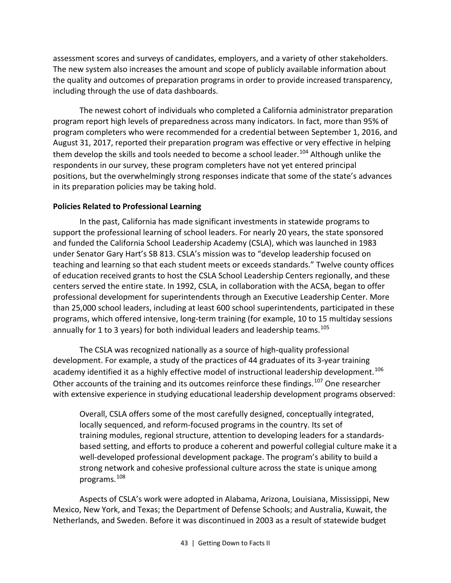assessment scores and surveys of candidates, employers, and a variety of other stakeholders. The new system also increases the amount and scope of publicly available information about the quality and outcomes of preparation programs in order to provide increased transparency, including through the use of data dashboards.

The newest cohort of individuals who completed a California administrator preparation program report high levels of preparedness across many indicators. In fact, more than 95% of program completers who were recommended for a credential between September 1, 2016, and August 31, 2017, reported their preparation program was effective or very effective in helping them develop the skills and tools needed to become a school leader.<sup>[104](#page-77-0)</sup> Although unlike the respondents in our survey, these program completers have not yet entered principal positions, but the overwhelmingly strong responses indicate that some of the state's advances in its preparation policies may be taking hold.

## **Policies Related to Professional Learning**

In the past, California has made significant investments in statewide programs to support the professional learning of school leaders. For nearly 20 years, the state sponsored and funded the California School Leadership Academy (CSLA), which was launched in 1983 under Senator Gary Hart's SB 813. CSLA's mission was to "develop leadership focused on teaching and learning so that each student meets or exceeds standards." Twelve county offices of education received grants to host the CSLA School Leadership Centers regionally, and these centers served the entire state. In 1992, CSLA, in collaboration with the ACSA, began to offer professional development for superintendents through an Executive Leadership Center. More than 25,000 school leaders, including at least 600 school superintendents, participated in these programs, which offered intensive, long-term training (for example, 10 to 15 multiday sessions annually for 1 to 3 years) for both individual leaders and leadership teams.<sup>[105](#page-77-1)</sup>

The CSLA was recognized nationally as a source of high-quality professional development. For example, a study of the practices of 44 graduates of its 3-year training academy identified it as a highly effective model of instructional leadership development.<sup>[106](#page-77-2)</sup> Other accounts of the training and its outcomes reinforce these findings.<sup>[107](#page-77-3)</sup> One researcher with extensive experience in studying educational leadership development programs observed:

Overall, CSLA offers some of the most carefully designed, conceptually integrated, locally sequenced, and reform-focused programs in the country. Its set of training modules, regional structure, attention to developing leaders for a standardsbased setting, and efforts to produce a coherent and powerful collegial culture make it a well-developed professional development package. The program's ability to build a strong network and cohesive professional culture across the state is unique among programs.[108](#page-77-4)

Aspects of CSLA's work were adopted in Alabama, Arizona, Louisiana, Mississippi, New Mexico, New York, and Texas; the Department of Defense Schools; and Australia, Kuwait, the Netherlands, and Sweden. Before it was discontinued in 2003 as a result of statewide budget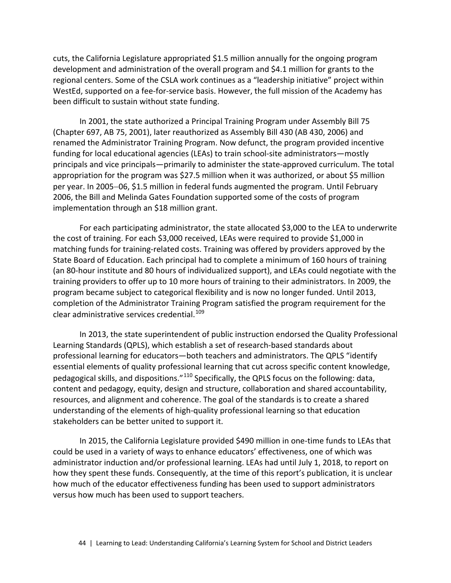cuts, the California Legislature appropriated \$1.5 million annually for the ongoing program development and administration of the overall program and \$4.1 million for grants to the regional centers. Some of the CSLA work continues as a "leadership initiative" project within WestEd, supported on a fee-for-service basis. However, the full mission of the Academy has been difficult to sustain without state funding.

In 2001, the state authorized a Principal Training Program under Assembly Bill 75 (Chapter 697, AB 75, 2001), later reauthorized as Assembly Bill 430 (AB 430, 2006) and renamed the Administrator Training Program. Now defunct, the program provided incentive funding for local educational agencies (LEAs) to train school-site administrators—mostly principals and vice principals—primarily to administer the state-approved curriculum. The total appropriation for the program was \$27.5 million when it was authorized, or about \$5 million per year. In 2005−06, \$1.5 million in federal funds augmented the program. Until February 2006, the Bill and Melinda Gates Foundation supported some of the costs of program implementation through an \$18 million grant.

For each participating administrator, the state allocated \$3,000 to the LEA to underwrite the cost of training. For each \$3,000 received, LEAs were required to provide \$1,000 in matching funds for training-related costs. Training was offered by providers approved by the State Board of Education. Each principal had to complete a minimum of 160 hours of training (an 80-hour institute and 80 hours of individualized support), and LEAs could negotiate with the training providers to offer up to 10 more hours of training to their administrators. In 2009, the program became subject to categorical flexibility and is now no longer funded. Until 2013, completion of the Administrator Training Program satisfied the program requirement for the clear administrative services credential.<sup>[109](#page-77-5)</sup>

In 2013, the state superintendent of public instruction endorsed the Quality Professional Learning Standards (QPLS), which establish a set of research-based standards about professional learning for educators—both teachers and administrators. The QPLS "identify essential elements of quality professional learning that cut across specific content knowledge, pedagogical skills, and dispositions."[110](#page-77-6) Specifically, the QPLS focus on the following: data, content and pedagogy, equity, design and structure, collaboration and shared accountability, resources, and alignment and coherence. The goal of the standards is to create a shared understanding of the elements of high-quality professional learning so that education stakeholders can be better united to support it.

In 2015, the California Legislature provided \$490 million in one-time funds to LEAs that could be used in a variety of ways to enhance educators' effectiveness, one of which was administrator induction and/or professional learning. LEAs had until July 1, 2018, to report on how they spent these funds. Consequently, at the time of this report's publication, it is unclear how much of the educator effectiveness funding has been used to support administrators versus how much has been used to support teachers.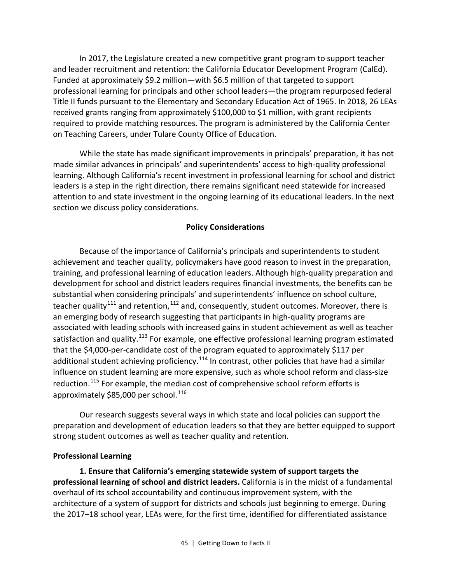In 2017, the Legislature created a new competitive grant program to support teacher and leader recruitment and retention: the California Educator Development Program (CalEd). Funded at approximately \$9.2 million—with \$6.5 million of that targeted to support professional learning for principals and other school leaders—the program repurposed federal Title II funds pursuant to the Elementary and Secondary Education Act of 1965. In 2018, 26 LEAs received grants ranging from approximately \$100,000 to \$1 million, with grant recipients required to provide matching resources. The program is administered by the California Center on Teaching Careers, under Tulare County Office of Education.

While the state has made significant improvements in principals' preparation, it has not made similar advances in principals' and superintendents' access to high-quality professional learning. Although California's recent investment in professional learning for school and district leaders is a step in the right direction, there remains significant need statewide for increased attention to and state investment in the ongoing learning of its educational leaders. In the next section we discuss policy considerations.

## **Policy Considerations**

Because of the importance of California's principals and superintendents to student achievement and teacher quality, policymakers have good reason to invest in the preparation, training, and professional learning of education leaders. Although high-quality preparation and development for school and district leaders requires financial investments, the benefits can be substantial when considering principals' and superintendents' influence on school culture, teacher quality<sup>[111](#page-77-7)</sup> and retention,<sup>[112](#page-77-8)</sup> and, consequently, student outcomes. Moreover, there is an emerging body of research suggesting that participants in high-quality programs are associated with leading schools with increased gains in student achievement as well as teacher satisfaction and quality.<sup>[113](#page-77-9)</sup> For example, one effective professional learning program estimated that the \$4,000-per-candidate cost of the program equated to approximately \$117 per additional student achieving proficiency.<sup>[114](#page-77-10)</sup> In contrast, other policies that have had a similar influence on student learning are more expensive, such as whole school reform and class-size reduction.<sup>[115](#page-77-11)</sup> For example, the median cost of comprehensive school reform efforts is approximately \$85,000 per school. $^{116}$  $^{116}$  $^{116}$ 

Our research suggests several ways in which state and local policies can support the preparation and development of education leaders so that they are better equipped to support strong student outcomes as well as teacher quality and retention.

## **Professional Learning**

**1. Ensure that California's emerging statewide system of support targets the professional learning of school and district leaders.** California is in the midst of a fundamental overhaul of its school accountability and continuous improvement system, with the architecture of a system of support for districts and schools just beginning to emerge. During the 2017–18 school year, LEAs were, for the first time, identified for differentiated assistance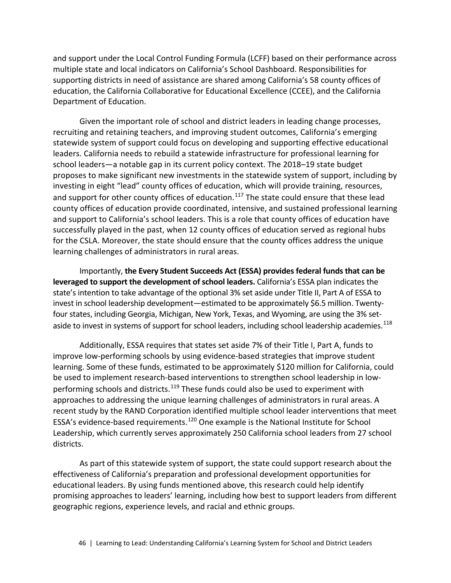and support under the Local Control Funding Formula (LCFF) based on their performance across multiple state and local indicators on California's School Dashboard. Responsibilities for supporting districts in need of assistance are shared among California's 58 county offices of education, the California Collaborative for Educational Excellence (CCEE), and the California Department of Education.

Given the important role of school and district leaders in leading change processes, recruiting and retaining teachers, and improving student outcomes, California's emerging statewide system of support could focus on developing and supporting effective educational leaders. California needs to rebuild a statewide infrastructure for professional learning for school leaders—a notable gap in its current policy context. The 2018–19 state budget proposes to make significant new investments in the statewide system of support, including by investing in eight "lead" county offices of education, which will provide training, resources, and support for other county offices of education.<sup>[117](#page-78-0)</sup> The state could ensure that these lead county offices of education provide coordinated, intensive, and sustained professional learning and support to California's school leaders. This is a role that county offices of education have successfully played in the past, when 12 county offices of education served as regional hubs for the CSLA. Moreover, the state should ensure that the county offices address the unique learning challenges of administrators in rural areas.

Importantly, **the Every Student Succeeds Act (ESSA) provides federal funds that can be leveraged to support the development of school leaders.** California's ESSA plan indicates the state's intention to take advantage of the optional 3% set aside under Title II, Part A of ESSA to invest in school leadership development—estimated to be approximately \$6.5 million. Twentyfour states, including Georgia, Michigan, New York, Texas, and Wyoming, are using the 3% setaside to invest in systems of support for school leaders, including school leadership academies. $^{118}$  $^{118}$  $^{118}$ 

Additionally, ESSA requires that states set aside 7% of their Title I, Part A, funds to improve low-performing schools by using evidence-based strategies that improve student learning. Some of these funds, estimated to be approximately \$120 million for California, could be used to implement research-based interventions to strengthen school leadership in low-performing schools and districts.<sup>[119](#page-78-2)</sup> These funds could also be used to experiment with approaches to addressing the unique learning challenges of administrators in rural areas. A recent study by the RAND Corporation identified multiple school leader interventions that meet ESSA's evidence-based requirements.<sup>[120](#page-78-3)</sup> One example is the National Institute for School Leadership, which currently serves approximately 250 California school leaders from 27 school districts.

As part of this statewide system of support, the state could support research about the effectiveness of California's preparation and professional development opportunities for educational leaders. By using funds mentioned above, this research could help identify promising approaches to leaders' learning, including how best to support leaders from different geographic regions, experience levels, and racial and ethnic groups.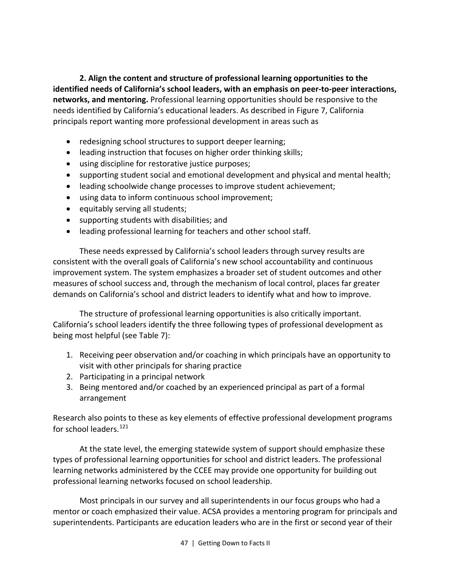**2. Align the content and structure of professional learning opportunities to the identified needs of California's school leaders, with an emphasis on peer-to-peer interactions, networks, and mentoring.** Professional learning opportunities should be responsive to the needs identified by California's educational leaders. As described in Figure 7, California principals report wanting more professional development in areas such as

- redesigning school structures to support deeper learning;
- leading instruction that focuses on higher order thinking skills;
- using discipline for restorative justice purposes;
- supporting student social and emotional development and physical and mental health;
- leading schoolwide change processes to improve student achievement;
- using data to inform continuous school improvement;
- equitably serving all students;
- supporting students with disabilities; and
- leading professional learning for teachers and other school staff.

These needs expressed by California's school leaders through survey results are consistent with the overall goals of California's new school accountability and continuous improvement system. The system emphasizes a broader set of student outcomes and other measures of school success and, through the mechanism of local control, places far greater demands on California's school and district leaders to identify what and how to improve.

The structure of professional learning opportunities is also critically important. California's school leaders identify the three following types of professional development as being most helpful (see Table 7):

- 1. Receiving peer observation and/or coaching in which principals have an opportunity to visit with other principals for sharing practice
- 2. Participating in a principal network
- 3. Being mentored and/or coached by an experienced principal as part of a formal arrangement

Research also points to these as key elements of effective professional development programs for school leaders. $121$ 

At the state level, the emerging statewide system of support should emphasize these types of professional learning opportunities for school and district leaders. The professional learning networks administered by the CCEE may provide one opportunity for building out professional learning networks focused on school leadership.

Most principals in our survey and all superintendents in our focus groups who had a mentor or coach emphasized their value. ACSA provides a mentoring program for principals and superintendents. Participants are education leaders who are in the first or second year of their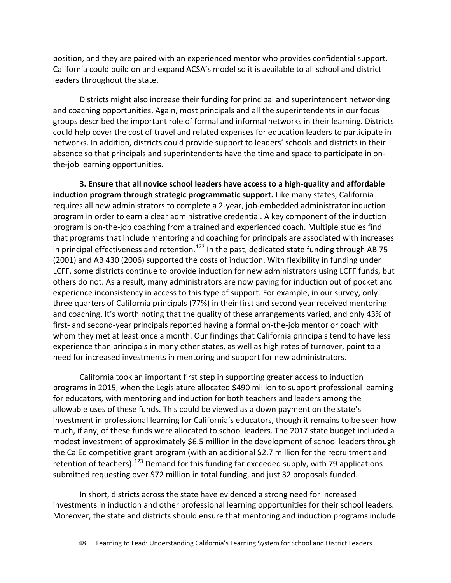position, and they are paired with an experienced mentor who provides confidential support. California could build on and expand ACSA's model so it is available to all school and district leaders throughout the state.

Districts might also increase their funding for principal and superintendent networking and coaching opportunities. Again, most principals and all the superintendents in our focus groups described the important role of formal and informal networks in their learning. Districts could help cover the cost of travel and related expenses for education leaders to participate in networks. In addition, districts could provide support to leaders' schools and districts in their absence so that principals and superintendents have the time and space to participate in onthe-job learning opportunities.

**3. Ensure that all novice school leaders have access to a high-quality and affordable induction program through strategic programmatic support.** Like many states, California requires all new administrators to complete a 2-year, job-embedded administrator induction program in order to earn a clear administrative credential. A key component of the induction program is on-the-job coaching from a trained and experienced coach. Multiple studies find that programs that include mentoring and coaching for principals are associated with increases in principal effectiveness and retention.<sup>[122](#page-78-5)</sup> In the past, dedicated state funding through AB 75 (2001) and AB 430 (2006) supported the costs of induction. With flexibility in funding under LCFF, some districts continue to provide induction for new administrators using LCFF funds, but others do not. As a result, many administrators are now paying for induction out of pocket and experience inconsistency in access to this type of support. For example, in our survey, only three quarters of California principals (77%) in their first and second year received mentoring and coaching. It's worth noting that the quality of these arrangements varied, and only 43% of first- and second-year principals reported having a formal on-the-job mentor or coach with whom they met at least once a month. Our findings that California principals tend to have less experience than principals in many other states, as well as high rates of turnover, point to a need for increased investments in mentoring and support for new administrators.

California took an important first step in supporting greater access to induction programs in 2015, when the Legislature allocated \$490 million to support professional learning for educators, with mentoring and induction for both teachers and leaders among the allowable uses of these funds. This could be viewed as a down payment on the state's investment in professional learning for California's educators, though it remains to be seen how much, if any, of these funds were allocated to school leaders. The 2017 state budget included a modest investment of approximately \$6.5 million in the development of school leaders through the CalEd competitive grant program (with an additional \$2.7 million for the recruitment and retention of teachers).<sup>[123](#page-78-6)</sup> Demand for this funding far exceeded supply, with 79 applications submitted requesting over \$72 million in total funding, and just 32 proposals funded.

In short, districts across the state have evidenced a strong need for increased investments in induction and other professional learning opportunities for their school leaders. Moreover, the state and districts should ensure that mentoring and induction programs include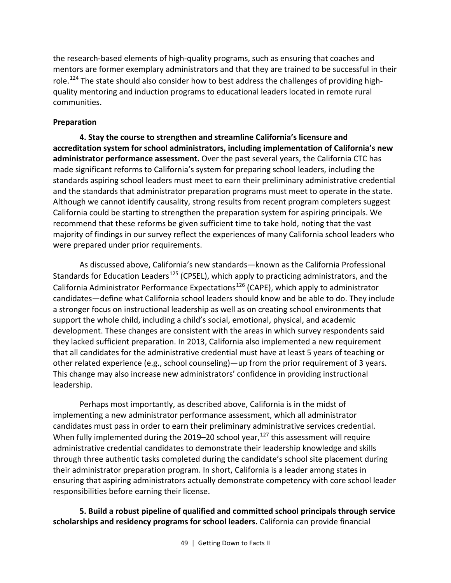the research-based elements of high-quality programs, such as ensuring that coaches and mentors are former exemplary administrators and that they are trained to be successful in their role.<sup>[124](#page-78-7)</sup> The state should also consider how to best address the challenges of providing highquality mentoring and induction programs to educational leaders located in remote rural communities.

## **Preparation**

**4. Stay the course to strengthen and streamline California's licensure and accreditation system for school administrators, including implementation of California's new administrator performance assessment.** Over the past several years, the California CTC has made significant reforms to California's system for preparing school leaders, including the standards aspiring school leaders must meet to earn their preliminary administrative credential and the standards that administrator preparation programs must meet to operate in the state. Although we cannot identify causality, strong results from recent program completers suggest California could be starting to strengthen the preparation system for aspiring principals. We recommend that these reforms be given sufficient time to take hold, noting that the vast majority of findings in our survey reflect the experiences of many California school leaders who were prepared under prior requirements.

As discussed above, California's new standards—known as the California Professional Standards for Education Leaders<sup>[125](#page-78-8)</sup> (CPSEL), which apply to practicing administrators, and the California Administrator Performance Expectations<sup>[126](#page-78-9)</sup> (CAPE), which apply to administrator candidates—define what California school leaders should know and be able to do. They include a stronger focus on instructional leadership as well as on creating school environments that support the whole child, including a child's social, emotional, physical, and academic development. These changes are consistent with the areas in which survey respondents said they lacked sufficient preparation. In 2013, California also implemented a new requirement that all candidates for the administrative credential must have at least 5 years of teaching or other related experience (e.g., school counseling)—up from the prior requirement of 3 years. This change may also increase new administrators' confidence in providing instructional leadership.

Perhaps most importantly, as described above, California is in the midst of implementing a new administrator performance assessment, which all administrator candidates must pass in order to earn their preliminary administrative services credential. When fully implemented during the 2019–20 school year, $127$  this assessment will require administrative credential candidates to demonstrate their leadership knowledge and skills through three authentic tasks completed during the candidate's school site placement during their administrator preparation program. In short, California is a leader among states in ensuring that aspiring administrators actually demonstrate competency with core school leader responsibilities before earning their license.

**5. Build a robust pipeline of qualified and committed school principals through service scholarships and residency programs for school leaders.** California can provide financial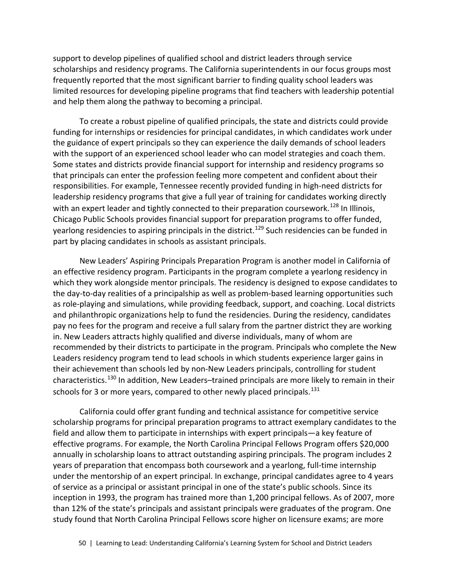support to develop pipelines of qualified school and district leaders through service scholarships and residency programs. The California superintendents in our focus groups most frequently reported that the most significant barrier to finding quality school leaders was limited resources for developing pipeline programs that find teachers with leadership potential and help them along the pathway to becoming a principal.

To create a robust pipeline of qualified principals, the state and districts could provide funding for internships or residencies for principal candidates, in which candidates work under the guidance of expert principals so they can experience the daily demands of school leaders with the support of an experienced school leader who can model strategies and coach them. Some states and districts provide financial support for internship and residency programs so that principals can enter the profession feeling more competent and confident about their responsibilities. For example, Tennessee recently provided funding in high-need districts for leadership residency programs that give a full year of training for candidates working directly with an expert leader and tightly connected to their preparation coursework.<sup>[128](#page-78-11)</sup> In Illinois, Chicago Public Schools provides financial support for preparation programs to offer funded, yearlong residencies to aspiring principals in the district.<sup>[129](#page-79-0)</sup> Such residencies can be funded in part by placing candidates in schools as assistant principals.

New Leaders' Aspiring Principals Preparation Program is another model in California of an effective residency program. Participants in the program complete a yearlong residency in which they work alongside mentor principals. The residency is designed to expose candidates to the day-to-day realities of a principalship as well as problem-based learning opportunities such as role-playing and simulations, while providing feedback, support, and coaching. Local districts and philanthropic organizations help to fund the residencies. During the residency, candidates pay no fees for the program and receive a full salary from the partner district they are working in. New Leaders attracts highly qualified and diverse individuals, many of whom are recommended by their districts to participate in the program. Principals who complete the New Leaders residency program tend to lead schools in which students experience larger gains in their achievement than schools led by non-New Leaders principals, controlling for student characteristics.<sup>[130](#page-79-1)</sup> In addition, New Leaders–trained principals are more likely to remain in their schools for 3 or more years, compared to other newly placed principals.<sup>[131](#page-79-2)</sup>

California could offer grant funding and technical assistance for competitive service scholarship programs for principal preparation programs to attract exemplary candidates to the field and allow them to participate in internships with expert principals—a key feature of effective programs. For example, the North Carolina Principal Fellows Program offers \$20,000 annually in scholarship loans to attract outstanding aspiring principals. The program includes 2 years of preparation that encompass both coursework and a yearlong, full-time internship under the mentorship of an expert principal. In exchange, principal candidates agree to 4 years of service as a principal or assistant principal in one of the state's public schools. Since its inception in 1993, the program has trained more than 1,200 principal fellows. As of 2007, more than 12% of the state's principals and assistant principals were graduates of the program. One study found that North Carolina Principal Fellows score higher on licensure exams; are more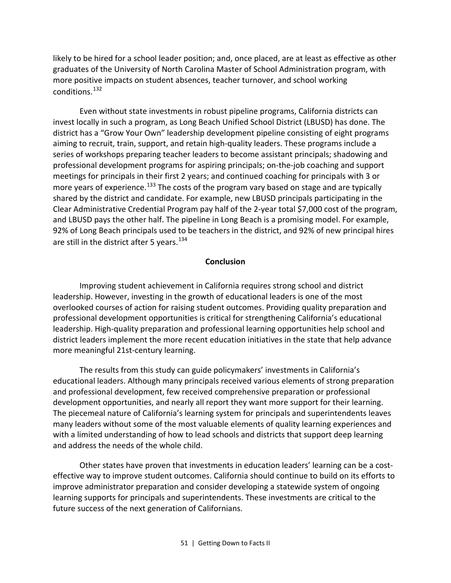likely to be hired for a school leader position; and, once placed, are at least as effective as other graduates of the University of North Carolina Master of School Administration program, with more positive impacts on student absences, teacher turnover, and school working conditions. [132](#page-79-3)

Even without state investments in robust pipeline programs, California districts can invest locally in such a program, as Long Beach Unified School District (LBUSD) has done. The district has a "Grow Your Own" leadership development pipeline consisting of eight programs aiming to recruit, train, support, and retain high-quality leaders. These programs include a series of workshops preparing teacher leaders to become assistant principals; shadowing and professional development programs for aspiring principals; on-the-job coaching and support meetings for principals in their first 2 years; and continued coaching for principals with 3 or more years of experience.<sup>[133](#page-79-4)</sup> The costs of the program vary based on stage and are typically shared by the district and candidate. For example, new LBUSD principals participating in the Clear Administrative Credential Program pay half of the 2-year total \$7,000 cost of the program, and LBUSD pays the other half. The pipeline in Long Beach is a promising model. For example, 92% of Long Beach principals used to be teachers in the district, and 92% of new principal hires are still in the district after 5 years.  $134$ 

## **Conclusion**

Improving student achievement in California requires strong school and district leadership. However, investing in the growth of educational leaders is one of the most overlooked courses of action for raising student outcomes. Providing quality preparation and professional development opportunities is critical for strengthening California's educational leadership. High-quality preparation and professional learning opportunities help school and district leaders implement the more recent education initiatives in the state that help advance more meaningful 21st-century learning.

The results from this study can guide policymakers' investments in California's educational leaders. Although many principals received various elements of strong preparation and professional development, few received comprehensive preparation or professional development opportunities, and nearly all report they want more support for their learning. The piecemeal nature of California's learning system for principals and superintendents leaves many leaders without some of the most valuable elements of quality learning experiences and with a limited understanding of how to lead schools and districts that support deep learning and address the needs of the whole child.

Other states have proven that investments in education leaders' learning can be a costeffective way to improve student outcomes. California should continue to build on its efforts to improve administrator preparation and consider developing a statewide system of ongoing learning supports for principals and superintendents. These investments are critical to the future success of the next generation of Californians.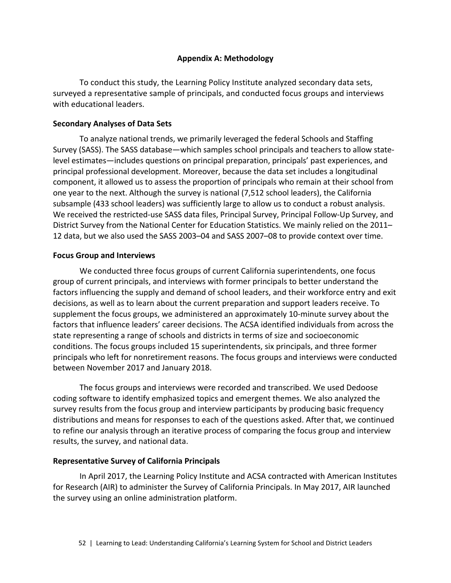#### **Appendix A: Methodology**

To conduct this study, the Learning Policy Institute analyzed secondary data sets, surveyed a representative sample of principals, and conducted focus groups and interviews with educational leaders.

#### **Secondary Analyses of Data Sets**

To analyze national trends, we primarily leveraged the federal Schools and Staffing Survey (SASS). The SASS database—which samples school principals and teachers to allow statelevel estimates—includes questions on principal preparation, principals' past experiences, and principal professional development. Moreover, because the data set includes a longitudinal component, it allowed us to assess the proportion of principals who remain at their school from one year to the next. Although the survey is national (7,512 school leaders), the California subsample (433 school leaders) was sufficiently large to allow us to conduct a robust analysis. We received the restricted-use SASS data files, Principal Survey, Principal Follow-Up Survey, and District Survey from the National Center for Education Statistics. We mainly relied on the 2011– 12 data, but we also used the SASS 2003–04 and SASS 2007–08 to provide context over time.

#### **Focus Group and Interviews**

We conducted three focus groups of current California superintendents, one focus group of current principals, and interviews with former principals to better understand the factors influencing the supply and demand of school leaders, and their workforce entry and exit decisions, as well as to learn about the current preparation and support leaders receive. To supplement the focus groups, we administered an approximately 10-minute survey about the factors that influence leaders' career decisions. The ACSA identified individuals from across the state representing a range of schools and districts in terms of size and socioeconomic conditions. The focus groups included 15 superintendents, six principals, and three former principals who left for nonretirement reasons. The focus groups and interviews were conducted between November 2017 and January 2018.

The focus groups and interviews were recorded and transcribed. We used Dedoose coding software to identify emphasized topics and emergent themes. We also analyzed the survey results from the focus group and interview participants by producing basic frequency distributions and means for responses to each of the questions asked. After that, we continued to refine our analysis through an iterative process of comparing the focus group and interview results, the survey, and national data.

#### **Representative Survey of California Principals**

In April 2017, the Learning Policy Institute and ACSA contracted with American Institutes for Research (AIR) to administer the Survey of California Principals. In May 2017, AIR launched the survey using an online administration platform.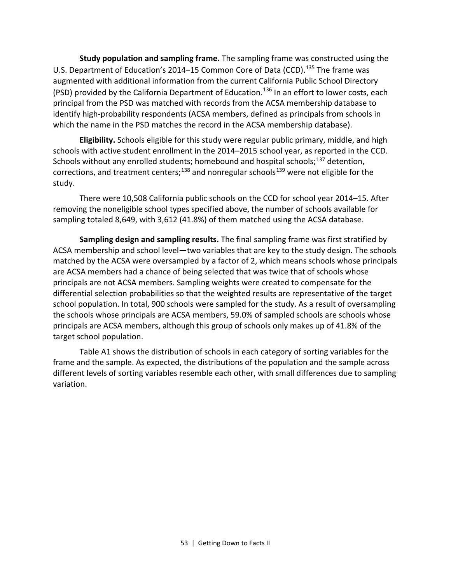**Study population and sampling frame.** The sampling frame was constructed using the U.S. Department of Education's 2014–15 Common Core of Data (CCD).<sup>[135](#page-79-6)</sup> The frame was augmented with additional information from the current California Public School Directory (PSD) provided by the California Department of Education.<sup>[136](#page-79-7)</sup> In an effort to lower costs, each principal from the PSD was matched with records from the ACSA membership database to identify high-probability respondents (ACSA members, defined as principals from schools in which the name in the PSD matches the record in the ACSA membership database).

**Eligibility.** Schools eligible for this study were regular public primary, middle, and high schools with active student enrollment in the 2014–2015 school year, as reported in the CCD. Schools without any enrolled students; homebound and hospital schools;<sup>[137](#page-79-8)</sup> detention, corrections, and treatment centers;<sup>[138](#page-79-9)</sup> and nonregular schools<sup>[139](#page-79-10)</sup> were not eligible for the study.

There were 10,508 California public schools on the CCD for school year 2014–15. After removing the noneligible school types specified above, the number of schools available for sampling totaled 8,649, with 3,612 (41.8%) of them matched using the ACSA database.

**Sampling design and sampling results.** The final sampling frame was first stratified by ACSA membership and school level—two variables that are key to the study design. The schools matched by the ACSA were oversampled by a factor of 2, which means schools whose principals are ACSA members had a chance of being selected that was twice that of schools whose principals are not ACSA members. Sampling weights were created to compensate for the differential selection probabilities so that the weighted results are representative of the target school population. In total, 900 schools were sampled for the study. As a result of oversampling the schools whose principals are ACSA members, 59.0% of sampled schools are schools whose principals are ACSA members, although this group of schools only makes up of 41.8% of the target school population.

Table A1 shows the distribution of schools in each category of sorting variables for the frame and the sample. As expected, the distributions of the population and the sample across different levels of sorting variables resemble each other, with small differences due to sampling variation.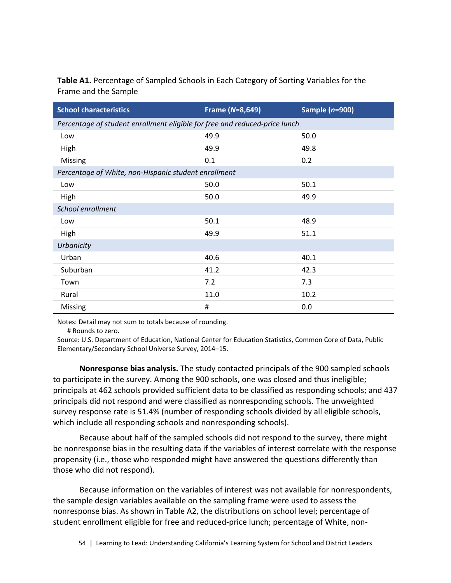**Table A1.** Percentage of Sampled Schools in Each Category of Sorting Variables for the Frame and the Sample

| <b>School characteristics</b>                                              | Frame (N=8,649) | Sample $(n=900)$ |
|----------------------------------------------------------------------------|-----------------|------------------|
| Percentage of student enrollment eligible for free and reduced-price lunch |                 |                  |
| Low                                                                        | 49.9            | 50.0             |
| High                                                                       | 49.9            | 49.8             |
| Missing                                                                    | 0.1             | 0.2              |
| Percentage of White, non-Hispanic student enrollment                       |                 |                  |
| Low                                                                        | 50.0            | 50.1             |
| High                                                                       | 50.0            | 49.9             |
| School enrollment                                                          |                 |                  |
| Low                                                                        | 50.1            | 48.9             |
| High                                                                       | 49.9            | 51.1             |
| Urbanicity                                                                 |                 |                  |
| Urban                                                                      | 40.6            | 40.1             |
| Suburban                                                                   | 41.2            | 42.3             |
| Town                                                                       | 7.2             | 7.3              |
| Rural                                                                      | 11.0            | 10.2             |
| Missing                                                                    | #               | 0.0              |

Notes: Detail may not sum to totals because of rounding.

# Rounds to zero.

Source: U.S. Department of Education, National Center for Education Statistics, Common Core of Data, Public Elementary/Secondary School Universe Survey, 2014–15.

**Nonresponse bias analysis.** The study contacted principals of the 900 sampled schools to participate in the survey. Among the 900 schools, one was closed and thus ineligible; principals at 462 schools provided sufficient data to be classified as responding schools; and 437 principals did not respond and were classified as nonresponding schools. The unweighted survey response rate is 51.4% (number of responding schools divided by all eligible schools, which include all responding schools and nonresponding schools).

Because about half of the sampled schools did not respond to the survey, there might be nonresponse bias in the resulting data if the variables of interest correlate with the response propensity (i.e., those who responded might have answered the questions differently than those who did not respond).

Because information on the variables of interest was not available for nonrespondents, the sample design variables available on the sampling frame were used to assess the nonresponse bias. As shown in Table A2, the distributions on school level; percentage of student enrollment eligible for free and reduced-price lunch; percentage of White, non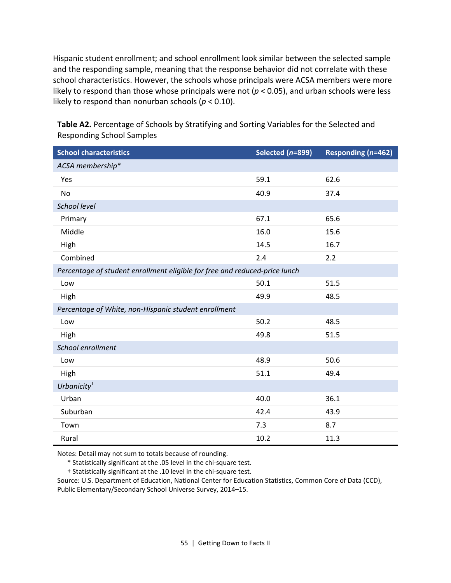Hispanic student enrollment; and school enrollment look similar between the selected sample and the responding sample, meaning that the response behavior did not correlate with these school characteristics. However, the schools whose principals were ACSA members were more likely to respond than those whose principals were not (*p* < 0.05), and urban schools were less likely to respond than nonurban schools (*p* < 0.10).

| <b>School characteristics</b>                                              | Selected (n=899) | Responding (n=462) |
|----------------------------------------------------------------------------|------------------|--------------------|
| ACSA membership*                                                           |                  |                    |
| Yes                                                                        | 59.1             | 62.6               |
| <b>No</b>                                                                  | 40.9             | 37.4               |
| School level                                                               |                  |                    |
| Primary                                                                    | 67.1             | 65.6               |
| Middle                                                                     | 16.0             | 15.6               |
| High                                                                       | 14.5             | 16.7               |
| Combined                                                                   | 2.4              | 2.2                |
| Percentage of student enrollment eligible for free and reduced-price lunch |                  |                    |
| Low                                                                        | 50.1             | 51.5               |
| High                                                                       | 49.9             | 48.5               |
| Percentage of White, non-Hispanic student enrollment                       |                  |                    |
| Low                                                                        | 50.2             | 48.5               |
| High                                                                       | 49.8             | 51.5               |
| School enrollment                                                          |                  |                    |
| Low                                                                        | 48.9             | 50.6               |
| High                                                                       | 51.1             | 49.4               |
| Urbanicity <sup>+</sup>                                                    |                  |                    |
| Urban                                                                      | 40.0             | 36.1               |
| Suburban                                                                   | 42.4             | 43.9               |
| Town                                                                       | 7.3              | 8.7                |
| Rural                                                                      | 10.2             | 11.3               |

**Table A2.** Percentage of Schools by Stratifying and Sorting Variables for the Selected and Responding School Samples

Notes: Detail may not sum to totals because of rounding.

\* Statistically significant at the .05 level in the chi-square test.

† Statistically significant at the .10 level in the chi-square test.

Source: U.S. Department of Education, National Center for Education Statistics, Common Core of Data (CCD), Public Elementary/Secondary School Universe Survey, 2014–15.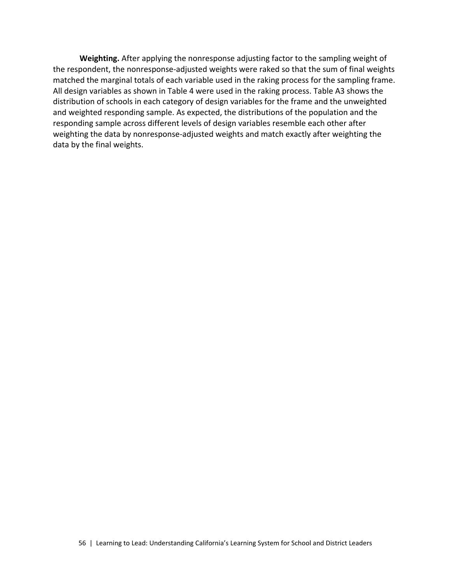**Weighting.** After applying the nonresponse adjusting factor to the sampling weight of the respondent, the nonresponse-adjusted weights were raked so that the sum of final weights matched the marginal totals of each variable used in the raking process for the sampling frame. All design variables as shown in Table 4 were used in the raking process. Table A3 shows the distribution of schools in each category of design variables for the frame and the unweighted and weighted responding sample. As expected, the distributions of the population and the responding sample across different levels of design variables resemble each other after weighting the data by nonresponse-adjusted weights and match exactly after weighting the data by the final weights.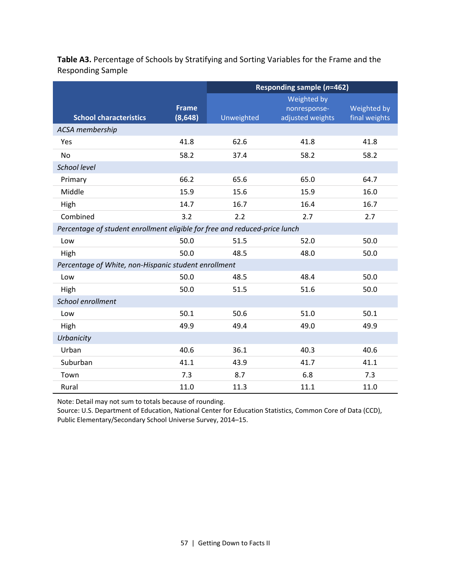|                                                                            |              | <b>Responding sample (n=462)</b> |                  |               |  |  |  |  |  |  |
|----------------------------------------------------------------------------|--------------|----------------------------------|------------------|---------------|--|--|--|--|--|--|
|                                                                            |              |                                  | Weighted by      |               |  |  |  |  |  |  |
|                                                                            | <b>Frame</b> |                                  | nonresponse-     | Weighted by   |  |  |  |  |  |  |
| <b>School characteristics</b>                                              | (8, 648)     | Unweighted                       | adjusted weights | final weights |  |  |  |  |  |  |
| ACSA membership                                                            |              |                                  |                  |               |  |  |  |  |  |  |
| Yes                                                                        | 41.8         | 62.6                             | 41.8             | 41.8          |  |  |  |  |  |  |
| <b>No</b>                                                                  | 58.2         | 37.4                             | 58.2             | 58.2          |  |  |  |  |  |  |
| School level                                                               |              |                                  |                  |               |  |  |  |  |  |  |
| Primary                                                                    | 66.2         | 65.6                             | 65.0             | 64.7          |  |  |  |  |  |  |
| Middle                                                                     | 15.9         | 15.6                             | 15.9             | 16.0          |  |  |  |  |  |  |
| High                                                                       | 14.7         | 16.7                             | 16.4             | 16.7          |  |  |  |  |  |  |
| Combined                                                                   | 3.2          | 2.2                              | 2.7              | 2.7           |  |  |  |  |  |  |
| Percentage of student enrollment eligible for free and reduced-price lunch |              |                                  |                  |               |  |  |  |  |  |  |
| Low                                                                        | 50.0         | 51.5                             | 52.0             | 50.0          |  |  |  |  |  |  |
| High                                                                       | 50.0         | 48.5                             | 48.0             | 50.0          |  |  |  |  |  |  |
| Percentage of White, non-Hispanic student enrollment                       |              |                                  |                  |               |  |  |  |  |  |  |
| Low                                                                        | 50.0         | 48.5                             | 48.4             | 50.0          |  |  |  |  |  |  |
| High                                                                       | 50.0         | 51.5                             | 51.6             | 50.0          |  |  |  |  |  |  |
| School enrollment                                                          |              |                                  |                  |               |  |  |  |  |  |  |
| Low                                                                        | 50.1         | 50.6                             | 51.0             | 50.1          |  |  |  |  |  |  |
| High                                                                       | 49.9         | 49.4                             | 49.0             | 49.9          |  |  |  |  |  |  |
| Urbanicity                                                                 |              |                                  |                  |               |  |  |  |  |  |  |
| Urban                                                                      | 40.6         | 36.1                             | 40.3             | 40.6          |  |  |  |  |  |  |
| Suburban                                                                   | 41.1         | 43.9                             | 41.7             | 41.1          |  |  |  |  |  |  |
| Town                                                                       | 7.3          | 8.7                              | 6.8              | 7.3           |  |  |  |  |  |  |
| Rural                                                                      | 11.0         | 11.3                             | 11.1             | 11.0          |  |  |  |  |  |  |

**Table A3.** Percentage of Schools by Stratifying and Sorting Variables for the Frame and the Responding Sample

Note: Detail may not sum to totals because of rounding.

Source: U.S. Department of Education, National Center for Education Statistics, Common Core of Data (CCD), Public Elementary/Secondary School Universe Survey, 2014–15.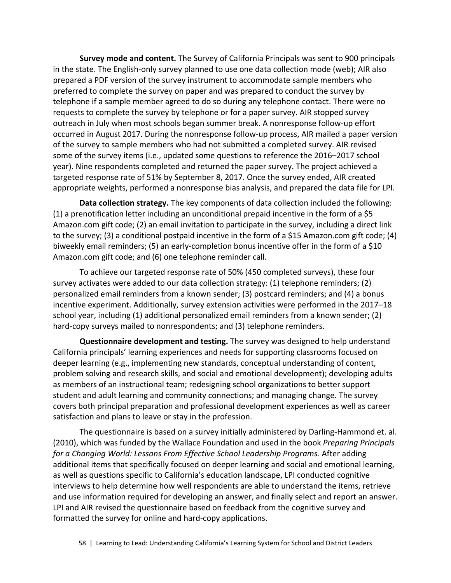**Survey mode and content.** The Survey of California Principals was sent to 900 principals in the state. The English-only survey planned to use one data collection mode (web); AIR also prepared a PDF version of the survey instrument to accommodate sample members who preferred to complete the survey on paper and was prepared to conduct the survey by telephone if a sample member agreed to do so during any telephone contact. There were no requests to complete the survey by telephone or for a paper survey. AIR stopped survey outreach in July when most schools began summer break. A nonresponse follow-up effort occurred in August 2017. During the nonresponse follow-up process, AIR mailed a paper version of the survey to sample members who had not submitted a completed survey. AIR revised some of the survey items (i.e., updated some questions to reference the 2016–2017 school year). Nine respondents completed and returned the paper survey. The project achieved a targeted response rate of 51% by September 8, 2017. Once the survey ended, AIR created appropriate weights, performed a nonresponse bias analysis, and prepared the data file for LPI.

**Data collection strategy.** The key components of data collection included the following: (1) a prenotification letter including an unconditional prepaid incentive in the form of a \$5 Amazon.com gift code; (2) an email invitation to participate in the survey, including a direct link to the survey; (3) a conditional postpaid incentive in the form of a \$15 Amazon.com gift code; (4) biweekly email reminders; (5) an early-completion bonus incentive offer in the form of a \$10 Amazon.com gift code; and (6) one telephone reminder call.

To achieve our targeted response rate of 50% (450 completed surveys), these four survey activates were added to our data collection strategy: (1) telephone reminders; (2) personalized email reminders from a known sender; (3) postcard reminders; and (4) a bonus incentive experiment. Additionally, survey extension activities were performed in the 2017–18 school year, including (1) additional personalized email reminders from a known sender; (2) hard-copy surveys mailed to nonrespondents; and (3) telephone reminders.

**Questionnaire development and testing.** The survey was designed to help understand California principals' learning experiences and needs for supporting classrooms focused on deeper learning (e.g., implementing new standards, conceptual understanding of content, problem solving and research skills, and social and emotional development); developing adults as members of an instructional team; redesigning school organizations to better support student and adult learning and community connections; and managing change. The survey covers both principal preparation and professional development experiences as well as career satisfaction and plans to leave or stay in the profession.

The questionnaire is based on a survey initially administered by Darling-Hammond et. al. (2010), which was funded by the Wallace Foundation and used in the book *Preparing Principals for a Changing World: Lessons From Effective School Leadership Programs.* After adding additional items that specifically focused on deeper learning and social and emotional learning, as well as questions specific to California's education landscape, LPI conducted cognitive interviews to help determine how well respondents are able to understand the items, retrieve and use information required for developing an answer, and finally select and report an answer. LPI and AIR revised the questionnaire based on feedback from the cognitive survey and formatted the survey for online and hard-copy applications.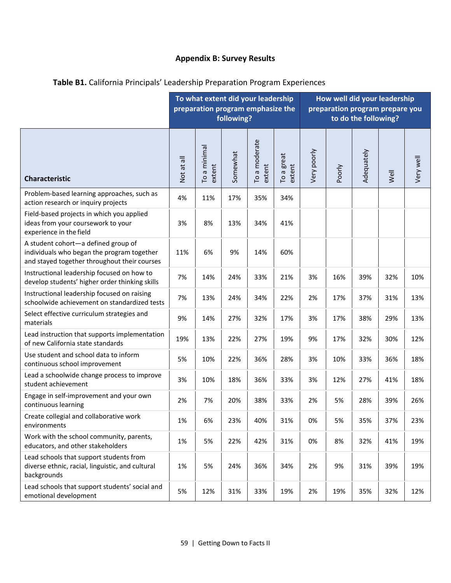# **Appendix B: Survey Results**

|                                                                                                                                   |            | To what extent did your leadership<br>preparation program emphasize the | following? |                         |                                      | How well did your leadership<br>preparation program prepare you<br>to do the following? |        |            |      |           |  |
|-----------------------------------------------------------------------------------------------------------------------------------|------------|-------------------------------------------------------------------------|------------|-------------------------|--------------------------------------|-----------------------------------------------------------------------------------------|--------|------------|------|-----------|--|
| <b>Characteristic</b>                                                                                                             | Not at all | To a minimal<br>extent                                                  | Somewhat   | To a moderate<br>extent | great<br>extent<br>To a <sub>I</sub> | Very poorly                                                                             | Poorly | Adequately | Well | Very well |  |
| Problem-based learning approaches, such as<br>action research or inquiry projects                                                 | 4%         | 11%                                                                     | 17%        | 35%                     | 34%                                  |                                                                                         |        |            |      |           |  |
| Field-based projects in which you applied<br>ideas from your coursework to your<br>experience in the field                        | 3%         | 8%                                                                      | 13%        | 34%                     | 41%                                  |                                                                                         |        |            |      |           |  |
| A student cohort-a defined group of<br>individuals who began the program together<br>and stayed together throughout their courses | 11%        | 6%                                                                      | 9%         | 14%                     | 60%                                  |                                                                                         |        |            |      |           |  |
| Instructional leadership focused on how to<br>develop students' higher order thinking skills                                      | 7%         | 14%                                                                     | 24%        | 33%                     | 21%                                  | 3%                                                                                      | 16%    | 39%        | 32%  | 10%       |  |
| Instructional leadership focused on raising<br>schoolwide achievement on standardized tests                                       | 7%         | 13%                                                                     | 24%        | 34%                     | 22%                                  | 2%                                                                                      | 17%    | 37%        | 31%  | 13%       |  |
| Select effective curriculum strategies and<br>materials                                                                           | 9%         | 14%                                                                     | 27%        | 32%                     | 17%                                  | 3%                                                                                      | 17%    | 38%        | 29%  | 13%       |  |
| Lead instruction that supports implementation<br>of new California state standards                                                | 19%        | 13%                                                                     | 22%        | 27%                     | 19%                                  | 9%                                                                                      | 17%    | 32%        | 30%  | 12%       |  |
| Use student and school data to inform<br>continuous school improvement                                                            | 5%         | 10%                                                                     | 22%        | 36%                     | 28%                                  | 3%                                                                                      | 10%    | 33%        | 36%  | 18%       |  |
| Lead a schoolwide change process to improve<br>student achievement                                                                | 3%         | 10%                                                                     | 18%        | 36%                     | 33%                                  | 3%                                                                                      | 12%    | 27%        | 41%  | 18%       |  |
| Engage in self-improvement and your own<br>continuous learning                                                                    | 2%         | 7%                                                                      | 20%        | 38%                     | 33%                                  | 2%                                                                                      | 5%     | 28%        | 39%  | 26%       |  |
| Create collegial and collaborative work<br>environments                                                                           | 1%         | 6%                                                                      | 23%        | 40%                     | 31%                                  | 0%                                                                                      | 5%     | 35%        | 37%  | 23%       |  |
| Work with the school community, parents,<br>educators, and other stakeholders                                                     | 1%         | 5%                                                                      | 22%        | 42%                     | 31%                                  | 0%                                                                                      | 8%     | 32%        | 41%  | 19%       |  |
| Lead schools that support students from<br>diverse ethnic, racial, linguistic, and cultural<br>backgrounds                        | 1%         | 5%                                                                      | 24%        | 36%                     | 34%                                  | 2%                                                                                      | 9%     | 31%        | 39%  | 19%       |  |
| Lead schools that support students' social and<br>emotional development                                                           | 5%         | 12%                                                                     | 31%        | 33%                     | 19%                                  | 2%                                                                                      | 19%    | 35%        | 32%  | 12%       |  |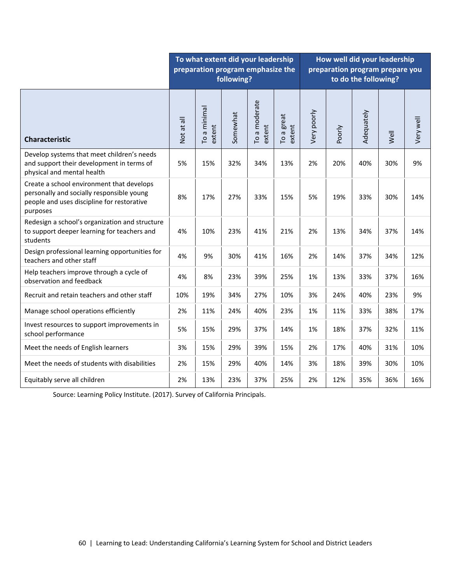|                                                                                                                                                  | To what extent did your leadership<br>preparation program emphasize the<br>following? |                        |          |                         |                      |             | How well did your leadership<br>preparation program prepare you<br>to do the following? |            |      |           |  |
|--------------------------------------------------------------------------------------------------------------------------------------------------|---------------------------------------------------------------------------------------|------------------------|----------|-------------------------|----------------------|-------------|-----------------------------------------------------------------------------------------|------------|------|-----------|--|
| <b>Characteristic</b>                                                                                                                            | Not at all                                                                            | To a minimal<br>extent | Somewhat | To a moderate<br>extent | To a great<br>extent | Very poorly | Poorly                                                                                  | Adequately | Well | Very well |  |
| Develop systems that meet children's needs<br>and support their development in terms of<br>physical and mental health                            | 5%                                                                                    | 15%                    | 32%      | 34%                     | 13%                  | 2%          | 20%                                                                                     | 40%        | 30%  | 9%        |  |
| Create a school environment that develops<br>personally and socially responsible young<br>people and uses discipline for restorative<br>purposes | 8%                                                                                    | 17%                    | 27%      | 33%                     | 15%                  | 5%          | 19%                                                                                     | 33%        | 30%  | 14%       |  |
| Redesign a school's organization and structure<br>to support deeper learning for teachers and<br>students                                        | 4%                                                                                    | 10%                    | 23%      | 41%                     | 21%                  | 2%          | 13%                                                                                     | 34%        | 37%  | 14%       |  |
| Design professional learning opportunities for<br>teachers and other staff                                                                       | 4%                                                                                    | 9%                     | 30%      | 41%                     | 16%                  | 2%          | 14%                                                                                     | 37%        | 34%  | 12%       |  |
| Help teachers improve through a cycle of<br>observation and feedback                                                                             | 4%                                                                                    | 8%                     | 23%      | 39%                     | 25%                  | 1%          | 13%                                                                                     | 33%        | 37%  | 16%       |  |
| Recruit and retain teachers and other staff                                                                                                      | 10%                                                                                   | 19%                    | 34%      | 27%                     | 10%                  | 3%          | 24%                                                                                     | 40%        | 23%  | 9%        |  |
| Manage school operations efficiently                                                                                                             | 2%                                                                                    | 11%                    | 24%      | 40%                     | 23%                  | 1%          | 11%                                                                                     | 33%        | 38%  | 17%       |  |
| Invest resources to support improvements in<br>school performance                                                                                | 5%                                                                                    | 15%                    | 29%      | 37%                     | 14%                  | 1%          | 18%                                                                                     | 37%        | 32%  | 11%       |  |
| Meet the needs of English learners                                                                                                               | 3%                                                                                    | 15%                    | 29%      | 39%                     | 15%                  | 2%          | 17%                                                                                     | 40%        | 31%  | 10%       |  |
| Meet the needs of students with disabilities                                                                                                     | 2%                                                                                    | 15%                    | 29%      | 40%                     | 14%                  | 3%          | 18%                                                                                     | 39%        | 30%  | 10%       |  |
| Equitably serve all children                                                                                                                     | 2%                                                                                    | 13%                    | 23%      | 37%                     | 25%                  | 2%          | 12%                                                                                     | 35%        | 36%  | 16%       |  |

Source: Learning Policy Institute. (2017). Survey of California Principals.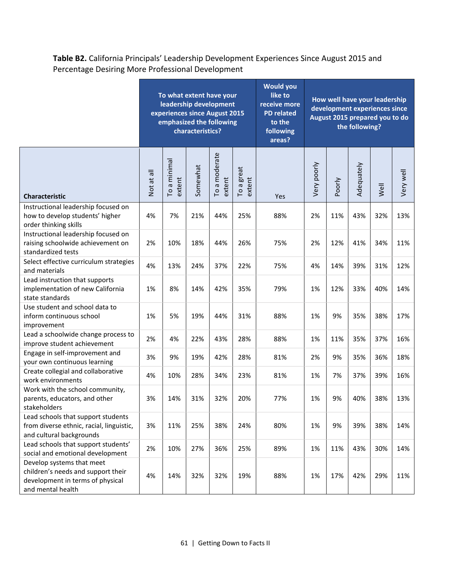**Table B2.** California Principals' Leadership Development Experiences Since August 2015 and Percentage Desiring More Professional Development

|                                                                                                                          | To what extent have your<br>leadership development<br>experiences since August 2015<br>emphasized the following<br>characteristics? |                        |          |                         |                      | <b>Would you</b><br>like to<br>receive more<br><b>PD</b> related<br>to the<br>following<br>areas? | How well have your leadership<br>development experiences since<br>August 2015 prepared you to do<br>the following? |        |            |      |           |  |
|--------------------------------------------------------------------------------------------------------------------------|-------------------------------------------------------------------------------------------------------------------------------------|------------------------|----------|-------------------------|----------------------|---------------------------------------------------------------------------------------------------|--------------------------------------------------------------------------------------------------------------------|--------|------------|------|-----------|--|
| <b>Characteristic</b>                                                                                                    | Not at all                                                                                                                          | To a minimal<br>extent | Somewhat | To a moderate<br>extent | To a great<br>extent | Yes                                                                                               | Very poorly                                                                                                        | Poorly | Adequately | Well | Very well |  |
| Instructional leadership focused on<br>how to develop students' higher<br>order thinking skills                          | 4%                                                                                                                                  | 7%                     | 21%      | 44%                     | 25%                  | 88%                                                                                               | 2%                                                                                                                 | 11%    | 43%        | 32%  | 13%       |  |
| Instructional leadership focused on<br>raising schoolwide achievement on<br>standardized tests                           | 2%                                                                                                                                  | 10%                    | 18%      | 44%                     | 26%                  | 75%                                                                                               | 2%                                                                                                                 | 12%    | 41%        | 34%  | 11%       |  |
| Select effective curriculum strategies<br>and materials                                                                  | 4%                                                                                                                                  | 13%                    | 24%      | 37%                     | 22%                  | 75%                                                                                               | 4%                                                                                                                 | 14%    | 39%        | 31%  | 12%       |  |
| Lead instruction that supports<br>implementation of new California<br>state standards                                    | 1%                                                                                                                                  | 8%                     | 14%      | 42%                     | 35%                  | 79%                                                                                               | 1%                                                                                                                 | 12%    | 33%        | 40%  | 14%       |  |
| Use student and school data to<br>inform continuous school<br>improvement                                                | 1%                                                                                                                                  | 5%                     | 19%      | 44%                     | 31%                  | 88%                                                                                               | 1%                                                                                                                 | 9%     | 35%        | 38%  | 17%       |  |
| Lead a schoolwide change process to<br>improve student achievement                                                       | 2%                                                                                                                                  | 4%                     | 22%      | 43%                     | 28%                  | 88%                                                                                               | 1%                                                                                                                 | 11%    | 35%        | 37%  | 16%       |  |
| Engage in self-improvement and<br>your own continuous learning                                                           | 3%                                                                                                                                  | 9%                     | 19%      | 42%                     | 28%                  | 81%                                                                                               | 2%                                                                                                                 | 9%     | 35%        | 36%  | 18%       |  |
| Create collegial and collaborative<br>work environments                                                                  | 4%                                                                                                                                  | 10%                    | 28%      | 34%                     | 23%                  | 81%                                                                                               | 1%                                                                                                                 | 7%     | 37%        | 39%  | 16%       |  |
| Work with the school community,<br>parents, educators, and other<br>stakeholders                                         | 3%                                                                                                                                  | 14%                    | 31%      | 32%                     | 20%                  | 77%                                                                                               | 1%                                                                                                                 | 9%     | 40%        | 38%  | 13%       |  |
| Lead schools that support students<br>from diverse ethnic, racial, linguistic,<br>and cultural backgrounds               | 3%                                                                                                                                  | 11%                    | 25%      | 38%                     | 24%                  | 80%                                                                                               | 1%                                                                                                                 | 9%     | 39%        | 38%  | 14%       |  |
| Lead schools that support students'<br>social and emotional development                                                  | 2%                                                                                                                                  | 10%                    | 27%      | 36%                     | 25%                  | 89%                                                                                               | 1%                                                                                                                 | 11%    | 43%        | 30%  | 14%       |  |
| Develop systems that meet<br>children's needs and support their<br>development in terms of physical<br>and mental health | 4%                                                                                                                                  | 14%                    | 32%      | 32%                     | 19%                  | 88%                                                                                               | 1%                                                                                                                 | 17%    | 42%        | 29%  | 11%       |  |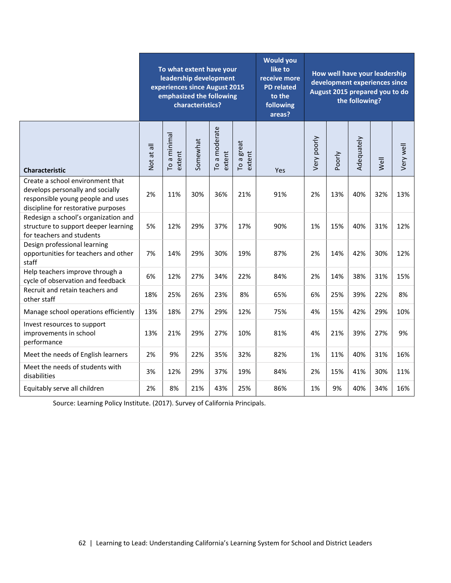|                                                                                                                                                  | To what extent have your<br>leadership development<br>experiences since August 2015<br>emphasized the following<br>characteristics? |                        |          |                         |                      | <b>Would you</b><br>like to<br>receive more<br><b>PD</b> related<br>to the<br>following<br>areas? | How well have your leadership<br>development experiences since<br>August 2015 prepared you to do<br>the following? |        |            |      |           |  |
|--------------------------------------------------------------------------------------------------------------------------------------------------|-------------------------------------------------------------------------------------------------------------------------------------|------------------------|----------|-------------------------|----------------------|---------------------------------------------------------------------------------------------------|--------------------------------------------------------------------------------------------------------------------|--------|------------|------|-----------|--|
| <b>Characteristic</b>                                                                                                                            | Not at all                                                                                                                          | To a minimal<br>extent | Somewhat | To a moderate<br>extent | To a great<br>extent | Yes                                                                                               | Very poorly                                                                                                        | Poorly | Adequately | Well | Very well |  |
| Create a school environment that<br>develops personally and socially<br>responsible young people and uses<br>discipline for restorative purposes | 2%                                                                                                                                  | 11%                    | 30%      | 36%                     | 21%                  | 91%                                                                                               | 2%                                                                                                                 | 13%    | 40%        | 32%  | 13%       |  |
| Redesign a school's organization and<br>structure to support deeper learning<br>for teachers and students                                        | 5%                                                                                                                                  | 12%                    | 29%      | 37%                     | 17%                  | 90%                                                                                               | 1%                                                                                                                 | 15%    | 40%        | 31%  | 12%       |  |
| Design professional learning<br>opportunities for teachers and other<br>staff                                                                    | 7%                                                                                                                                  | 14%                    | 29%      | 30%                     | 19%                  | 87%                                                                                               | 2%                                                                                                                 | 14%    | 42%        | 30%  | 12%       |  |
| Help teachers improve through a<br>cycle of observation and feedback                                                                             | 6%                                                                                                                                  | 12%                    | 27%      | 34%                     | 22%                  | 84%                                                                                               | 2%                                                                                                                 | 14%    | 38%        | 31%  | 15%       |  |
| Recruit and retain teachers and<br>other staff                                                                                                   | 18%                                                                                                                                 | 25%                    | 26%      | 23%                     | 8%                   | 65%                                                                                               | 6%                                                                                                                 | 25%    | 39%        | 22%  | 8%        |  |
| Manage school operations efficiently                                                                                                             | 13%                                                                                                                                 | 18%                    | 27%      | 29%                     | 12%                  | 75%                                                                                               | 4%                                                                                                                 | 15%    | 42%        | 29%  | 10%       |  |
| Invest resources to support<br>improvements in school<br>performance                                                                             | 13%                                                                                                                                 | 21%                    | 29%      | 27%                     | 10%                  | 81%                                                                                               | 4%                                                                                                                 | 21%    | 39%        | 27%  | 9%        |  |
| Meet the needs of English learners                                                                                                               | 2%                                                                                                                                  | 9%                     | 22%      | 35%                     | 32%                  | 82%                                                                                               | 1%                                                                                                                 | 11%    | 40%        | 31%  | 16%       |  |
| Meet the needs of students with<br>disabilities                                                                                                  | 3%                                                                                                                                  | 12%                    | 29%      | 37%                     | 19%                  | 84%                                                                                               | 2%                                                                                                                 | 15%    | 41%        | 30%  | 11%       |  |
| Equitably serve all children                                                                                                                     | 2%                                                                                                                                  | 8%                     | 21%      | 43%                     | 25%                  | 86%                                                                                               | 1%                                                                                                                 | 9%     | 40%        | 34%  | 16%       |  |

Source: Learning Policy Institute. (2017). Survey of California Principals.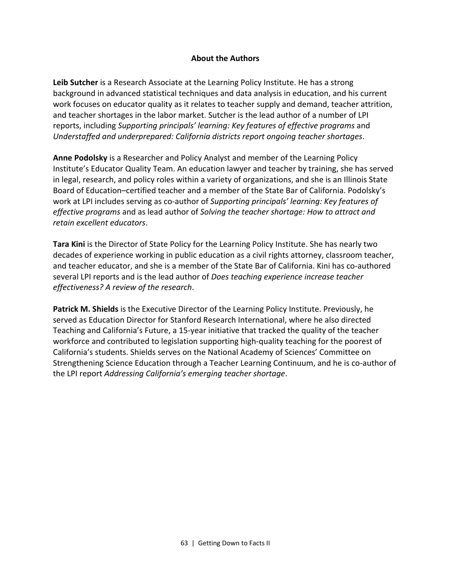#### **About the Authors**

**Leib Sutcher** is a Research Associate at the Learning Policy Institute. He has a strong background in advanced statistical techniques and data analysis in education, and his current work focuses on educator quality as it relates to teacher supply and demand, teacher attrition, and teacher shortages in the labor market. Sutcher is the lead author of a number of LPI reports, including *Supporting principals' learning: Key features of effective programs* and *Understaffed and underprepared: California districts report ongoing teacher shortages*.

**Anne Podolsky** is a Researcher and Policy Analyst and member of the Learning Policy Institute's [Educator Quality](https://learningpolicyinstitute.org/topic/educator-quality) Team. An education lawyer and teacher by training, she has served in legal, research, and policy roles within a variety of organizations, and she is an Illinois State Board of Education–certified teacher and a member of the State Bar of California. Podolsky's work at LPI includes serving as co-author of *Supporting principals' learning: Key features of effective programs* and as lead author of *[Solving the teacher shortage: How to attract and](https://learningpolicyinstitute.org/product/solving-teacher-shortage)  [retain excellent educators](https://learningpolicyinstitute.org/product/solving-teacher-shortage)*.

**Tara Kini** is the Director of State Policy for the Learning Policy Institute. She has nearly two decades of experience working in public education as a civil rights attorney, classroom teacher, and teacher educator, and she is a member of the State Bar of California. Kini has co-authored several LPI reports and is the lead author of *[Does teaching experience increase](https://learningpolicyinstitute.org/product/does-teaching-experience-increase-teacher-effectiveness-review-research) teacher [effectiveness? A review of the research](https://learningpolicyinstitute.org/product/does-teaching-experience-increase-teacher-effectiveness-review-research)*.

**Patrick M. Shields** is the Executive Director of the Learning Policy Institute. Previously, he served as Education Director for Stanford Research International, where he also directed Teaching and California's Future, a 15-year initiative that tracked the quality of the teacher workforce and contributed to legislation supporting high-quality teaching for the poorest of California's students. Shields serves on the National Academy of Sciences' Committee on Strengthening Science Education through a Teacher Learning Continuum, and he is co-author of the LPI report *[Addressing California's emerging teacher shortage](https://learningpolicyinstitute.org/product/addressing-californias-emerging-teacher-shortage)*.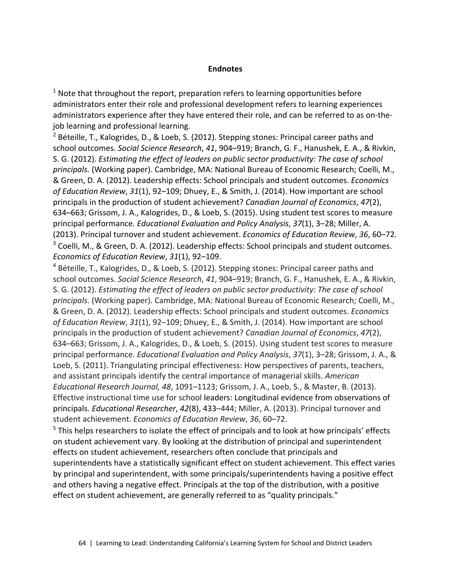#### **Endnotes**

 $1$  Note that throughout the report, preparation refers to learning opportunities before administrators enter their role and professional development refers to learning experiences administrators experience after they have entered their role, and can be referred to as on-thejob learning and professional learning.

 $2$  Béteille, T., Kalogrides, D., & Loeb, S. (2012). Stepping stones: Principal career paths and school outcomes. *Social Science Research*, *41*, 904–919; Branch, G. F., Hanushek, E. A., & Rivkin, S. G. (2012). *Estimating the effect of leaders on public sector productivity: The case of school principals.* (Working paper). Cambridge, MA: National Bureau of Economic Research; Coelli, M., & Green, D. A. (2012). Leadership effects: School principals and student outcomes. *Economics of Education Review*, *31*(1), 92–109; Dhuey, E., & Smith, J. (2014). How important are school principals in the production of student achievement? *Canadian Journal of Economics*, *47*(2), 634–663; Grissom, J. A., Kalogrides, D., & Loeb, S. (2015). Using student test scores to measure principal performance. *Educational Evaluation and Policy Analysis*, *37*(1), 3–28; Miller, A. (2013). Principal turnover and student achievement. *Economics of Education Review*, *36*, 60–72. <sup>3</sup> Coelli, M., & Green, D. A. (2012). Leadership effects: School principals and student outcomes. *Economics of Education Review*, *31*(1), 92–109.

<sup>4</sup> Béteille, T., Kalogrides, D., & Loeb, S. (2012). Stepping stones: Principal career paths and school outcomes. *Social Science Research*, *41*, 904–919; Branch, G. F., Hanushek, E. A., & Rivkin, S. G. (2012). *Estimating the effect of leaders on public sector productivity: The case of school principals.* (Working paper). Cambridge, MA: National Bureau of Economic Research; Coelli, M., & Green, D. A. (2012). Leadership effects: School principals and student outcomes. *Economics of Education Review*, *31*(1), 92–109; Dhuey, E., & Smith, J. (2014). How important are school principals in the production of student achievement? *Canadian Journal of Economics*, *47*(2), 634–663; Grissom, J. A., Kalogrides, D., & Loeb, S. (2015). Using student test scores to measure principal performance. *Educational Evaluation and Policy Analysis*, *37*(1), 3–28; Grissom, J. A., & Loeb, S. (2011). Triangulating principal effectiveness: How perspectives of parents, teachers, and assistant principals identify the central importance of managerial skills. *American Educational Research Journal, 48*, 1091–1123; Grissom, J. A., Loeb, S., & Master, B. (2013). Effective instructional time use for school leaders: Longitudinal evidence from observations of principals. *Educational Researcher*, *42*(8), 433–444; Miller, A. (2013). Principal turnover and student achievement. *Economics of Education Review*, *36*, 60–72.

 $<sup>5</sup>$  This helps researchers to isolate the effect of principals and to look at how principals' effects</sup> on student achievement vary. By looking at the distribution of principal and superintendent effects on student achievement, researchers often conclude that principals and superintendents have a statistically significant effect on student achievement. This effect varies by principal and superintendent, with some principals/superintendents having a positive effect and others having a negative effect. Principals at the top of the distribution, with a positive effect on student achievement, are generally referred to as "quality principals."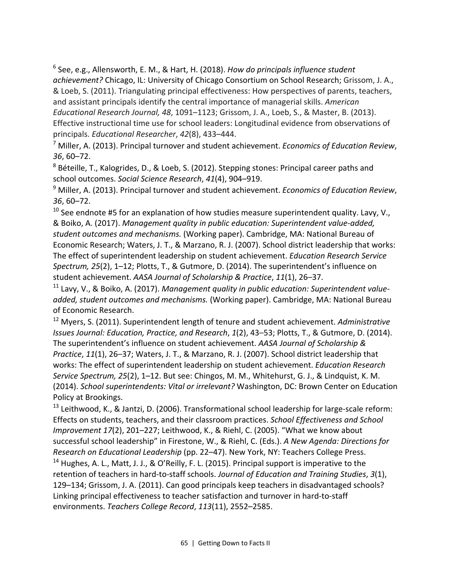<sup>6</sup> See, e.g., Allensworth, E. M., & Hart, H. (2018). *How do principals influence student achievement?* Chicago, IL: University of Chicago Consortium on School Research; Grissom, J. A., & Loeb, S. (2011). Triangulating principal effectiveness: How perspectives of parents, teachers, and assistant principals identify the central importance of managerial skills. *American Educational Research Journal, 48*, 1091–1123; Grissom, J. A., Loeb, S., & Master, B. (2013). Effective instructional time use for school leaders: Longitudinal evidence from observations of principals. *Educational Researcher*, *42*(8), 433–444.

<sup>7</sup> Miller, A. (2013). Principal turnover and student achievement. *Economics of Education Review*, *36*, 60–72.

<sup>8</sup> Béteille, T., Kalogrides, D., & Loeb, S. (2012). Stepping stones: Principal career paths and school outcomes. *Social Science Research*, *41*(4), 904–919.

<sup>9</sup> Miller, A. (2013). Principal turnover and student achievement. *Economics of Education Review*, *36*, 60–72.

 $10$  See endnote #5 for an explanation of how studies measure superintendent quality. Lavy, V., & Boiko, A. (2017). *Management quality in public education: Superintendent value-added, student outcomes and mechanisms.* (Working paper). Cambridge, MA: National Bureau of Economic Research; Waters, J. T., & Marzano, R. J. (2007). School district leadership that works: The effect of superintendent leadership on student achievement. *Education Research Service Spectrum, 25*(2), 1–12; Plotts, T., & Gutmore, D. (2014). The superintendent's influence on student achievement. *AASA Journal of Scholarship & Practice*, *11*(1), 26–37.

<sup>11</sup> Lavy, V., & Boiko, A. (2017). *Management quality in public education: Superintendent valueadded, student outcomes and mechanisms.* (Working paper). Cambridge, MA: National Bureau of Economic Research.

<sup>12</sup> Myers, S. (2011). Superintendent length of tenure and student achievement. *Administrative Issues Journal: Education, Practice, and Research*, *1*(2), 43–53; Plotts, T., & Gutmore, D. (2014). The superintendent's influence on student achievement. *AASA Journal of Scholarship & Practice*, *11*(1), 26–37; Waters, J. T., & Marzano, R. J. (2007). School district leadership that works: The effect of superintendent leadership on student achievement. *Education Research Service Spectrum, 25*(2), 1–12. But see: Chingos, M. M., Whitehurst, G. J., & Lindquist, K. M. (2014). *School superintendents: Vital or irrelevant?* Washington, DC: Brown Center on Education Policy at Brookings.

<sup>13</sup> Leithwood, K., & Jantzi, D. (2006). Transformational school leadership for large-scale reform: Effects on students, teachers, and their classroom practices. *School Effectiveness and School Improvement 17*(2), 201–227; Leithwood, K., & Riehl, C. (2005). "What we know about successful school leadership" in Firestone, W., & Riehl, C. (Eds.). *A New Agenda: Directions for Research on Educational Leadership* (pp. 22–47). New York, NY: Teachers College Press. <sup>14</sup> Hughes, A. L., Matt, J. J., & O'Reilly, F. L. (2015). Principal support is imperative to the retention of teachers in hard-to-staff schools. *Journal of Education and Training Studies*, *3*(1), 129–134; Grissom, J. A. (2011). Can good principals keep teachers in disadvantaged schools? Linking principal effectiveness to teacher satisfaction and turnover in hard-to-staff environments. *Teachers College Record*, *113*(11), 2552–2585.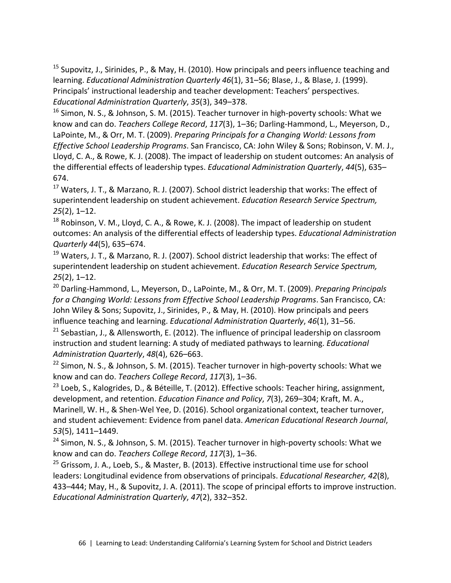<sup>15</sup> Supovitz, J., Sirinides, P., & May, H. (2010). How principals and peers influence teaching and learning. *Educational Administration Quarterly 46*(1), 31–56; Blase, J., & Blase, J. (1999). Principals' instructional leadership and teacher development: Teachers' perspectives. *Educational Administration Quarterly*, *35*(3), 349–378.

<sup>16</sup> Simon, N. S., & Johnson, S. M. (2015). Teacher turnover in high-poverty schools: What we know and can do. *Teachers College Record*, *117*(3), 1–36; Darling-Hammond, L., Meyerson, D., LaPointe, M., & Orr, M. T. (2009). *Preparing Principals for a Changing World: Lessons from Effective School Leadership Programs*. San Francisco, CA: John Wiley & Sons; Robinson, V. M. J., Lloyd, C. A., & Rowe, K. J. (2008). The impact of leadership on student outcomes: An analysis of the differential effects of leadership types. *Educational Administration Quarterly*, *44*(5), 635– 674.

 $17$  Waters, J. T., & Marzano, R. J. (2007). School district leadership that works: The effect of superintendent leadership on student achievement. *Education Research Service Spectrum, 25*(2), 1–12.

 $18$  Robinson, V. M., Lloyd, C. A., & Rowe, K. J. (2008). The impact of leadership on student outcomes: An analysis of the differential effects of leadership types. *Educational Administration Quarterly 44*(5), 635–674.

 $19$  Waters, J. T., & Marzano, R. J. (2007). School district leadership that works: The effect of superintendent leadership on student achievement. *Education Research Service Spectrum, 25*(2), 1–12.

<sup>20</sup> Darling-Hammond, L., Meyerson, D., LaPointe, M., & Orr, M. T. (2009). *Preparing Principals for a Changing World: Lessons from Effective School Leadership Programs*. San Francisco, CA: John Wiley & Sons; Supovitz, J., Sirinides, P., & May, H. (2010). How principals and peers influence teaching and learning. *Educational Administration Quarterly*, *46*(1), 31–56.

 $21$  Sebastian, J., & Allensworth, E. (2012). The influence of principal leadership on classroom instruction and student learning: A study of mediated pathways to learning. *Educational Administration Quarterly*, *48*(4), 626–663.

 $22$  Simon, N. S., & Johnson, S. M. (2015). Teacher turnover in high-poverty schools: What we know and can do. *Teachers College Record*, *117*(3), 1–36.

<sup>23</sup> Loeb, S., Kalogrides, D., & Béteille, T. (2012). Effective schools: Teacher hiring, assignment, development, and retention. *Education Finance and Policy*, *7*(3), 269–304; Kraft, M. A., Marinell, W. H., & Shen-Wel Yee, D. (2016). School organizational context, teacher turnover, and student achievement: Evidence from panel data. *American Educational Research Journal*, *53*(5), 1411–1449.

<sup>24</sup> Simon, N. S., & Johnson, S. M. (2015). Teacher turnover in high-poverty schools: What we know and can do. *Teachers College Record*, *117*(3), 1–36.

 $25$  Grissom, J. A., Loeb, S., & Master, B. (2013). Effective instructional time use for school leaders: Longitudinal evidence from observations of principals. *Educational Researcher, 42*(8), 433–444; May, H., & Supovitz, J. A. (2011). The scope of principal efforts to improve instruction. *Educational Administration Quarterly*, *47*(2), 332–352.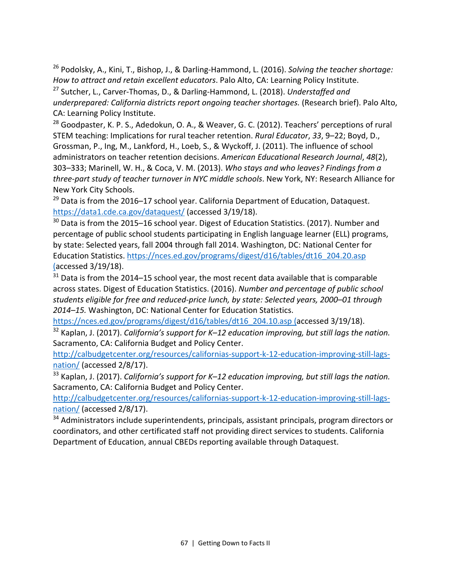<sup>26</sup> Podolsky, A., Kini, T., Bishop, J., & Darling-Hammond, L. (2016). *Solving the teacher shortage: How to attract and retain excellent educators*. Palo Alto, CA: Learning Policy Institute.

<sup>27</sup> Sutcher, L., Carver-Thomas, D., & Darling-Hammond, L. (2018). *Understaffed and underprepared: California districts report ongoing teacher shortages.* (Research brief). Palo Alto, CA: Learning Policy Institute.

<sup>28</sup> Goodpaster, K. P. S., Adedokun, O. A., & Weaver, G. C. (2012). Teachers' perceptions of rural STEM teaching: Implications for rural teacher retention. *Rural Educator*, *33*, 9–22; Boyd, D., Grossman, P., Ing, M., Lankford, H., Loeb, S., & Wyckoff, J. (2011). The influence of school administrators on teacher retention decisions. *American Educational Research Journal*, *48*(2), 303–333; Marinell, W. H., & Coca, V. M. (2013). *Who stays and who leaves? Findings from a three-part study of teacher turnover in NYC middle schools*. New York, NY: Research Alliance for New York City Schools.

 $^{29}$  Data is from the 2016–17 school year. California Department of Education, Dataquest. https://data1.cde.ca.gov/dataquest/ (accessed 3/19/18).

<sup>30</sup> Data is from the 2015–16 school year. Digest of Education Statistics. (2017). Number and percentage of public school students participating in English language learner (ELL) programs, by state: Selected years, fall 2004 through fall 2014. Washington, DC: National Center for Education Statistics. [https://nces.ed.gov/programs/digest/d16/tables/dt16\\_204.20.asp](https://nces.ed.gov/programs/digest/d16/tables/dt16_204.20.asp) (accessed 3/19/18).

 $31$  Data is from the 2014–15 school year, the most recent data available that is comparable across states. Digest of Education Statistics. (2016). *Number and percentage of public school students eligible for free and reduced-price lunch, by state: Selected years, 2000–01 through 2014–15.* Washington, DC: National Center for Education Statistics[.](https://nces.ed.gov/programs/digest/d16/tables/dt16_204.10.asp%20%20on%203/19/18)

[https://nces.ed.gov/programs/digest/d16/tables/dt16\\_204.10.asp](https://nces.ed.gov/programs/digest/d16/tables/dt16_204.10.asp%20%20on%203/19/18) (accessed 3/19/18).

<sup>32</sup> Kaplan, J. (2017). *California's support for K–12 education improving, but still lags the nation.*  Sacramento, CA: California Budget and Policy Center.

http://calbudgetcenter.org/resources/californias-support-k-12-education-improving-still-lagsnation/ (accessed 2/8/17).

<sup>33</sup> Kaplan, J. (2017). *California's support for K–12 education improving, but still lags the nation.*  Sacramento, CA: California Budget and Policy Center.

http://calbudgetcenter.org/resources/californias-support-k-12-education-improving-still-lagsnation/ (accessed 2/8/17).

<sup>34</sup> Administrators include superintendents, principals, assistant principals, program directors or coordinators, and other certificated staff not providing direct services to students. California Department of Education, annual CBEDs reporting available through Dataquest.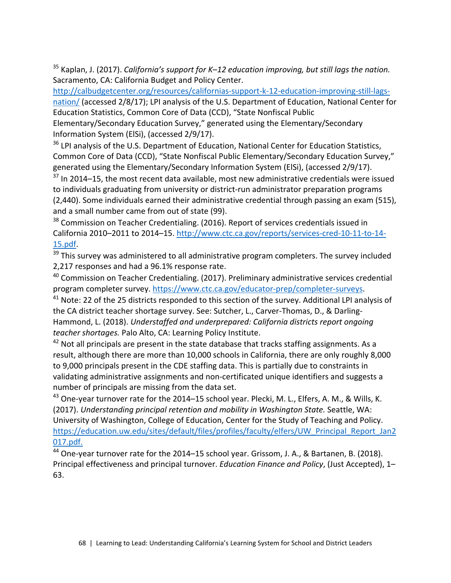<sup>35</sup> Kaplan, J. (2017). *California's support for K–12 education improving, but still lags the nation.*  Sacramento, CA: California Budget and Policy Center.

http://calbudgetcenter.org/resources/californias-support-k-12-education-improving-still-lagsnation/ (accessed 2/8/17); LPI analysis of the U.S. Department of Education, National Center for Education Statistics, Common Core of Data (CCD), "State Nonfiscal Public

Elementary/Secondary Education Survey," generated using the Elementary/Secondary Information System (ElSi), (accessed 2/9/17).

<sup>36</sup> LPI analysis of the U.S. Department of Education, National Center for Education Statistics, Common Core of Data (CCD), "State Nonfiscal Public Elementary/Secondary Education Survey," generated using the Elementary/Secondary Information System (ElSi), (accessed 2/9/17).

 $37$  In 2014–15, the most recent data available, most new administrative credentials were issued to individuals graduating from university or district-run administrator preparation programs (2,440). Some individuals earned their administrative credential through passing an exam (515), and a small number came from out of state (99).

<sup>38</sup> Commission on Teacher Credentialing. (2016). Report of services credentials issued in California 2010–2011 to 2014–15. http://www.ctc.ca.gov/reports/services-cred-10-11-to-14- 15.pdf.

 $39$  This survey was administered to all administrative program completers. The survey included 2,217 responses and had a 96.1% response rate.

 $40$  Commission on Teacher Credentialing. (2017). Preliminary administrative services credential program completer survey. https://www.ctc.ca.gov/educator-prep/completer-surveys.

 $41$  Note: 22 of the 25 districts responded to this section of the survey. Additional LPI analysis of the CA district teacher shortage survey. See: Sutcher, L., Carver-Thomas, D., & Darling-Hammond, L. (2018). *Understaffed and underprepared: California districts report ongoing teacher shortages.* Palo Alto, CA: Learning Policy Institute.

 $42$  Not all principals are present in the state database that tracks staffing assignments. As a result, although there are more than 10,000 schools in California, there are only roughly 8,000 to 9,000 principals present in the CDE staffing data. This is partially due to constraints in validating administrative assignments and non-certificated unique identifiers and suggests a number of principals are missing from the data set.

<sup>43</sup> One-year turnover rate for the 2014–15 school year. Plecki, M. L., Elfers, A. M., & Wills, K. (2017). *Understanding principal retention and mobility in Washington State.* Seattle, WA: University of Washington, College of Education, Center for the Study of Teaching and Policy. https://education.uw.edu/sites/default/files/profiles/faculty/elfers/UW\_Principal\_Report\_Jan2 017.pdf.

 $44$  One-year turnover rate for the 2014–15 school year. Grissom, J. A., & Bartanen, B. (2018). Principal effectiveness and principal turnover. *Education Finance and Policy*, (Just Accepted), 1– 63.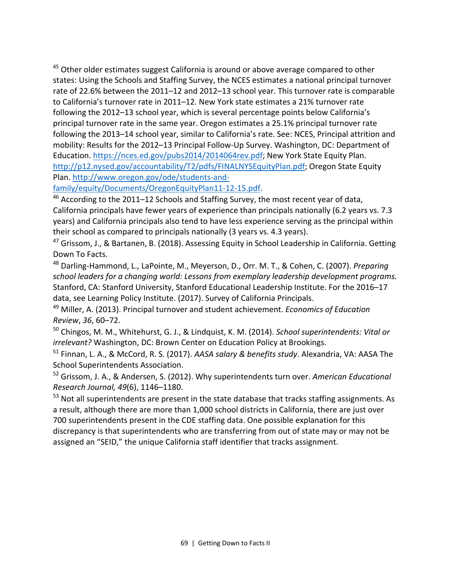$45$  Other older estimates suggest California is around or above average compared to other states: Using the Schools and Staffing Survey, the NCES estimates a national principal turnover rate of 22.6% between the 2011–12 and 2012–13 school year. This turnover rate is comparable to California's turnover rate in 2011–12. New York state estimates a 21% turnover rate following the 2012–13 school year, which is several percentage points below California's principal turnover rate in the same year. Oregon estimates a 25.1% principal turnover rate following the 2013–14 school year, similar to California's rate. See: NCES, Principal attrition and mobility: Results for the 2012–13 Principal Follow-Up Survey. Washington, DC: Department of Education. https://nces.ed.gov/pubs2014/2014064rev.pdf; New York State Equity Plan. [http://p12.nysed.gov/accountability/T2/pdfs/FINALNYSEquityPlan.pdf;](http://p12.nysed.gov/accountability/T2/pdfs/FINALNYSEquityPlan.pdf) Oregon State Equity Plan[. http://www.oregon.gov/ode/students-and-](http://www.oregon.gov/ode/students-and-family/equity/Documents/OregonEquityPlan11-12-15.pdf)

[family/equity/Documents/OregonEquityPlan11-12-15.pdf.](http://www.oregon.gov/ode/students-and-family/equity/Documents/OregonEquityPlan11-12-15.pdf) 46 According to the 2011–12 Schools and Staffing Survey, the most recent year of data, California principals have fewer years of experience than principals nationally (6.2 years vs. 7.3 years) and California principals also tend to have less experience serving as the principal within their school as compared to principals nationally (3 years vs. 4.3 years).

<sup>47</sup> Grissom, J., & Bartanen, B. (2018). Assessing Equity in School Leadership in California. Getting Down To Facts.

<sup>48</sup> Darling-Hammond, L., LaPointe, M., Meyerson, D., Orr. M. T., & Cohen, C. (2007). *Preparing school leaders for a changing world: Lessons from exemplary leadership development programs.*  Stanford, CA: Stanford University, Stanford Educational Leadership Institute. For the 2016–17 data, see Learning Policy Institute. (2017). Survey of California Principals.

<sup>49</sup> Miller, A. (2013). Principal turnover and student achievement. *Economics of Education Review*, *36*, 60–72.

<sup>50</sup> Chingos, M. M., Whitehurst, G. J., & Lindquist, K. M. (2014). *School superintendents: Vital or irrelevant?* Washington, DC: Brown Center on Education Policy at Brookings.

<sup>51</sup> Finnan, L. A., & McCord, R. S. (2017). *AASA salary & benefits study*. Alexandria, VA: AASA The School Superintendents Association.

<sup>52</sup> Grissom, J. A., & Andersen, S. (2012). Why superintendents turn over. *American Educational Research Journal, 49*(6), 1146–1180.

<sup>53</sup> Not all superintendents are present in the state database that tracks staffing assignments. As a result, although there are more than 1,000 school districts in California, there are just over 700 superintendents present in the CDE staffing data. One possible explanation for this discrepancy is that superintendents who are transferring from out of state may or may not be assigned an "SEID," the unique California staff identifier that tracks assignment.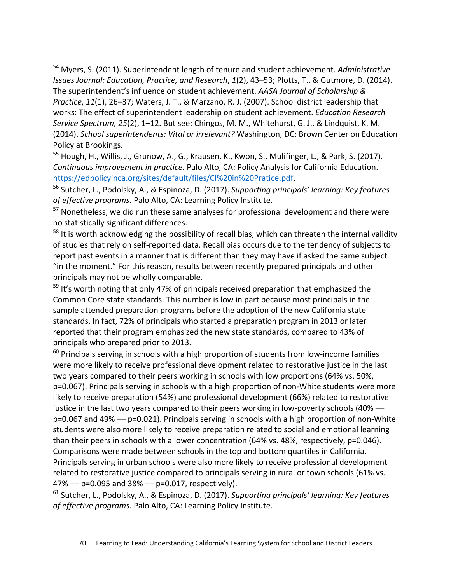<sup>54</sup> Myers, S. (2011). Superintendent length of tenure and student achievement. *Administrative Issues Journal: Education, Practice, and Research*, *1*(2), 43–53; Plotts, T., & Gutmore, D. (2014). The superintendent's influence on student achievement. *AASA Journal of Scholarship & Practice*, *11*(1), 26–37; Waters, J. T., & Marzano, R. J. (2007). School district leadership that works: The effect of superintendent leadership on student achievement. *Education Research Service Spectrum, 25*(2), 1–12. But see: Chingos, M. M., Whitehurst, G. J., & Lindquist, K. M. (2014). *School superintendents: Vital or irrelevant?* Washington, DC: Brown Center on Education Policy at Brookings.

<sup>55</sup> Hough, H., Willis, J., Grunow, A., G., Krausen, K., Kwon, S., Mulifinger, L., & Park, S. (2017). *Continuous improvement in practice.* Palo Alto, CA: Policy Analysis for California Education. [https://edpolicyinca.org/sites/default/files/CI%20in%20Pratice.pdf.](https://edpolicyinca.org/sites/default/files/CI%20in%20Pratice.pdf) 56 Sutcher, L., Podolsky, A., & Espinoza, D. (2017). *Supporting principals' learning: Key features* 

*of effective programs.* Palo Alto, CA: Learning Policy Institute.

<sup>57</sup> Nonetheless, we did run these same analyses for professional development and there were no statistically significant differences.

 $58$  It is worth acknowledging the possibility of recall bias, which can threaten the internal validity of studies that rely on self-reported data. Recall bias occurs due to the tendency of subjects to report past events in a manner that is different than they may have if asked the same subject "in the moment." For this reason, results between recently prepared principals and other principals may not be wholly comparable.

 $59$  It's worth noting that only 47% of principals received preparation that emphasized the Common Core state standards. This number is low in part because most principals in the sample attended preparation programs before the adoption of the new California state standards. In fact, 72% of principals who started a preparation program in 2013 or later reported that their program emphasized the new state standards, compared to 43% of principals who prepared prior to 2013.

 $60$  Principals serving in schools with a high proportion of students from low-income families were more likely to receive professional development related to restorative justice in the last two years compared to their peers working in schools with low proportions (64% vs. 50%, p=0.067). Principals serving in schools with a high proportion of non-White students were more likely to receive preparation (54%) and professional development (66%) related to restorative justice in the last two years compared to their peers working in low-poverty schools (40% –– p=0.067 and 49% –– p=0.021). Principals serving in schools with a high proportion of non-White students were also more likely to receive preparation related to social and emotional learning than their peers in schools with a lower concentration (64% vs. 48%, respectively, p=0.046). Comparisons were made between schools in the top and bottom quartiles in California. Principals serving in urban schools were also more likely to receive professional development related to restorative justice compared to principals serving in rural or town schools (61% vs.  $47\% - p = 0.095$  and  $38\% - p = 0.017$ , respectively).

<sup>61</sup> Sutcher, L., Podolsky, A., & Espinoza, D. (2017). *Supporting principals' learning: Key features of effective programs.* Palo Alto, CA: Learning Policy Institute.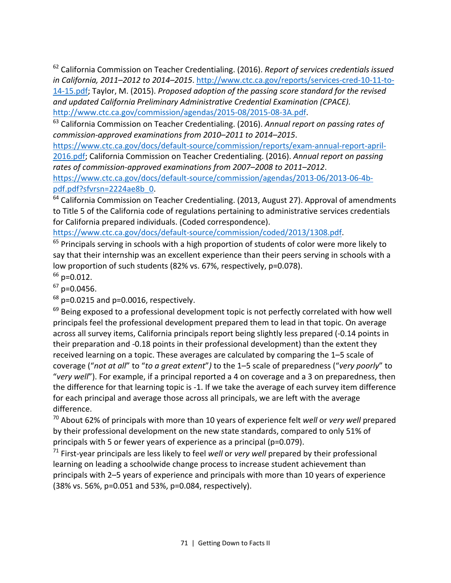<sup>62</sup> California Commission on Teacher Credentialing. (2016). *Report of services credentials issued in California, 2011–2012 to 2014–2015*. http://www.ctc.ca.gov/reports/services-cred-10-11-to-14-15.pdf; Taylor, M. (2015). *Proposed adoption of the passing score standard for the revised and updated California Preliminary Administrative Credential Examination (CPACE).*

[http://www.ctc.ca.gov/commission/agendas/2015-08/2015-08-3A.pdf.](http://www.ctc.ca.gov/commission/agendas/2015-08/2015-08-3A.pdf) 63 California Commission on Teacher Credentialing. (2016). *Annual report on passing rates of commission-approved examinations from 2010–2011 to 2014–2015*.

[https://www.ctc.ca.gov/docs/default-source/commission/reports/exam-annual-report-april-](https://www.ctc.ca.gov/docs/default-source/commission/reports/exam-annual-report-april-2016.pdf)[2016.pdf;](https://www.ctc.ca.gov/docs/default-source/commission/reports/exam-annual-report-april-2016.pdf) California Commission on Teacher Credentialing. (2016). *Annual report on passing rates of commission-approved examinations from 2007–2008 to 2011–2012*.

[https://www.ctc.ca.gov/docs/default-source/commission/agendas/2013-06/2013-06-4b](https://www.ctc.ca.gov/docs/default-source/commission/agendas/2013-06/2013-06-4b-pdf.pdf?sfvrsn=2224ae8b_0)pdf.pdf?sfvrsn=2224ae8b 0.<br><sup>64</sup> California Commission on Teacher Credentialing. (2013, August 27). Approval of amendments

to Title 5 of the California code of regulations pertaining to administrative services credentials for California prepared individuals. (Coded correspondence).

[https://www.ctc.ca.gov/docs/default-source/commission/coded/2013/1308.pdf.](https://www.ctc.ca.gov/docs/default-source/commission/coded/2013/1308.pdf)<br><sup>65</sup> Principals serving in schools with a high proportion of students of color were more likely to say that their internship was an excellent experience than their peers serving in schools with a low proportion of such students (82% vs. 67%, respectively, p=0.078).

 $66$  p=0.012.

 $67$  p=0.0456.

 $68$  p=0.0215 and p=0.0016, respectively.

 $69$  Being exposed to a professional development topic is not perfectly correlated with how well principals feel the professional development prepared them to lead in that topic. On average across all survey items, California principals report being slightly less prepared (-0.14 points in their preparation and -0.18 points in their professional development) than the extent they received learning on a topic. These averages are calculated by comparing the 1–5 scale of coverage ("*not at all*" to "*to a great extent*"*)* to the 1–5 scale of preparedness ("*very poorly*" to "*very well*"). For example, if a principal reported a 4 on coverage and a 3 on preparedness, then the difference for that learning topic is -1. If we take the average of each survey item difference for each principal and average those across all principals, we are left with the average difference.

<sup>70</sup> About 62% of principals with more than 10 years of experience felt *well* or *very well* prepared by their professional development on the new state standards, compared to only 51% of principals with 5 or fewer years of experience as a principal (p=0.079).

<sup>71</sup> First-year principals are less likely to feel *well* or *very well* prepared by their professional learning on leading a schoolwide change process to increase student achievement than principals with 2–5 years of experience and principals with more than 10 years of experience (38% vs. 56%, p=0.051 and 53%, p=0.084, respectively).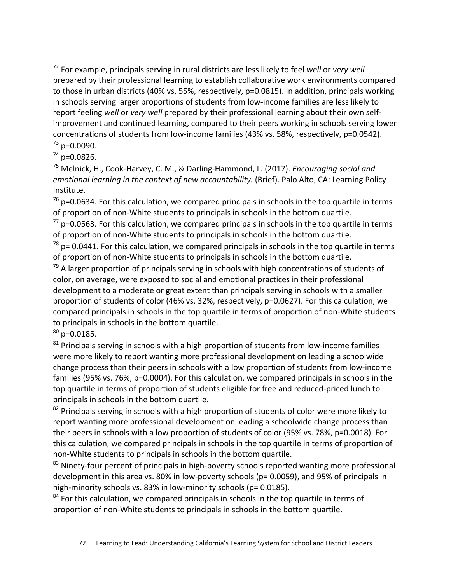<sup>72</sup> For example, principals serving in rural districts are less likely to feel *well* or *very well* prepared by their professional learning to establish collaborative work environments compared to those in urban districts (40% vs. 55%, respectively, p=0.0815). In addition, principals working in schools serving larger proportions of students from low-income families are less likely to report feeling *well* or *very well* prepared by their professional learning about their own selfimprovement and continued learning, compared to their peers working in schools serving lower concentrations of students from low-income families (43% vs. 58%, respectively, p=0.0542).  $73$  p=0.0090.

 $74$  p=0.0826.

<sup>75</sup> Melnick, H., Cook-Harvey, C. M., & Darling-Hammond, L. (2017). *Encouraging social and emotional learning in the context of new accountability.* (Brief). Palo Alto, CA: Learning Policy Institute.

 $76$  p=0.0634. For this calculation, we compared principals in schools in the top quartile in terms of proportion of non-White students to principals in schools in the bottom quartile.

 $77$  p=0.0563. For this calculation, we compared principals in schools in the top quartile in terms of proportion of non-White students to principals in schools in the bottom quartile.

 $78$  p= 0.0441. For this calculation, we compared principals in schools in the top quartile in terms of proportion of non-White students to principals in schools in the bottom quartile.

 $79$  A larger proportion of principals serving in schools with high concentrations of students of color, on average, were exposed to social and emotional practices in their professional development to a moderate or great extent than principals serving in schools with a smaller proportion of students of color (46% vs. 32%, respectively, p=0.0627). For this calculation, we compared principals in schools in the top quartile in terms of proportion of non-White students to principals in schools in the bottom quartile.

 $80$  p=0.0185.

 $81$  Principals serving in schools with a high proportion of students from low-income families were more likely to report wanting more professional development on leading a schoolwide change process than their peers in schools with a low proportion of students from low-income families (95% vs. 76%, p=0.0004). For this calculation, we compared principals in schools in the top quartile in terms of proportion of students eligible for free and reduced-priced lunch to principals in schools in the bottom quartile.

 $82$  Principals serving in schools with a high proportion of students of color were more likely to report wanting more professional development on leading a schoolwide change process than their peers in schools with a low proportion of students of color (95% vs. 78%, p=0.0018). For this calculation, we compared principals in schools in the top quartile in terms of proportion of non-White students to principals in schools in the bottom quartile.

<sup>83</sup> Ninety-four percent of principals in high-poverty schools reported wanting more professional development in this area vs. 80% in low-poverty schools (p= 0.0059), and 95% of principals in high-minority schools vs. 83% in low-minority schools (p= 0.0185).

 $84$  For this calculation, we compared principals in schools in the top quartile in terms of proportion of non-White students to principals in schools in the bottom quartile.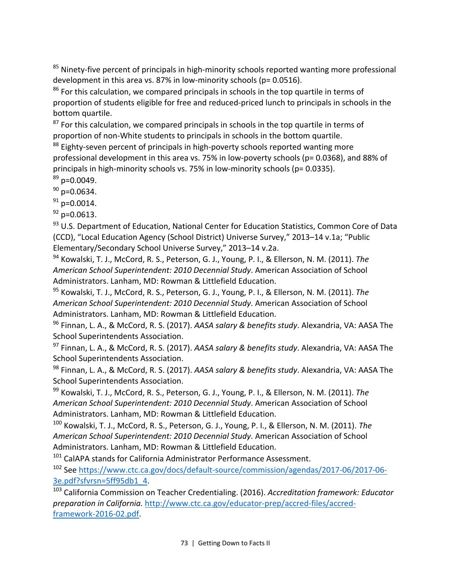<sup>85</sup> Ninety-five percent of principals in high-minority schools reported wanting more professional development in this area vs. 87% in low-minority schools ( $p= 0.0516$ ).

 $86$  For this calculation, we compared principals in schools in the top quartile in terms of proportion of students eligible for free and reduced-priced lunch to principals in schools in the bottom quartile.

 $87$  For this calculation, we compared principals in schools in the top quartile in terms of proportion of non-White students to principals in schools in the bottom quartile.

<sup>88</sup> Eighty-seven percent of principals in high-poverty schools reported wanting more professional development in this area vs. 75% in low-poverty schools (p= 0.0368), and 88% of principals in high-minority schools vs. 75% in low-minority schools (p= 0.0335).

 $89$  p=0.0049.

 $90$  p=0.0634.

 $91$  p=0.0014.

 $92$  p=0.0613.

93 U.S. Department of Education, National Center for Education Statistics, Common Core of Data (CCD), "Local Education Agency (School District) Universe Survey," 2013–14 v.1a; "Public Elementary/Secondary School Universe Survey," 2013–14 v.2a.

<sup>94</sup> Kowalski, T. J., McCord, R. S., Peterson, G. J., Young, P. I., & Ellerson, N. M. (2011). *The American School Superintendent: 2010 Decennial Study*. American Association of School Administrators. Lanham, MD: Rowman & Littlefield Education.

<sup>95</sup> Kowalski, T. J., McCord, R. S., Peterson, G. J., Young, P. I., & Ellerson, N. M. (2011). *The American School Superintendent: 2010 Decennial Study*. American Association of School Administrators. Lanham, MD: Rowman & Littlefield Education.

<sup>96</sup> Finnan, L. A., & McCord, R. S. (2017). *AASA salary & benefits study*. Alexandria, VA: AASA The School Superintendents Association.

<sup>97</sup> Finnan, L. A., & McCord, R. S. (2017). *AASA salary & benefits study*. Alexandria, VA: AASA The School Superintendents Association.

<sup>98</sup> Finnan, L. A., & McCord, R. S. (2017). *AASA salary & benefits study*. Alexandria, VA: AASA The School Superintendents Association.

<sup>99</sup> Kowalski, T. J., McCord, R. S., Peterson, G. J., Young, P. I., & Ellerson, N. M. (2011). *The American School Superintendent: 2010 Decennial Study*. American Association of School Administrators. Lanham, MD: Rowman & Littlefield Education.

<sup>100</sup> Kowalski, T. J., McCord, R. S., Peterson, G. J., Young, P. I., & Ellerson, N. M. (2011). *The American School Superintendent: 2010 Decennial Study*. American Association of School Administrators. Lanham, MD: Rowman & Littlefield Education.

 $101$  CalAPA stands for California Administrator Performance Assessment.

<sup>102</sup> See https://www.ctc.ca.gov/docs/default-source/commission/agendas/2017-06/2017-06- 3e.pdf?sfvrsn=5ff95db1\_4.

<sup>103</sup> California Commission on Teacher Credentialing. (2016). *Accreditation framework: Educator preparation in California.* http://www.ctc.ca.gov/educator-prep/accred-files/accredframework-2016-02.pdf.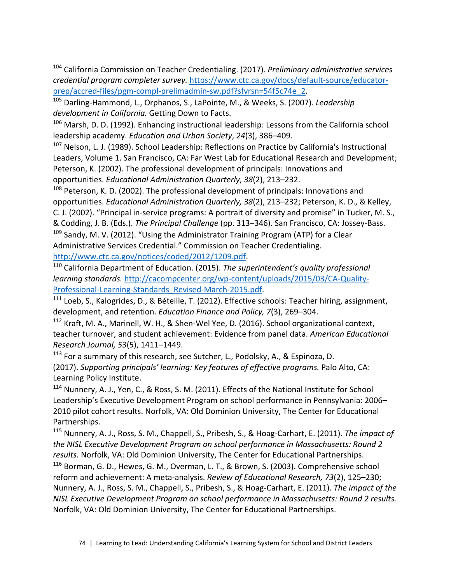<sup>104</sup> California Commission on Teacher Credentialing. (2017). *Preliminary administrative services credential program completer survey.* https://www.ctc.ca.gov/docs/default-source/educatorprep/accred-files/pgm-compl-prelimadmin-sw.pdf?sfvrsn=54f5c74e\_2.

<sup>105</sup> Darling-Hammond, L., Orphanos, S., LaPointe, M., & Weeks, S. (2007). *Leadership development in California.* Getting Down to Facts.

<sup>106</sup> Marsh, D. D. (1992). Enhancing instructional leadership: Lessons from the California school leadership academy. *Education and Urban Society*, *24*(3), 386–409.

<sup>107</sup> Nelson, L. J. (1989). School Leadership: Reflections on Practice by California's Instructional Leaders, Volume 1. San Francisco, CA: Far West Lab for Educational Research and Development; Peterson, K. (2002). The professional development of principals: Innovations and opportunities. *Educational Administration Quarterly*, *38*(2), 213–232.

<sup>108</sup> Peterson, K. D. (2002). The professional development of principals: Innovations and opportunities. *Educational Administration Quarterly, 38*(2), 213–232; Peterson, K. D., & Kelley, C. J. (2002). "Principal in-service programs: A portrait of diversity and promise" in Tucker, M. S.,

& Codding, J. B. (Eds.). *The Principal Challenge* (pp. 313–346)*.* San Francisco, CA: Jossey-Bass.

 $109$  Sandy, M. V. (2012). "Using the Administrator Training Program (ATP) for a Clear Administrative Services Credential." Commission on Teacher Credentialing.

http://www.ctc.ca.gov/notices/coded/2012/1209.pdf.<br><sup>110</sup> California Department of Education. (2015). *The superintendent's quality professional learning standards.* http://cacompcenter.org/wp-content/uploads/2015/03/CA-Quality-

Professional-Learning-Standards\_Revised-March-2015.pdf.

<sup>111</sup> Loeb, S., Kalogrides, D., & Béteille, T. (2012). Effective schools: Teacher hiring, assignment, development, and retention. *Education Finance and Policy, 7*(3), 269–304.

<sup>112</sup> Kraft, M. A., Marinell, W. H., & Shen-Wel Yee, D. (2016). School organizational context, teacher turnover, and student achievement: Evidence from panel data. *American Educational Research Journal, 53*(5), 1411–1449.

 $113$  For a summary of this research, see Sutcher, L., Podolsky, A., & Espinoza, D. (2017). *Supporting principals' learning: Key features of effective programs.* Palo Alto, CA: Learning Policy Institute.

<sup>114</sup> Nunnery, A. J., Yen, C., & Ross, S. M. (2011). Effects of the National Institute for School Leadership's Executive Development Program on school performance in Pennsylvania: 2006– 2010 pilot cohort results. Norfolk, VA: Old Dominion University, The Center for Educational Partnerships.

<sup>115</sup> Nunnery, A. J., Ross, S. M., Chappell, S., Pribesh, S., & Hoag-Carhart, E. (2011). *The impact of the NISL Executive Development Program on school performance in Massachusetts: Round 2 results.* Norfolk, VA: Old Dominion University, The Center for Educational Partnerships.

<sup>116</sup> Borman, G. D., Hewes, G. M., Overman, L. T., & Brown, S. (2003). Comprehensive school reform and achievement: A meta-analysis. *Review of Educational Research, 73*(2), 125–230; Nunnery, A. J., Ross, S. M., Chappell, S., Pribesh, S., & Hoag-Carhart, E. (2011). *The impact of the NISL Executive Development Program on school performance in Massachusetts: Round 2 results.* Norfolk, VA: Old Dominion University, The Center for Educational Partnerships.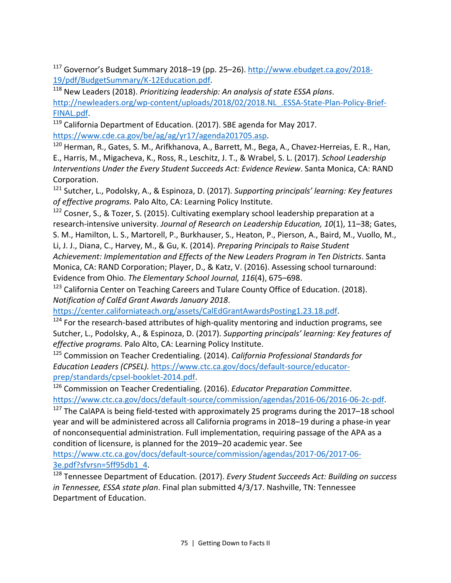<sup>117</sup> Governor's Budget Summary 2018–19 (pp. 25–26). http://www.ebudget.ca.gov/2018- 19/pdf/BudgetSummary/K-12Education.pdf. 118 New Leaders (2018). *Prioritizing leadership: An analysis of state ESSA plans*.

http://newleaders.org/wp-content/uploads/2018/02/2018.NL\_.ESSA-State-Plan-Policy-Brief-FINAL.pdf.

<sup>119</sup> California Department of Education. (2017). SBE agenda for May 2017. https://www.cde.ca.gov/be/ag/ag/yr17/agenda201705.asp.

<sup>120</sup> Herman, R., Gates, S. M., Arifkhanova, A., Barrett, M., Bega, A., Chavez-Herreias, E. R., Han, E., Harris, M., Migacheva, K., Ross, R., Leschitz, J. T., & Wrabel, S. L. (2017). *School Leadership Interventions Under the Every Student Succeeds Act: Evidence Review*. Santa Monica, CA: RAND Corporation.

<sup>121</sup> Sutcher, L., Podolsky, A., & Espinoza, D. (2017). *Supporting principals' learning: Key features of effective programs.* Palo Alto, CA: Learning Policy Institute.

 $122$  Cosner, S., & Tozer, S. (2015). Cultivating exemplary school leadership preparation at a research-intensive university. *Journal of Research on Leadership Education, 10*(1), 11–38; Gates,

S. M., Hamilton, L. S., Martorell, P., Burkhauser, S., Heaton, P., Pierson, A., Baird, M., Vuollo, M., Li, J. J., Diana, C., Harvey, M., & Gu, K. (2014). *Preparing Principals to Raise Student Achievement: Implementation and Effects of the New Leaders Program in Ten Districts*. Santa Monica, CA: RAND Corporation; Player, D., & Katz, V. (2016). Assessing school turnaround: Evidence from Ohio. *The Elementary School Journal, 116*(4), 675–698.

<sup>123</sup> California Center on Teaching Careers and Tulare County Office of Education. (2018). *Notification of CalEd Grant Awards January 2018*.

https://center.californiateach.org/assets/CalEdGrantAwardsPosting1.23.18.pdf.

 $124$  For the research-based attributes of high-quality mentoring and induction programs, see Sutcher, L., Podolsky, A., & Espinoza, D. (2017). *Supporting principals' learning: Key features of effective programs.* Palo Alto, CA: Learning Policy Institute.

<sup>125</sup> Commission on Teacher Credentialing. (2014). *California Professional Standards for Education Leaders (CPSEL).* https://www.ctc.ca.gov/docs/default-source/educatorprep/standards/cpsel-booklet-2014.pdf.

<sup>126</sup> Commission on Teacher Credentialing. (2016). *Educator Preparation Committee*. https://www.ctc.ca.gov/docs/default-source/commission/agendas/2016-06/2016-06-2c-pdf.

 $127$  The CalAPA is being field-tested with approximately 25 programs during the 2017–18 school year and will be administered across all California programs in 2018–19 during a phase-in year of nonconsequential administration. Full implementation, requiring passage of the APA as a condition of licensure, is planned for the 2019–20 academic year. See

https://www.ctc.ca.gov/docs/default-source/commission/agendas/2017-06/2017-06- 3e.pdf?sfvrsn=5ff95db1\_4.

<sup>128</sup> Tennessee Department of Education. (2017). *Every Student Succeeds Act: Building on success in Tennessee, ESSA state plan*. Final plan submitted 4/3/17. Nashville, TN: Tennessee Department of Education.